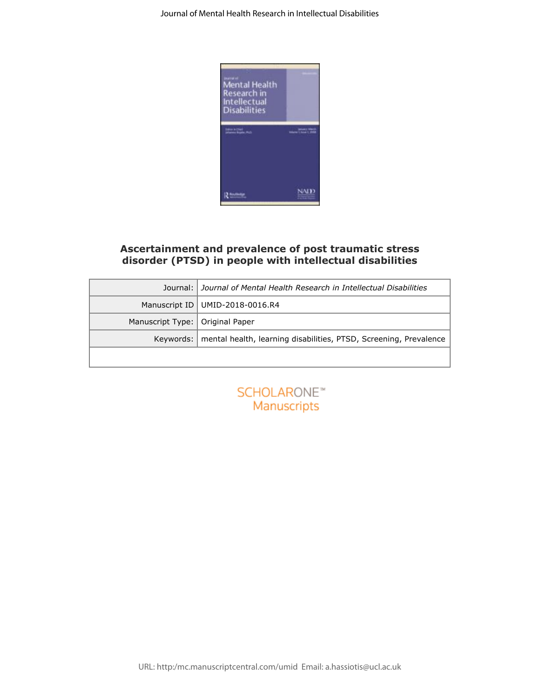

# **Ascertainment and prevalence of post traumatic stress disorder (PTSD) in people with intellectual disabilities**

|                  | Ascertainment and prevalence of post traumatic stress<br>disorder (PTSD) in people with intellectual disabilities |  |  |  |  |
|------------------|-------------------------------------------------------------------------------------------------------------------|--|--|--|--|
| Journal:         | Journal of Mental Health Research in Intellectual Disabilities                                                    |  |  |  |  |
| Manuscript ID    | UMID-2018-0016.R4                                                                                                 |  |  |  |  |
| Manuscript Type: | Original Paper                                                                                                    |  |  |  |  |
| Keywords:        | mental health, learning disabilities, PTSD, Screening, Prevalence                                                 |  |  |  |  |
|                  |                                                                                                                   |  |  |  |  |
|                  | SCHOLARONE <sup>®</sup><br>Manuscripts                                                                            |  |  |  |  |
|                  |                                                                                                                   |  |  |  |  |

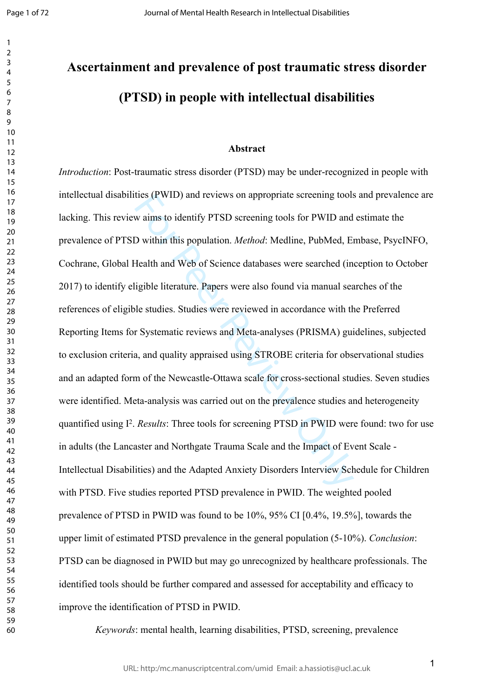$\mathbf{1}$  $\overline{2}$  $\overline{3}$  $\overline{4}$  $\overline{7}$ 

# **Ascertainment and prevalence of post traumatic stress disorder (PTSD) in people with intellectual disabilities**

## **Abstract**

thes (PWID) and reviews on appropriate screening tools<br>w aims to identify PTSD screening tools for PWID and<br>D within this population. *Method*: Medline, PubMed, Ei<br>Health and Web of Science databases were searched (in<br>igib *Introduction*: Post-traumatic stress disorder (PTSD) may be under-recognized in people with intellectual disabilities (PWID) and reviews on appropriate screening tools and prevalence are lacking. This review aims to identify PTSD screening tools for PWID and estimate the prevalence of PTSD within this population. *Method*: Medline, PubMed, Embase, PsycINFO, Cochrane, Global Health and Web of Science databases were searched (inception to October 2017) to identify eligible literature. Papers were also found via manual searches of the references of eligible studies. Studies were reviewed in accordance with the Preferred Reporting Items for Systematic reviews and Meta-analyses (PRISMA) guidelines, subjected to exclusion criteria, and quality appraised using STROBE criteria for observational studies and an adapted form of the Newcastle-Ottawa scale for cross-sectional studies. Seven studies were identified. Meta-analysis was carried out on the prevalence studies and heterogeneity quantified using I<sup>2</sup>. *Results*: Three tools for screening PTSD in PWID were found: two for use in adults (the Lancaster and Northgate Trauma Scale and the Impact of Event Scale - Intellectual Disabilities) and the Adapted Anxiety Disorders Interview Schedule for Children with PTSD. Five studies reported PTSD prevalence in PWID. The weighted pooled prevalence of PTSD in PWID was found to be 10%, 95% CI [0.4%, 19.5%], towards the upper limit of estimated PTSD prevalence in the general population (5-10%). *Conclusion*: PTSD can be diagnosed in PWID but may go unrecognized by healthcare professionals. The identified tools should be further compared and assessed for acceptability and efficacy to improve the identification of PTSD in PWID.

*Keywords*: mental health, learning disabilities, PTSD, screening, prevalence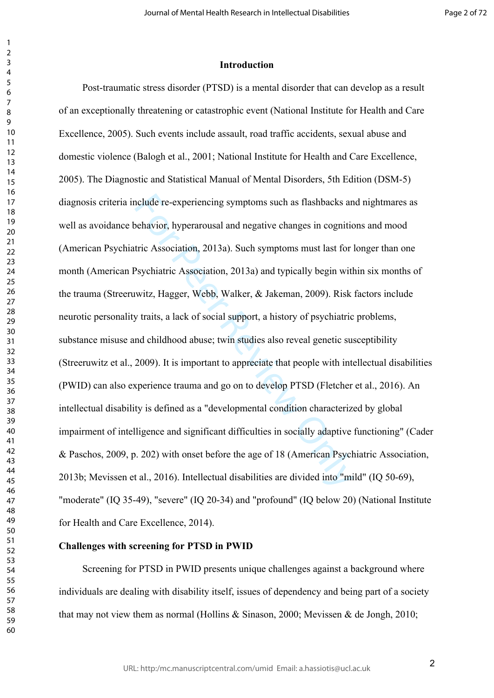## **Introduction**

nclude re-experiencing symptoms such as flashbacks an behavior, hyperarousal and negative changes in cognitic tric Association, 2013a). Such symptoms must last for last for last polycyclonic Association, 2013a) and typical Post-traumatic stress disorder (PTSD) is a mental disorder that can develop as a result of an exceptionally threatening or catastrophic event (National Institute for Health and Care Excellence, 2005). Such events include assault, road traffic accidents, sexual abuse and domestic violence (Balogh et al., 2001; National Institute for Health and Care Excellence, 2005). The Diagnostic and Statistical Manual of Mental Disorders, 5th Edition (DSM-5) diagnosis criteria include re-experiencing symptoms such as flashbacks and nightmares as well as avoidance behavior, hyperarousal and negative changes in cognitions and mood (American Psychiatric Association, 2013a). Such symptoms must last for longer than one month (American Psychiatric Association, 2013a) and typically begin within six months of the trauma (Streeruwitz, Hagger, Webb, Walker, & Jakeman, 2009). Risk factors include neurotic personality traits, a lack of social support, a history of psychiatric problems, substance misuse and childhood abuse; twin studies also reveal genetic susceptibility (Streeruwitz et al., 2009). It is important to appreciate that people with intellectual disabilities (PWID) can also experience trauma and go on to develop PTSD (Fletcher et al., 2016). An intellectual disability is defined as a "developmental condition characterized by global impairment of intelligence and significant difficulties in socially adaptive functioning" (Cader & Paschos, 2009, p. 202) with onset before the age of 18 (American Psychiatric Association, 2013b; Mevissen et al., 2016). Intellectual disabilities are divided into "mild" (IQ 50-69), "moderate" (IQ 35-49), "severe" (IQ 20-34) and "profound" (IQ below 20) (National Institute for Health and Care Excellence, 2014).

## **Challenges with screening for PTSD in PWID**

Screening for PTSD in PWID presents unique challenges against a background where individuals are dealing with disability itself, issues of dependency and being part of a society that may not view them as normal (Hollins  $\&$  Sinason, 2000; Mevissen  $\&$  de Jongh, 2010;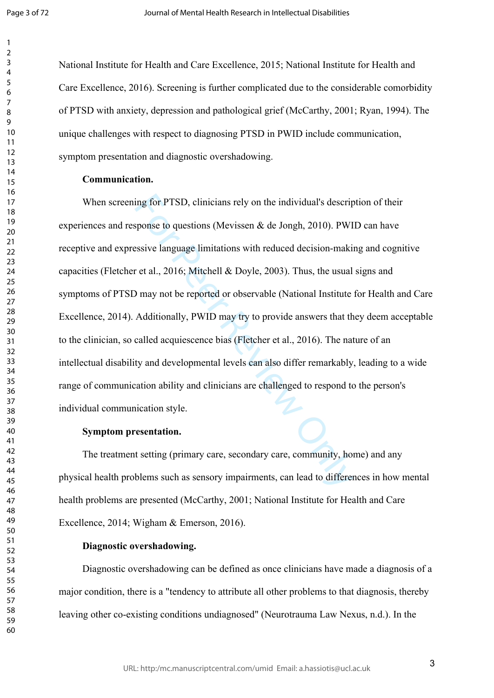$\mathbf{1}$  $\overline{2}$  $\overline{4}$  $\overline{7}$ 

National Institute for Health and Care Excellence, 2015; National Institute for Health and Care Excellence, 2016). Screening is further complicated due to the considerable comorbidity of PTSD with anxiety, depression and pathological grief (McCarthy, 2001; Ryan, 1994). The unique challenges with respect to diagnosing PTSD in PWID include communication, symptom presentation and diagnostic overshadowing.

# **Communication.**

ing for PTSD, clinicians rely on the individual's descriptions (Mevissen & de Jongh, 2010). PWI<br>sesive language limitations with reduced decision-making ret al., 2016; Mitchell & Doyle, 2003). Thus, the usual<br>9 may not be When screening for PTSD, clinicians rely on the individual's description of their experiences and response to questions (Mevissen  $\&$  de Jongh, 2010). PWID can have receptive and expressive language limitations with reduced decision-making and cognitive capacities (Fletcher et al., 2016; Mitchell & Doyle, 2003). Thus, the usual signs and symptoms of PTSD may not be reported or observable (National Institute for Health and Care Excellence, 2014). Additionally, PWID may try to provide answers that they deem acceptable to the clinician, so called acquiescence bias (Fletcher et al., 2016). The nature of an intellectual disability and developmental levels can also differ remarkably, leading to a wide range of communication ability and clinicians are challenged to respond to the person's individual communication style.

## **Symptom presentation.**

The treatment setting (primary care, secondary care, community, home) and any physical health problems such as sensory impairments, can lead to differences in how mental health problems are presented (McCarthy, 2001; National Institute for Health and Care Excellence, 2014; Wigham & Emerson, 2016).

## **Diagnostic overshadowing.**

Diagnostic overshadowing can be defined as once clinicians have made a diagnosis of a major condition, there is a "tendency to attribute all other problems to that diagnosis, thereby leaving other co-existing conditions undiagnosed" (Neurotrauma Law Nexus, n.d.). In the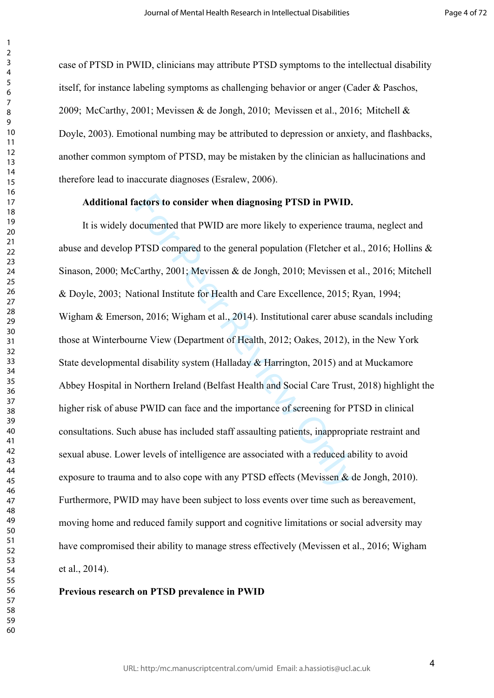case of PTSD in PWID, clinicians may attribute PTSD symptoms to the intellectual disability itself, for instance labeling symptoms as challenging behavior or anger (Cader & Paschos, 2009; McCarthy, 2001; Mevissen & de Jongh, 2010; Mevissen et al., 2016; Mitchell & Doyle, 2003). Emotional numbing may be attributed to depression or anxiety, and flashbacks, another common symptom of PTSD, may be mistaken by the clinician as hallucinations and therefore lead to inaccurate diagnoses (Esralew, 2006).

## **Additional factors to consider when diagnosing PTSD in PWID.**

actors to consider when diagnosing PTSD in PWID.<br>
coumented that PWID are more likely to experience tra<br>
PTSD compared to the general population (Fletcher et a<br>
Carthy, 2001; Mevissen & de Jongh, 2010; Mevissen et<br>
titiona It is widely documented that PWID are more likely to experience trauma, neglect and abuse and develop PTSD compared to the general population (Fletcher et al., 2016; Hollins & Sinason, 2000; McCarthy, 2001; Mevissen & de Jongh, 2010; Mevissen et al., 2016; Mitchell & Doyle, 2003; National Institute for Health and Care Excellence, 2015; Ryan, 1994; Wigham & Emerson, 2016; Wigham et al., 2014). Institutional carer abuse scandals including those at Winterbourne View (Department of Health, 2012; Oakes, 2012), in the New York State developmental disability system (Halladay & Harrington, 2015) and at Muckamore Abbey Hospital in Northern Ireland (Belfast Health and Social Care Trust, 2018) highlight the higher risk of abuse PWID can face and the importance of screening for PTSD in clinical consultations. Such abuse has included staff assaulting patients, inappropriate restraint and sexual abuse. Lower levels of intelligence are associated with a reduced ability to avoid exposure to trauma and to also cope with any PTSD effects (Mevissen & de Jongh, 2010). Furthermore, PWID may have been subject to loss events over time such as bereavement, moving home and reduced family support and cognitive limitations or social adversity may have compromised their ability to manage stress effectively (Mevissen et al., 2016; Wigham et al., 2014).

## **Previous research on PTSD prevalence in PWID**

 $\mathbf{1}$  $\overline{2}$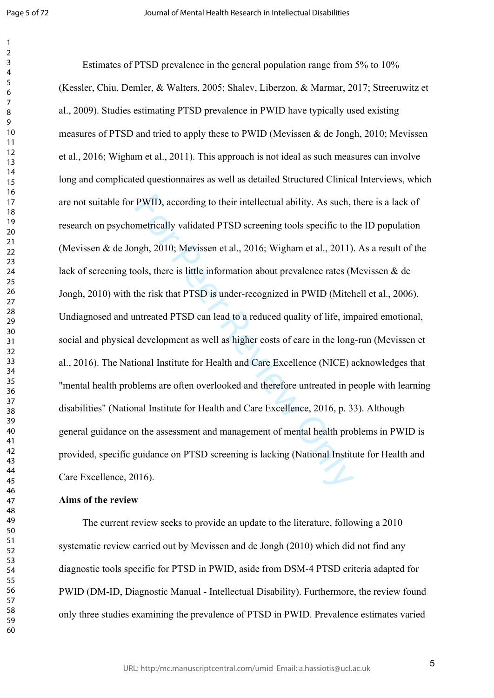$\mathbf{1}$  $\overline{2}$ 

PWID, according to their intellectual ability. As such, metrically validated PTSD screening tools specific to the mgh, 2010; Mevissen et al., 2016; Wigham et al., 2011).<br>Jols, there is little information about prevalence r Estimates of PTSD prevalence in the general population range from 5% to 10% (Kessler, Chiu, Demler, & Walters, 2005; Shalev, Liberzon, & Marmar, 2017; Streeruwitz et al., 2009). Studies estimating PTSD prevalence in PWID have typically used existing measures of PTSD and tried to apply these to PWID (Mevissen & de Jongh, 2010; Mevissen et al., 2016; Wigham et al., 2011). This approach is not ideal as such measures can involve long and complicated questionnaires as well as detailed Structured Clinical Interviews, which are not suitable for PWID, according to their intellectual ability. As such, there is a lack of research on psychometrically validated PTSD screening tools specific to the ID population (Mevissen & de Jongh, 2010; Mevissen et al., 2016; Wigham et al., 2011). As a result of the lack of screening tools, there is little information about prevalence rates (Mevissen & de Jongh, 2010) with the risk that PTSD is under-recognized in PWID (Mitchell et al., 2006). Undiagnosed and untreated PTSD can lead to a reduced quality of life, impaired emotional, social and physical development as well as higher costs of care in the long-run (Mevissen et al., 2016). The National Institute for Health and Care Excellence (NICE) acknowledges that "mental health problems are often overlooked and therefore untreated in people with learning disabilities" (National Institute for Health and Care Excellence, 2016, p. 33). Although general guidance on the assessment and management of mental health problems in PWID is provided, specific guidance on PTSD screening is lacking (National Institute for Health and Care Excellence, 2016).

## **Aims of the review**

The current review seeks to provide an update to the literature, following a 2010 systematic review carried out by Mevissen and de Jongh (2010) which did not find any diagnostic tools specific for PTSD in PWID, aside from DSM-4 PTSD criteria adapted for PWID (DM-ID, Diagnostic Manual - Intellectual Disability). Furthermore, the review found only three studies examining the prevalence of PTSD in PWID. Prevalence estimates varied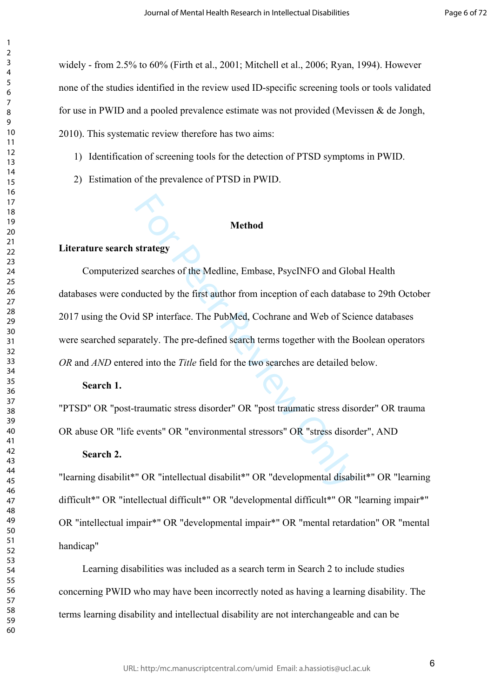widely - from 2.5% to 60% (Firth et al., 2001; Mitchell et al., 2006; Ryan, 1994). However none of the studies identified in the review used ID-specific screening tools or tools validated for use in PWID and a pooled prevalence estimate was not provided (Mevissen & de Jongh, 2010). This systematic review therefore has two aims:

- 1) Identification of screening tools for the detection of PTSD symptoms in PWID.
- 2) Estimation of the prevalence of PTSD in PWID.

## **Method**

# **Literature search strategy**

 $\mathbf{1}$  $\overline{2}$  $\overline{4}$  $\overline{7}$ 

Method<br>
strategy<br>
d searches of the Medline, Embase, PsycINFO and Glo<br>
ducted by the first author from inception of each databa<br>
d SP interface. The PubMed, Cochrane and Web of Sci<br>
rately. The pre-defined search terms tog Computerized searches of the Medline, Embase, PsycINFO and Global Health databases were conducted by the first author from inception of each database to 29th October 2017 using the Ovid SP interface. The PubMed, Cochrane and Web of Science databases were searched separately. The pre-defined search terms together with the Boolean operators *OR* and *AND* entered into the *Title* field for the two searches are detailed below.

# **Search 1.**

"PTSD" OR "post-traumatic stress disorder" OR "post traumatic stress disorder" OR trauma OR abuse OR "life events" OR "environmental stressors" OR "stress disorder", AND

# **Search 2.**

"learning disabilit\*" OR "intellectual disabilit\*" OR "developmental disabilit\*" OR "learning difficult\*" OR "intellectual difficult\*" OR "developmental difficult\*" OR "learning impair\*" OR "intellectual impair\*" OR "developmental impair\*" OR "mental retardation" OR "mental handicap"

Learning disabilities was included as a search term in Search 2 to include studies concerning PWID who may have been incorrectly noted as having a learning disability. The terms learning disability and intellectual disability are not interchangeable and can be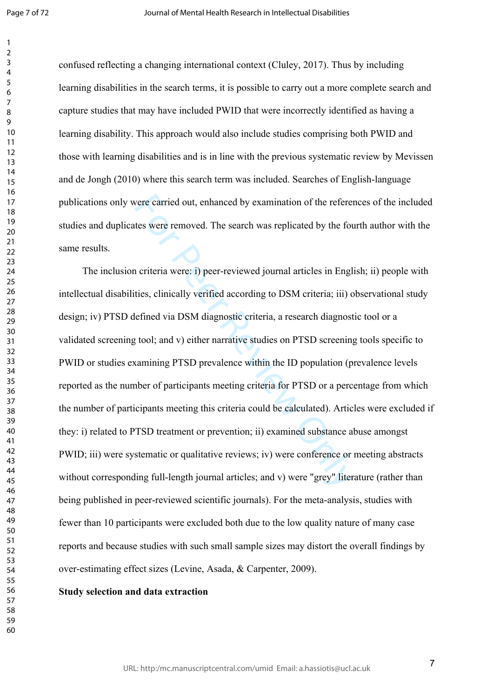$\mathbf{1}$ 

confused reflecting a changing international context (Cluley, 2017). Thus by including learning disabilities in the search terms, it is possible to carry out a more complete search and capture studies that may have included PWID that were incorrectly identified as having a learning disability. This approach would also include studies comprising both PWID and those with learning disabilities and is in line with the previous systematic review by Mevissen and de Jongh (2010) where this search term was included. Searches of English-language publications only were carried out, enhanced by examination of the references of the included studies and duplicates were removed. The search was replicated by the fourth author with the same results.

vere carried out, enhanced by examination of the referentes were removed. The search was replicated by the fourth or the fourth of the fourth or the fourth or the fourth or the fined via DSM diagnostic criteria, a research The inclusion criteria were: i) peer-reviewed journal articles in English; ii) people with intellectual disabilities, clinically verified according to DSM criteria; iii) observational study design; iv) PTSD defined via DSM diagnostic criteria, a research diagnostic tool or a validated screening tool; and v) either narrative studies on PTSD screening tools specific to PWID or studies examining PTSD prevalence within the ID population (prevalence levels reported as the number of participants meeting criteria for PTSD or a percentage from which the number of participants meeting this criteria could be calculated). Articles were excluded if they: i) related to PTSD treatment or prevention; ii) examined substance abuse amongst PWID; iii) were systematic or qualitative reviews; iv) were conference or meeting abstracts without corresponding full-length journal articles; and v) were "grey" literature (rather than being published in peer-reviewed scientific journals). For the meta-analysis, studies with fewer than 10 participants were excluded both due to the low quality nature of many case reports and because studies with such small sample sizes may distort the overall findings by over-estimating effect sizes (Levine, Asada, & Carpenter, 2009).

## **Study selection and data extraction**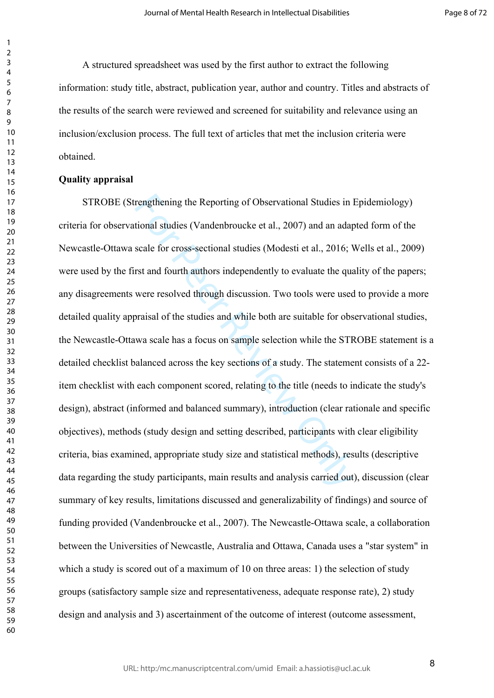A structured spreadsheet was used by the first author to extract the following information: study title, abstract, publication year, author and country. Titles and abstracts of the results of the search were reviewed and screened for suitability and relevance using an inclusion/exclusion process. The full text of articles that met the inclusion criteria were obtained.

## **Quality appraisal**

rengthening the Reporting of Observational Studies in l<br>tional studies (Vandenbroucke et al., 2007) and an adap<br>scale for cross-sectional studies (Modesti et al., 2016; N<br>rst and fourth authors independently to evaluate th STROBE (Strengthening the Reporting of Observational Studies in Epidemiology) criteria for observational studies (Vandenbroucke et al., 2007) and an adapted form of the Newcastle-Ottawa scale for cross-sectional studies (Modesti et al., 2016; Wells et al., 2009) were used by the first and fourth authors independently to evaluate the quality of the papers; any disagreements were resolved through discussion. Two tools were used to provide a more detailed quality appraisal of the studies and while both are suitable for observational studies, the Newcastle-Ottawa scale has a focus on sample selection while the STROBE statement is a detailed checklist balanced across the key sections of a study. The statement consists of a 22 item checklist with each component scored, relating to the title (needs to indicate the study's design), abstract (informed and balanced summary), introduction (clear rationale and specific objectives), methods (study design and setting described, participants with clear eligibility criteria, bias examined, appropriate study size and statistical methods), results (descriptive data regarding the study participants, main results and analysis carried out), discussion (clear summary of key results, limitations discussed and generalizability of findings) and source of funding provided (Vandenbroucke et al., 2007). The Newcastle-Ottawa scale, a collaboration between the Universities of Newcastle, Australia and Ottawa, Canada uses a "star system" in which a study is scored out of a maximum of 10 on three areas: 1) the selection of study groups (satisfactory sample size and representativeness, adequate response rate), 2) study design and analysis and 3) ascertainment of the outcome of interest (outcome assessment,

 $\mathbf{1}$  $\overline{2}$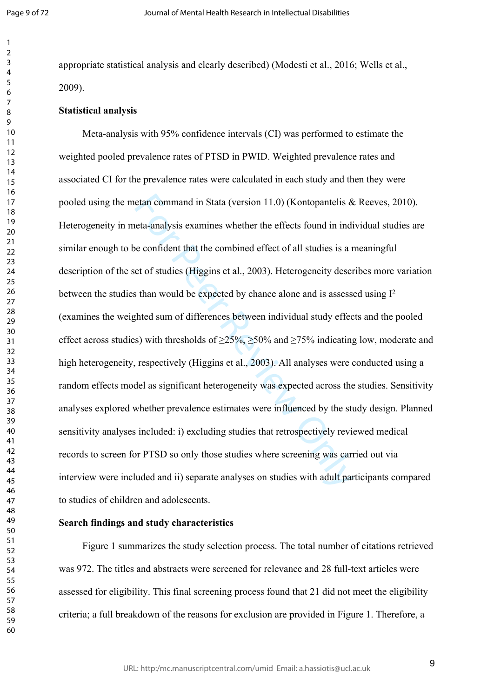$\mathbf{1}$  $\overline{2}$  $\overline{4}$  $\overline{7}$ 

appropriate statistical analysis and clearly described) (Modesti et al., 2016; Wells et al., 2009).

#### **Statistical analysis**

etan command in Stata (version 11.0) (Kontopantelis & eta-analysis examines whether the effects found in indive confident that the combined effect of all studies is a r et of studies (Higgins et al., 2003). Heterogeneity d Meta-analysis with 95% confidence intervals (CI) was performed to estimate the weighted pooled prevalence rates of PTSD in PWID. Weighted prevalence rates and associated CI for the prevalence rates were calculated in each study and then they were pooled using the metan command in Stata (version 11.0) (Kontopantelis & Reeves, 2010). Heterogeneity in meta-analysis examines whether the effects found in individual studies are similar enough to be confident that the combined effect of all studies is a meaningful description of the set of studies (Higgins et al., 2003). Heterogeneity describes more variation between the studies than would be expected by chance alone and is assessed using I 2 (examines the weighted sum of differences between individual study effects and the pooled effect across studies) with thresholds of  $\geq$ 25%,  $\geq$ 50% and  $\geq$ 75% indicating low, moderate and high heterogeneity, respectively (Higgins et al., 2003). All analyses were conducted using a random effects model as significant heterogeneity was expected across the studies. Sensitivity analyses explored whether prevalence estimates were influenced by the study design. Planned sensitivity analyses included: i) excluding studies that retrospectively reviewed medical records to screen for PTSD so only those studies where screening was carried out via interview were included and ii) separate analyses on studies with adult participants compared to studies of children and adolescents.

## **Search findings and study characteristics**

Figure 1 summarizes the study selection process. The total number of citations retrieved was 972. The titles and abstracts were screened for relevance and 28 full-text articles were assessed for eligibility. This final screening process found that 21 did not meet the eligibility criteria; a full breakdown of the reasons for exclusion are provided in Figure 1. Therefore, a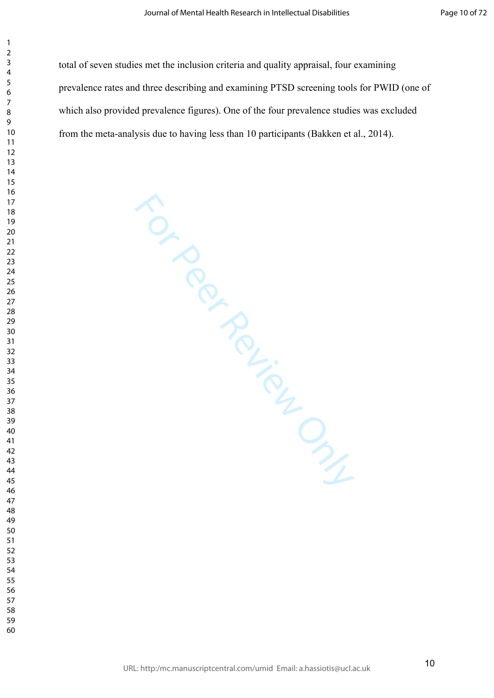total of seven studies met the inclusion criteria and quality appraisal, four examining prevalence rates and three describing and examining PTSD screening tools for PWID (one of which also provided prevalence figures). One of the four prevalence studies was excluded from the meta-analysis due to having less than 10 participants (Bakken et al., 2014).

For Per Review Only

 $\mathbf{1}$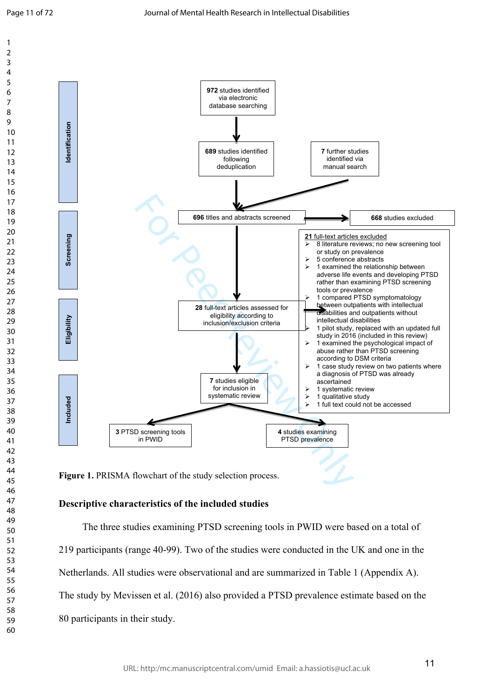$\mathbf{1}$  $\overline{2}$ 3  $\overline{4}$ 5 6  $\overline{7}$ 8 9



Figure 1. PRISMA flowchart of the study selection process.

## **Descriptive characteristics of the included studies**

The three studies examining PTSD screening tools in PWID were based on a total of 219 participants (range 40-99). Two of the studies were conducted in the UK and one in the Netherlands. All studies were observational and are summarized in Table 1 (Appendix A). The study by Mevissen et al. (2016) also provided a PTSD prevalence estimate based on the 80 participants in their study.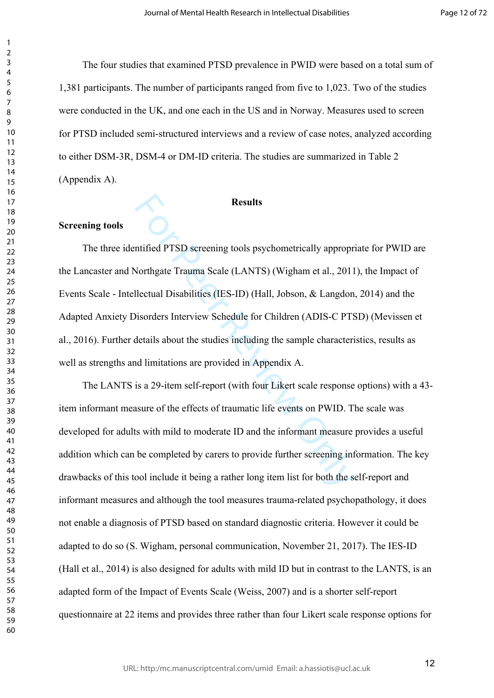The four studies that examined PTSD prevalence in PWID were based on a total sum of 1,381 participants. The number of participants ranged from five to 1,023. Two of the studies were conducted in the UK, and one each in the US and in Norway. Measures used to screen for PTSD included semi-structured interviews and a review of case notes, analyzed according to either DSM-3R, DSM-4 or DM-ID criteria. The studies are summarized in Table 2 (Appendix A).

# **Results**

# **Screening tools**

 $\mathbf{1}$  $\overline{2}$  $\overline{4}$  $\overline{7}$ 

Results<br>
ntified PTSD screening tools psychometrically appropr<br>
Northgate Trauma Scale (LANTS) (Wigham et al., 2011<br>
llectual Disabilities (IES-ID) (Hall, Jobson, & Langdon<br>
bisorders Interview Schedule for Children (ADIS-The three identified PTSD screening tools psychometrically appropriate for PWID are the Lancaster and Northgate Trauma Scale (LANTS) (Wigham et al., 2011), the Impact of Events Scale - Intellectual Disabilities (IES-ID) (Hall, Jobson, & Langdon, 2014) and the Adapted Anxiety Disorders Interview Schedule for Children (ADIS-C PTSD) (Mevissen et al., 2016). Further details about the studies including the sample characteristics, results as well as strengths and limitations are provided in Appendix A.

The LANTS is a 29-item self-report (with four Likert scale response options) with a 43 item informant measure of the effects of traumatic life events on PWID. The scale was developed for adults with mild to moderate ID and the informant measure provides a useful addition which can be completed by carers to provide further screening information. The key drawbacks of this tool include it being a rather long item list for both the self-report and informant measures and although the tool measures trauma-related psychopathology, it does not enable a diagnosis of PTSD based on standard diagnostic criteria. However it could be adapted to do so (S. Wigham, personal communication, November 21, 2017). The IES-ID (Hall et al., 2014) is also designed for adults with mild ID but in contrast to the LANTS, is an adapted form of the Impact of Events Scale (Weiss, 2007) and is a shorter self-report questionnaire at 22 items and provides three rather than four Likert scale response options for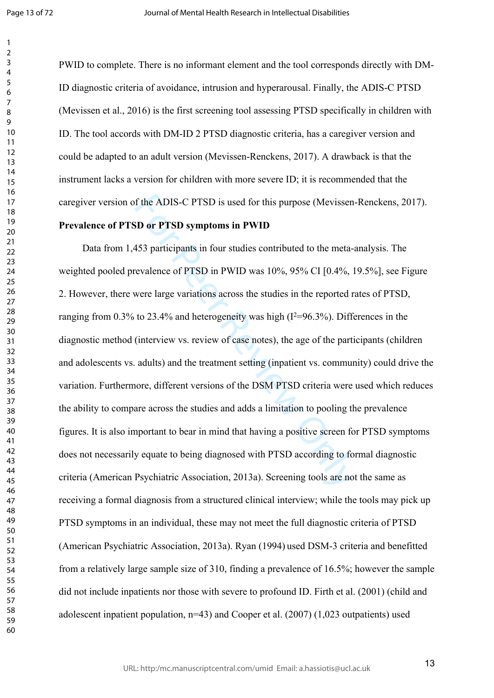$\mathbf{1}$ 

PWID to complete. There is no informant element and the tool corresponds directly with DM-ID diagnostic criteria of avoidance, intrusion and hyperarousal. Finally, the ADIS-C PTSD (Mevissen et al., 2016) is the first screening tool assessing PTSD specifically in children with ID. The tool accords with DM-ID 2 PTSD diagnostic criteria, has a caregiver version and could be adapted to an adult version (Mevissen-Renckens, 2017). A drawback is that the instrument lacks a version for children with more severe ID; it is recommended that the caregiver version of the ADIS-C PTSD is used for this purpose (Mevissen-Renckens, 2017).

## **Prevalence of PTSD or PTSD symptoms in PWID**

f the ADIS-C PTSD is used for this purpose (Mevissen<br>
iD or PTSD symptoms in PWID<br>
453 participants in four studies contributed to the meta-<br>
evalence of PTSD in PWID was  $10\%$ ,  $95\%$  CI [0.4%, l<br>
were large variations Data from 1,453 participants in four studies contributed to the meta-analysis. The weighted pooled prevalence of PTSD in PWID was 10%, 95% CI [0.4%, 19.5%], see Figure 2. However, there were large variations across the studies in the reported rates of PTSD, ranging from 0.3% to 23.4% and heterogeneity was high  $(I^2=96.3\%)$ . Differences in the diagnostic method (interview vs. review of case notes), the age of the participants (children and adolescents vs. adults) and the treatment setting (inpatient vs. community) could drive the variation. Furthermore, different versions of the DSM PTSD criteria were used which reduces the ability to compare across the studies and adds a limitation to pooling the prevalence figures. It is also important to bear in mind that having a positive screen for PTSD symptoms does not necessarily equate to being diagnosed with PTSD according to formal diagnostic criteria (American Psychiatric Association, 2013a). Screening tools are not the same as receiving a formal diagnosis from a structured clinical interview; while the tools may pick up PTSD symptoms in an individual, these may not meet the full diagnostic criteria of PTSD (American Psychiatric Association, 2013a). Ryan (1994) used DSM-3 criteria and benefitted from a relatively large sample size of 310, finding a prevalence of 16.5%; however the sample did not include inpatients nor those with severe to profound ID. Firth et al. (2001) (child and adolescent inpatient population,  $n=43$ ) and Cooper et al. (2007) (1,023 outpatients) used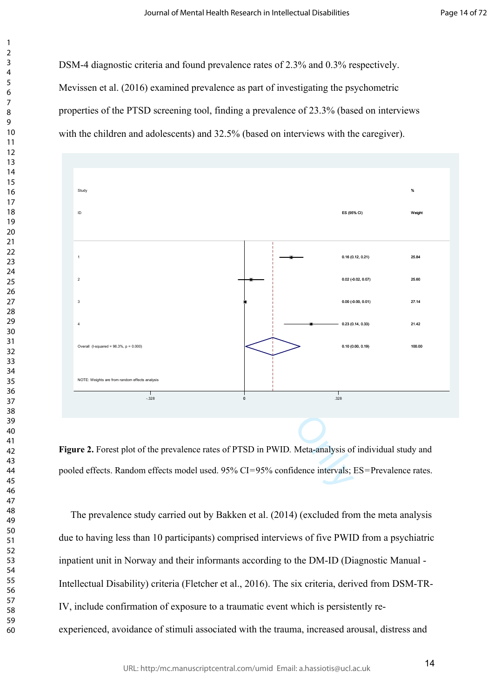DSM-4 diagnostic criteria and found prevalence rates of 2.3% and 0.3% respectively. Mevissen et al. (2016) examined prevalence as part of investigating the psychometric properties of the PTSD screening tool, finding a prevalence of 23.3% (based on interviews with the children and adolescents) and 32.5% (based on interviews with the caregiver).

 $\mathbf{1}$  $\overline{2}$  $\overline{4}$  $\overline{7}$ 



**Figure 2.** Forest plot of the prevalence rates of PTSD in PWID*.* Meta-analysis of individual study and pooled effects. Random effects model used. 95% CI=95% confidence intervals; ES=Prevalence rates.

The prevalence study carried out by Bakken et al. (2014) (excluded from the meta analysis due to having less than 10 participants) comprised interviews of five PWID from a psychiatric inpatient unit in Norway and their informants according to the DM-ID (Diagnostic Manual - Intellectual Disability) criteria (Fletcher et al., 2016). The six criteria, derived from DSM-TR-IV, include confirmation of exposure to a traumatic event which is persistently reexperienced, avoidance of stimuli associated with the trauma, increased arousal, distress and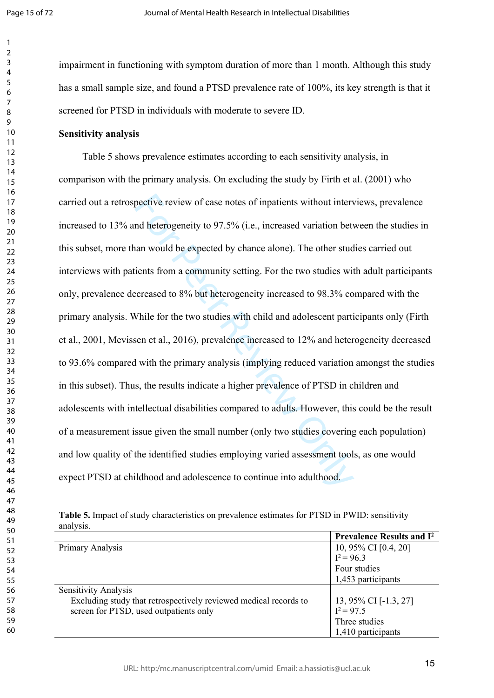$\mathbf{1}$  $\overline{2}$ 3  $\overline{4}$ 5 6  $\overline{7}$ 8 9

impairment in functioning with symptom duration of more than 1 month. Although this study has a small sample size, and found a PTSD prevalence rate of 100%, its key strength is that it screened for PTSD in individuals with moderate to severe ID.

# **Sensitivity analysis**

pective review of case notes of inpatients without intervent deprecieve to 97.5% (i.e., increased variation betwan would be expected by chance alone). The other studients from a community setting. For the two studies with Table 5 shows prevalence estimates according to each sensitivity analysis, in comparison with the primary analysis. On excluding the study by Firth et al. (2001) who carried out a retrospective review of case notes of inpatients without interviews, prevalence increased to 13% and heterogeneity to 97.5% (i.e., increased variation between the studies in this subset, more than would be expected by chance alone). The other studies carried out interviews with patients from a community setting. For the two studies with adult participants only, prevalence decreased to 8% but heterogeneity increased to 98.3% compared with the primary analysis. While for the two studies with child and adolescent participants only (Firth et al., 2001, Mevissen et al., 2016), prevalence increased to 12% and heterogeneity decreased to 93.6% compared with the primary analysis (implying reduced variation amongst the studies in this subset). Thus, the results indicate a higher prevalence of PTSD in children and adolescents with intellectual disabilities compared to adults. However, this could be the result of a measurement issue given the small number (only two studies covering each population) and low quality of the identified studies employing varied assessment tools, as one would expect PTSD at childhood and adolescence to continue into adulthood.

| Table 5. Impact of study characteristics on prevalence estimates for PTSD in PWID: sensitivity |  |
|------------------------------------------------------------------------------------------------|--|
| analysis.                                                                                      |  |

|                                                                  | <b>Prevalence Results and I<sup>2</sup></b> |
|------------------------------------------------------------------|---------------------------------------------|
| Primary Analysis                                                 | 10, 95% CI [0.4, 20]                        |
|                                                                  | $I^2 = 96.3$                                |
|                                                                  | Four studies                                |
|                                                                  | 1,453 participants                          |
| Sensitivity Analysis                                             |                                             |
| Excluding study that retrospectively reviewed medical records to | 13, 95% CI $[-1.3, 27]$                     |
| screen for PTSD, used outpatients only                           | $I^2 = 97.5$                                |
|                                                                  | Three studies                               |
|                                                                  | 1,410 participants                          |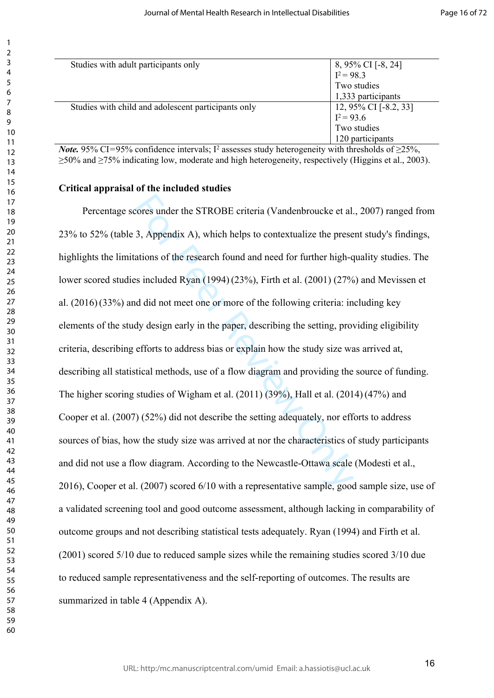| Studies with a dult participants only                                                                           |                                       |
|-----------------------------------------------------------------------------------------------------------------|---------------------------------------|
|                                                                                                                 | 8, 95% CI [-8, 24]<br>$I^2 = 98.3$    |
|                                                                                                                 | Two studies                           |
|                                                                                                                 | 1,333 participants                    |
| Studies with child and adolescent participants only                                                             |                                       |
|                                                                                                                 | 12, 95% CI [-8.2, 33]<br>$I^2 = 93.6$ |
|                                                                                                                 | Two studies                           |
|                                                                                                                 | 120 participants                      |
| $N_{obs}$ , 050/ $C1 - 050$ , confidence intervals: $I2$ eccesses study betapecancity with thresholds of $250/$ |                                       |

*Note*. 95% CI=95% confidence intervals; I<sup>2</sup> assesses study heterogeneity with thresholds of  $\geq$ 25%, ≥50% and ≥75% indicating low, moderate and high heterogeneity, respectively (Higgins et al., 2003).

#### **Critical appraisal of the included studies**

cores under the STROBE criteria (Vandenbroucke et al.<br>3, Appendix A), which helps to contextualize the prese<br>ations of the research found and need for further high-q<br>s included Ryan (1994) (23%), Firth et al. (2001) (27%<br>d Percentage scores under the STROBE criteria (Vandenbroucke et al., 2007) ranged from 23% to 52% (table 3, Appendix A), which helps to contextualize the present study's findings, highlights the limitations of the research found and need for further high-quality studies. The lower scored studies included Ryan (1994)(23%), Firth et al. (2001) (27%) and Mevissen et al. (2016)(33%) and did not meet one or more of the following criteria: including key elements of the study design early in the paper, describing the setting, providing eligibility criteria, describing efforts to address bias or explain how the study size was arrived at, describing all statistical methods, use of a flow diagram and providing the source of funding. The higher scoring studies of Wigham et al. (2011) (39%), Hall et al. (2014)(47%) and Cooper et al. (2007) (52%) did not describe the setting adequately, nor efforts to address sources of bias, how the study size was arrived at nor the characteristics of study participants and did not use a flow diagram. According to the Newcastle-Ottawa scale (Modesti et al., 2016), Cooper et al. (2007) scored 6/10 with a representative sample, good sample size, use of a validated screening tool and good outcome assessment, although lacking in comparability of outcome groups and not describing statistical tests adequately. Ryan (1994) and Firth et al. (2001) scored 5/10 due to reduced sample sizes while the remaining studies scored 3/10 due to reduced sample representativeness and the self-reporting of outcomes. The results are summarized in table 4 (Appendix A).

 $\mathbf{1}$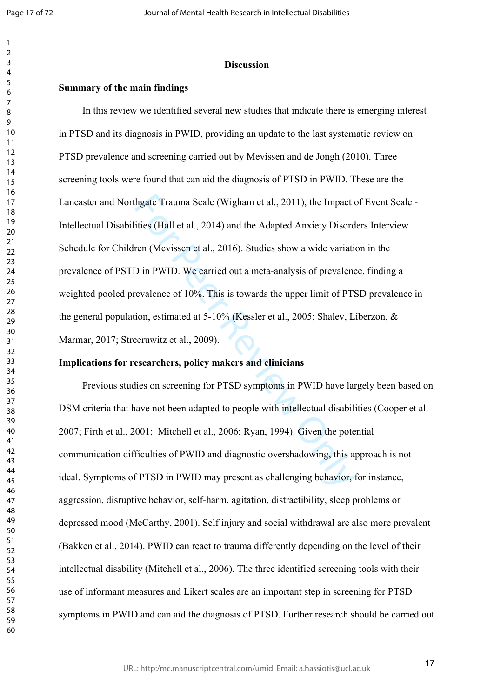$\mathbf{1}$ 

#### **Discussion**

# **Summary of the main findings**

hgate Trauma Scale (Wigham et al., 2011), the Impact<br>tities (Hall et al., 2014) and the Adapted Anxiety Disorc<br>ren (Mevissen et al., 2016). Studies show a wide variati<br>D in PWID. We carried out a meta-analysis of prevalen-In this review we identified several new studies that indicate there is emerging interest in PTSD and its diagnosis in PWID, providing an update to the last systematic review on PTSD prevalence and screening carried out by Mevissen and de Jongh (2010). Three screening tools were found that can aid the diagnosis of PTSD in PWID. These are the Lancaster and Northgate Trauma Scale (Wigham et al., 2011), the Impact of Event Scale - Intellectual Disabilities (Hall et al., 2014) and the Adapted Anxiety Disorders Interview Schedule for Children (Mevissen et al., 2016). Studies show a wide variation in the prevalence of PSTD in PWID. We carried out a meta-analysis of prevalence, finding a weighted pooled prevalence of 10%. This is towards the upper limit of PTSD prevalence in the general population, estimated at 5-10% (Kessler et al., 2005; Shalev, Liberzon, & Marmar, 2017; Streeruwitz et al., 2009).

## **Implications for researchers, policy makers and clinicians**

Previous studies on screening for PTSD symptoms in PWID have largely been based on DSM criteria that have not been adapted to people with intellectual disabilities (Cooper et al. 2007; Firth et al., 2001; Mitchell et al., 2006; Ryan, 1994). Given the potential communication difficulties of PWID and diagnostic overshadowing, this approach is not ideal. Symptoms of PTSD in PWID may present as challenging behavior, for instance, aggression, disruptive behavior, self-harm, agitation, distractibility, sleep problems or depressed mood (McCarthy, 2001). Self injury and social withdrawal are also more prevalent (Bakken et al., 2014). PWID can react to trauma differently depending on the level of their intellectual disability (Mitchell et al., 2006). The three identified screening tools with their use of informant measures and Likert scales are an important step in screening for PTSD symptoms in PWID and can aid the diagnosis of PTSD. Further research should be carried out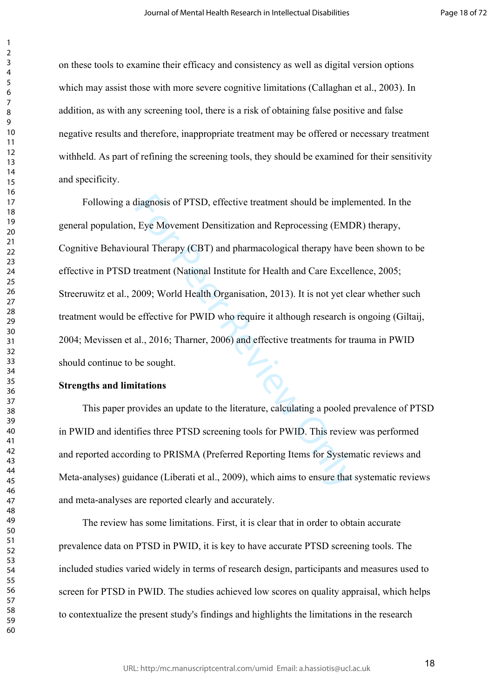on these tools to examine their efficacy and consistency as well as digital version options which may assist those with more severe cognitive limitations (Callaghan et al., 2003). In addition, as with any screening tool, there is a risk of obtaining false positive and false negative results and therefore, inappropriate treatment may be offered or necessary treatment withheld. As part of refining the screening tools, they should be examined for their sensitivity and specificity.

diagnosis of PTSD, effective treatment should be imple<br>Eye Movement Densitization and Reprocessing (EMD<br>ural Therapy (CBT) and pharmacological therapy have<br>reatment (National Institute for Health and Care Excell<br>certestime Following a diagnosis of PTSD, effective treatment should be implemented. In the general population, Eye Movement Densitization and Reprocessing (EMDR) therapy, Cognitive Behavioural Therapy (CBT) and pharmacological therapy have been shown to be effective in PTSD treatment (National Institute for Health and Care Excellence, 2005; Streeruwitz et al., 2009; World Health Organisation, 2013). It is not yet clear whether such treatment would be effective for PWID who require it although research is ongoing (Giltaij, 2004; Mevissen et al., 2016; Tharner, 2006) and effective treatments for trauma in PWID should continue to be sought.

## **Strengths and limitations**

This paper provides an update to the literature, calculating a pooled prevalence of PTSD in PWID and identifies three PTSD screening tools for PWID. This review was performed and reported according to PRISMA (Preferred Reporting Items for Systematic reviews and Meta-analyses) guidance (Liberati et al., 2009), which aims to ensure that systematic reviews and meta-analyses are reported clearly and accurately.

The review has some limitations. First, it is clear that in order to obtain accurate prevalence data on PTSD in PWID, it is key to have accurate PTSD screening tools. The included studies varied widely in terms of research design, participants and measures used to screen for PTSD in PWID. The studies achieved low scores on quality appraisal, which helps to contextualize the present study's findings and highlights the limitations in the research

 $\mathbf{1}$  $\overline{2}$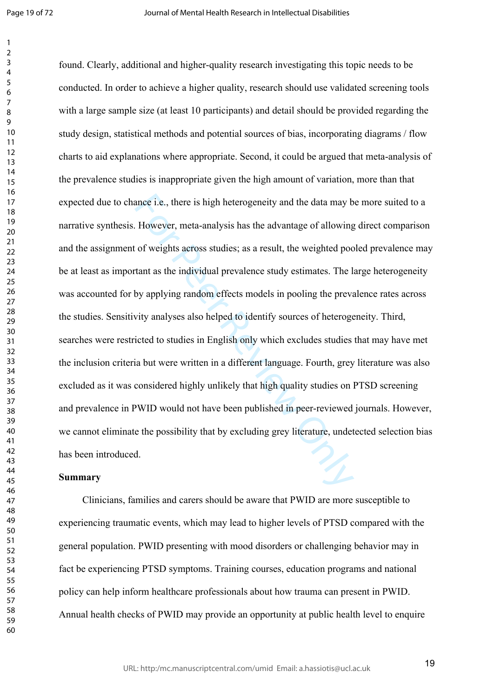$\mathbf{1}$  $\overline{2}$ 

ance i.e., there is high heterogeneity and the data may b<br>However, meta-analysis has the advantage of allowing<br>of weights across studies; as a result, the weighted poo<br>tant as the individual prevalence study estimates. The found. Clearly, additional and higher-quality research investigating this topic needs to be conducted. In order to achieve a higher quality, research should use validated screening tools with a large sample size (at least 10 participants) and detail should be provided regarding the study design, statistical methods and potential sources of bias, incorporating diagrams / flow charts to aid explanations where appropriate. Second, it could be argued that meta-analysis of the prevalence studies is inappropriate given the high amount of variation, more than that expected due to chance i.e., there is high heterogeneity and the data may be more suited to a narrative synthesis. However, meta-analysis has the advantage of allowing direct comparison and the assignment of weights across studies; as a result, the weighted pooled prevalence may be at least as important as the individual prevalence study estimates. The large heterogeneity was accounted for by applying random effects models in pooling the prevalence rates across the studies. Sensitivity analyses also helped to identify sources of heterogeneity. Third, searches were restricted to studies in English only which excludes studies that may have met the inclusion criteria but were written in a different language. Fourth, grey literature was also excluded as it was considered highly unlikely that high quality studies on PTSD screening and prevalence in PWID would not have been published in peer-reviewed journals. However, we cannot eliminate the possibility that by excluding grey literature, undetected selection bias has been introduced.

# **Summary**

Clinicians, families and carers should be aware that PWID are more susceptible to experiencing traumatic events, which may lead to higher levels of PTSD compared with the general population. PWID presenting with mood disorders or challenging behavior may in fact be experiencing PTSD symptoms. Training courses, education programs and national policy can help inform healthcare professionals about how trauma can present in PWID. Annual health checks of PWID may provide an opportunity at public health level to enquire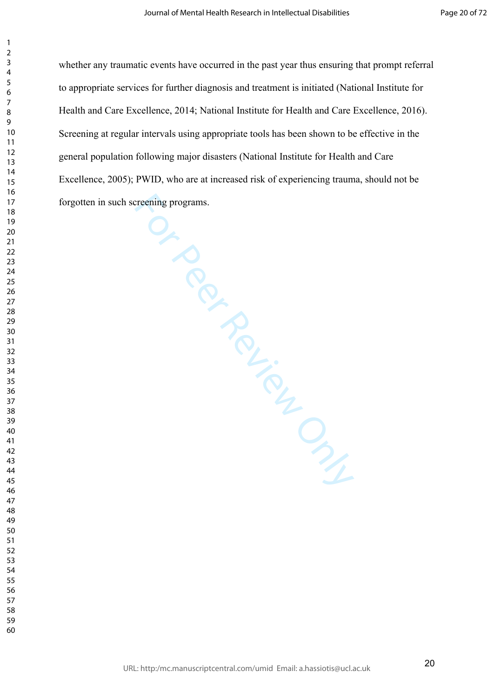whether any traumatic events have occurred in the past year thus ensuring that prompt referral to appropriate services for further diagnosis and treatment is initiated (National Institute for Health and Care Excellence, 2014; National Institute for Health and Care Excellence, 2016). Screening at regular intervals using appropriate tools has been shown to be effective in the general population following major disasters (National Institute for Health and Care Excellence, 2005); PWID, who are at increased risk of experiencing trauma, should not be forgotten in such screening programs.

 $\mathbf{1}$  $\overline{2}$  $\overline{3}$  $\overline{4}$  $\overline{7}$ 

NID, White<br>
revening programs.<br>
Conditions of the Condition of the Condition of the Condition of the Condition of the Condition of the Condition of the Condition of the Condition of the Condition of the Condition of the Co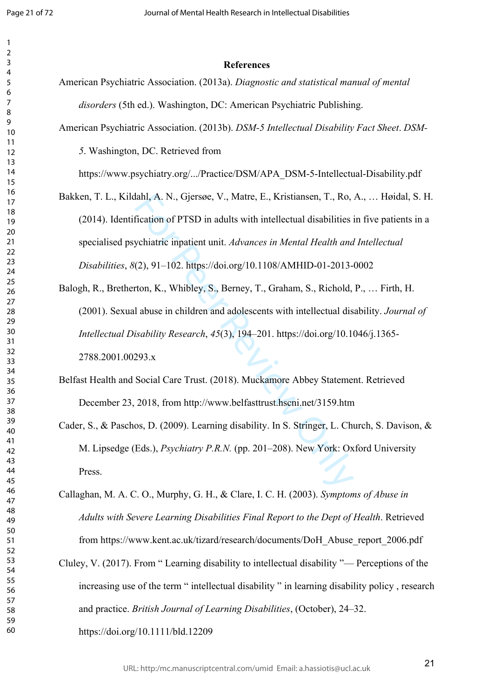$\mathbf{1}$  $\overline{2}$ 

| 1                       |                         |  |
|-------------------------|-------------------------|--|
| <sup>)</sup>            |                         |  |
| 3                       |                         |  |
| 4                       |                         |  |
| 5                       |                         |  |
| 6                       |                         |  |
|                         |                         |  |
| 8                       |                         |  |
| $\mathbf$<br>)          |                         |  |
|                         | 10                      |  |
|                         |                         |  |
| 1                       | 1                       |  |
| 1                       | 2                       |  |
| $\overline{1}$          | 3                       |  |
|                         | 14                      |  |
|                         | 15                      |  |
|                         | 16                      |  |
| 1                       |                         |  |
|                         | 18                      |  |
|                         | 19                      |  |
|                         | 20                      |  |
|                         | $\overline{21}$         |  |
| $\overline{2}$          | 2                       |  |
| $\overline{2}$          | ξ                       |  |
|                         | $^{24}$                 |  |
|                         | 25                      |  |
|                         |                         |  |
|                         | 26                      |  |
|                         | $\overline{27}$         |  |
|                         | $\overline{28}$         |  |
|                         | 29                      |  |
|                         | 30                      |  |
|                         | $\overline{31}$         |  |
| 3                       | 2                       |  |
| $\overline{\mathbf{3}}$ | ξ                       |  |
|                         | 34                      |  |
|                         | 35                      |  |
|                         | 36                      |  |
|                         | 37                      |  |
|                         | $\overline{\bf 8}$      |  |
|                         |                         |  |
|                         | 39                      |  |
|                         | 40                      |  |
| 41                      |                         |  |
| $\overline{4}$          | $\overline{\mathbf{c}}$ |  |
| 43                      |                         |  |
| 44                      |                         |  |
| 45                      |                         |  |
| 46                      |                         |  |
| 47                      |                         |  |
| 48                      |                         |  |
| 49                      |                         |  |
| 50                      |                         |  |
| 51                      |                         |  |
| 5                       | 2                       |  |
|                         |                         |  |
| 53                      |                         |  |
| 54                      |                         |  |
| 55                      |                         |  |
|                         | 56                      |  |
| 5                       |                         |  |
|                         | 58                      |  |
|                         | 59                      |  |
|                         | 60                      |  |

#### **References**

- American Psychiatric Association. (2013a). *Diagnostic and statistical manual of mental disorders* (5th ed.). Washington, DC: American Psychiatric Publishing.
- American Psychiatric Association. (2013b). *DSM-5 Intellectual Disability Fact Sheet*. *DSM-*

. Washington, DC. Retrieved from

https://www.psychiatry.org/.../Practice/DSM/APA\_DSM-5-Intellectual-Disability.pdf

- Bakken, T. L., Kildahl, A. N., Gjersøe, V., Matre, E., Kristiansen, T., Ro, A., … Høidal, S. H. (2014). Identification of PTSD in adults with intellectual disabilities in five patients in a specialised psychiatric inpatient unit. *Advances in Mental Health and Intellectual Disabilities*, *8*(2), 91–102. https://doi.org/10.1108/AMHID-01-2013-0002
- lahl, A. N., Gjersøe, V., Matre, E., Kristiansen, T., Ro,<br>fication of PTSD in adults with intellectual disabilities is<br>ychiatric inpatient unit. *Advances in Mental Health and*<br>(2), 91–102. https://doi.org/10.1108/AMHID-0 Balogh, R., Bretherton, K., Whibley, S., Berney, T., Graham, S., Richold, P., … Firth, H. (2001). Sexual abuse in children and adolescents with intellectual disability. *Journal of Intellectual Disability Research*, *45*(3), 194–201. https://doi.org/10.1046/j.1365- 2788.2001.00293.x
- Belfast Health and Social Care Trust. (2018). Muckamore Abbey Statement. Retrieved December 23, 2018, from http://www.belfasttrust.hscni.net/3159.htm
- Cader, S., & Paschos, D. (2009). Learning disability. In S. Stringer, L. Church, S. Davison, & M. Lipsedge (Eds.), *Psychiatry P.R.N.* (pp. 201–208). New York: Oxford University Press.
- Callaghan, M. A. C. O., Murphy, G. H., & Clare, I. C. H. (2003). *Symptoms of Abuse in Adults with Severe Learning Disabilities Final Report to the Dept of Health*. Retrieved from https://www.kent.ac.uk/tizard/research/documents/DoH\_Abuse\_report\_2006.pdf
- Cluley, V. (2017). From " Learning disability to intellectual disability "— Perceptions of the increasing use of the term " intellectual disability " in learning disability policy , research and practice. *British Journal of Learning Disabilities*, (October), 24–32. https://doi.org/10.1111/bld.12209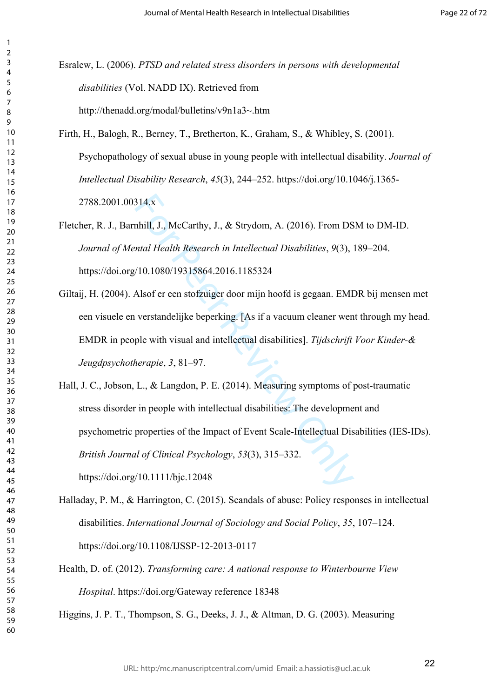Esralew, L. (2006). *PTSD and related stress disorders in persons with developmental disabilities* (Vol. NADD IX). Retrieved from http://thenadd.org/modal/bulletins/v9n1a3~.htm

 $\mathbf{1}$  $\overline{2}$  $\overline{4}$  $\overline{7}$ 

Firth, H., Balogh, R., Berney, T., Bretherton, K., Graham, S., & Whibley, S. (2001). Psychopathology of sexual abuse in young people with intellectual disability. *Journal of Intellectual Disability Research*, *45*(3), 244–252. https://doi.org/10.1046/j.1365- 2788.2001.00314.x

Fletcher, R. J., Barnhill, J., McCarthy, J., & Strydom, A. (2016). From DSM to DM-ID. *Journal of Mental Health Research in Intellectual Disabilities*, *9*(3), 189–204. https://doi.org/10.1080/19315864.2016.1185324

Giltaij, H. (2004). Alsof er een stofzuiger door mijn hoofd is gegaan. EMDR bij mensen met een visuele en verstandelijke beperking. [As if a vacuum cleaner went through my head. EMDR in people with visual and intellectual disabilities]. *Tijdschrift Voor Kinder-& Jeugdpsychotherapie*, *3*, 81–97.

314.x<br>
hhill, J., McCarthy, J., & Strydom, A. (2016). From DS<br>
ntal Health Research in Intellectual Disabilities, 9(3),<br>
10.1080/19315864.2016.1185324<br>
Alsof er een stofzuiger door mijn hoofd is gegaan. EMI<br>
verstandelijk Hall, J. C., Jobson, L., & Langdon, P. E. (2014). Measuring symptoms of post-traumatic stress disorder in people with intellectual disabilities: The development and psychometric properties of the Impact of Event Scale-Intellectual Disabilities (IES-IDs). *British Journal of Clinical Psychology*, *53*(3), 315–332. https://doi.org/10.1111/bjc.12048

Halladay, P. M., & Harrington, C. (2015). Scandals of abuse: Policy responses in intellectual disabilities. *International Journal of Sociology and Social Policy*, *35*, 107–124. https://doi.org/10.1108/IJSSP-12-2013-0117

Health, D. of. (2012). *Transforming care: A national response to Winterbourne View Hospital*. https://doi.org/Gateway reference 18348

Higgins, J. P. T., Thompson, S. G., Deeks, J. J., & Altman, D. G. (2003). Measuring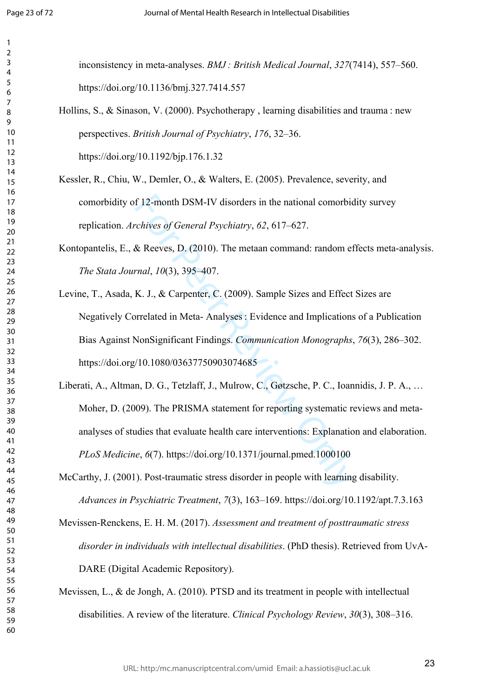$\mathbf{1}$  $\overline{2}$  $\overline{4}$  $\overline{7}$ 

inconsistency in meta-analyses. *BMJ : British Medical Journal*, *327*(7414), 557–560. https://doi.org/10.1136/bmj.327.7414.557

Hollins, S., & Sinason, V. (2000). Psychotherapy , learning disabilities and trauma : new perspectives. *British Journal of Psychiatry*, *176*, 32–36.

https://doi.org/10.1192/bjp.176.1.32

- Kessler, R., Chiu, W., Demler, O., & Walters, E. (2005). Prevalence, severity, and comorbidity of 12-month DSM-IV disorders in the national comorbidity survey replication. *Archives of General Psychiatry*, *62*, 617–627.
- Kontopantelis, E., & Reeves, D. (2010). The metaan command: random effects meta-analysis. *The Stata Journal*, *10*(3), 395–407.
- f 12-month DSM-IV disorders in the national comorbic<br> *chives of General Psychiatry*, 62, 617–627.<br>
& Reeves, D. (2010). The metaan command: random et<br>
rnal, 10(3), 395–407.<br>
K. J., & Carpenter, C. (2009). Sample Sizes an Levine, T., Asada, K. J., & Carpenter, C. (2009). Sample Sizes and Effect Sizes are Negatively Correlated in Meta- Analyses : Evidence and Implications of a Publication Bias Against NonSignificant Findings. *Communication Monographs*, *76*(3), 286–302. https://doi.org/10.1080/03637750903074685
- Liberati, A., Altman, D. G., Tetzlaff, J., Mulrow, C., Gøtzsche, P. C., Ioannidis, J. P. A., … Moher, D. (2009). The PRISMA statement for reporting systematic reviews and metaanalyses of studies that evaluate health care interventions: Explanation and elaboration. *PLoS Medicine*, *6*(7). https://doi.org/10.1371/journal.pmed.1000100
- McCarthy, J. (2001). Post-traumatic stress disorder in people with learning disability. *Advances in Psychiatric Treatment*, *7*(3), 163–169. https://doi.org/10.1192/apt.7.3.163
- Mevissen-Renckens, E. H. M. (2017). *Assessment and treatment of posttraumatic stress disorder in individuals with intellectual disabilities*. (PhD thesis). Retrieved from UvA-DARE (Digital Academic Repository).
- Mevissen, L., & de Jongh, A. (2010). PTSD and its treatment in people with intellectual disabilities. A review of the literature. *Clinical Psychology Review*, *30*(3), 308–316.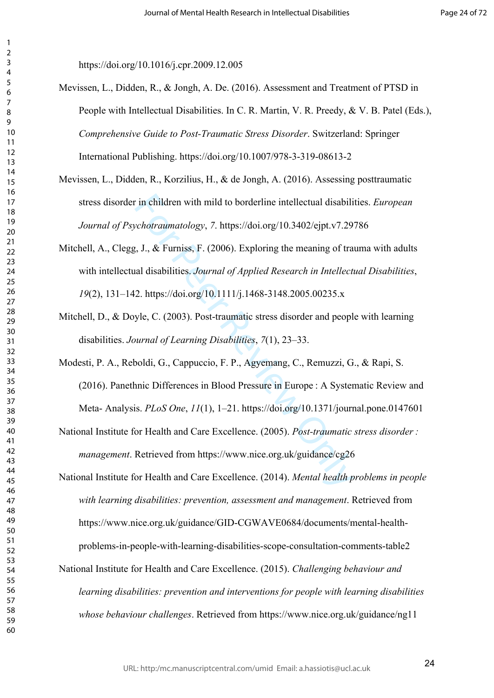$\mathbf{1}$  $\overline{2}$ 

https://doi.org/10.1016/j.cpr.2009.12.005

- Mevissen, L., Didden, R., & Jongh, A. De. (2016). Assessment and Treatment of PTSD in People with Intellectual Disabilities. In C. R. Martin, V. R. Preedy, & V. B. Patel (Eds.), *Comprehensive Guide to Post-Traumatic Stress Disorder*. Switzerland: Springer International Publishing. https://doi.org/10.1007/978-3-319-08613-2
- Mevissen, L., Didden, R., Korzilius, H., & de Jongh, A. (2016). Assessing posttraumatic stress disorder in children with mild to borderline intellectual disabilities. *European Journal of Psychotraumatology*, *7*. https://doi.org/10.3402/ejpt.v7.29786
- in children with mild to borderline intellectual disabili<br> *cchotraumatology*, 7. https://doi.org/10.3402/ejpt.v7.29<br>
i, J., & Furniss, F. (2006). Exploring the meaning of tra<br>
all disabilities. *Journal of Applied Researc* Mitchell, A., Clegg, J., & Furniss, F. (2006). Exploring the meaning of trauma with adults with intellectual disabilities. *Journal of Applied Research in Intellectual Disabilities*, (2), 131–142. https://doi.org/10.1111/j.1468-3148.2005.00235.x
- Mitchell, D., & Doyle, C. (2003). Post-traumatic stress disorder and people with learning disabilities. *Journal of Learning Disabilities*, *7*(1), 23–33.
- Modesti, P. A., Reboldi, G., Cappuccio, F. P., Agyemang, C., Remuzzi, G., & Rapi, S. (2016). Panethnic Differences in Blood Pressure in Europe : A Systematic Review and Meta- Analysis. *PLoS One*, *11*(1), 1–21. https://doi.org/10.1371/journal.pone.0147601
- National Institute for Health and Care Excellence. (2005). *Post-traumatic stress disorder : management*. Retrieved from https://www.nice.org.uk/guidance/cg26
- National Institute for Health and Care Excellence. (2014). *Mental health problems in people with learning disabilities: prevention, assessment and management*. Retrieved from https://www.nice.org.uk/guidance/GID-CGWAVE0684/documents/mental-healthproblems-in-people-with-learning-disabilities-scope-consultation-comments-table2
- National Institute for Health and Care Excellence. (2015). *Challenging behaviour and learning disabilities: prevention and interventions for people with learning disabilities whose behaviour challenges*. Retrieved from https://www.nice.org.uk/guidance/ng11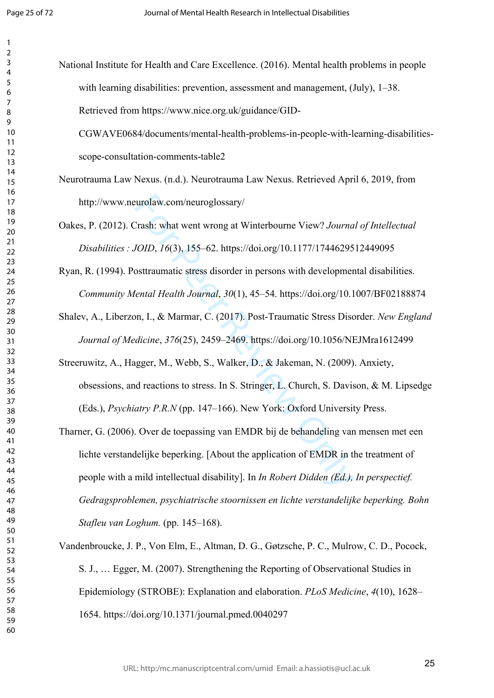$\mathbf{1}$  $\overline{2}$ 

National Institute for Health and Care Excellence. (2016). Mental health problems in people with learning disabilities: prevention, assessment and management, (July), 1–38. Retrieved from https://www.nice.org.uk/guidance/GID-

CGWAVE0684/documents/mental-health-problems-in-people-with-learning-disabilitiesscope-consultation-comments-table2

- Neurotrauma Law Nexus. (n.d.). Neurotrauma Law Nexus. Retrieved April 6, 2019, from http://www.neurolaw.com/neuroglossary/
- Oakes, P. (2012). Crash: what went wrong at Winterbourne View? *Journal of Intellectual Disabilities : JOID*, *16*(3), 155–62. https://doi.org/10.1177/1744629512449095
- Ryan, R. (1994). Posttraumatic stress disorder in persons with developmental disabilities. *Community Mental Health Journal*, *30*(1), 45–54. https://doi.org/10.1007/BF02188874
- Shalev, A., Liberzon, I., & Marmar, C. (2017). Post-Traumatic Stress Disorder. *New England Journal of Medicine*, *376*(25), 2459–2469. https://doi.org/10.1056/NEJMra1612499
- Streeruwitz, A., Hagger, M., Webb, S., Walker, D., & Jakeman, N. (2009). Anxiety, obsessions, and reactions to stress. In S. Stringer, L. Church, S. Davison, & M. Lipsedge (Eds.), *Psychiatry P.R.N* (pp. 147–166). New York: Oxford University Press.
- eurolaw.com/neuroglossary/<br>
Trash: what went wrong at Winterbourne View? Journa<br>
101D, 16(3), 155–62. https://doi.org/10.1177/17446295<br>
osttraumatic stress disorder in persons with developmer<br>
1011. At Marmar, C. (2017). P Tharner, G. (2006). Over de toepassing van EMDR bij de behandeling van mensen met een lichte verstandelijke beperking. [About the application of EMDR in the treatment of people with a mild intellectual disability]. In *In Robert Didden (Ed.), In perspectief. Gedragsproblemen, psychiatrische stoornissen en lichte verstandelijke beperking. Bohn Stafleu van Loghum.* (pp. 145–168).
- Vandenbroucke, J. P., Von Elm, E., Altman, D. G., Gøtzsche, P. C., Mulrow, C. D., Pocock, S. J., … Egger, M. (2007). Strengthening the Reporting of Observational Studies in Epidemiology (STROBE): Explanation and elaboration. *PLoS Medicine*, *4*(10), 1628– 1654. https://doi.org/10.1371/journal.pmed.0040297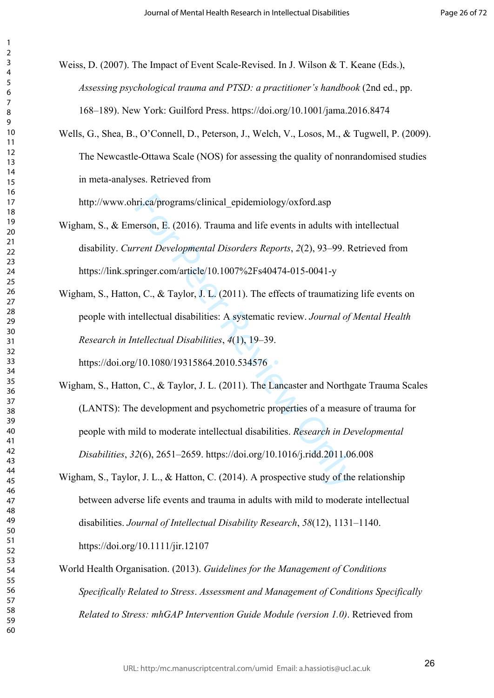Weiss, D. (2007). The Impact of Event Scale-Revised. In J. Wilson & T. Keane (Eds.), *Assessing psychological trauma and PTSD: a practitioner's handbook* (2nd ed., pp. 168–189). New York: Guilford Press. https://doi.org/10.1001/jama.2016.8474

Wells, G., Shea, B., O'Connell, D., Peterson, J., Welch, V., Losos, M., & Tugwell, P. (2009). The Newcastle-Ottawa Scale (NOS) for assessing the quality of nonrandomised studies in meta-analyses. Retrieved from

http://www.ohri.ca/programs/clinical\_epidemiology/oxford.asp

 $\mathbf{1}$  $\overline{2}$  $\overline{4}$  $\overline{7}$ 

Wigham, S., & Emerson, E. (2016). Trauma and life events in adults with intellectual disability. *Current Developmental Disorders Reports*, *2*(2), 93–99. Retrieved from https://link.springer.com/article/10.1007%2Fs40474-015-0041-y

Wigham, S., Hatton, C., & Taylor, J. L. (2011). The effects of traumatizing life events on people with intellectual disabilities: A systematic review. *Journal of Mental Health Research in Intellectual Disabilities*, *4*(1), 19–39. https://doi.org/10.1080/19315864.2010.534576

iri.ca/programs/clinical\_epidemiology/oxford.asp<br>erson, E. (2016). Trauma and life events in adults with<br>rent Developmental Disorders Reports, 2(2), 93–99. R<br>ringer.com/article/10.1007%2Fs40474-015-0041-y<br>n, C., & Taylor, Wigham, S., Hatton, C., & Taylor, J. L. (2011). The Lancaster and Northgate Trauma Scales (LANTS): The development and psychometric properties of a measure of trauma for people with mild to moderate intellectual disabilities. *Research in Developmental Disabilities*, *32*(6), 2651–2659. https://doi.org/10.1016/j.ridd.2011.06.008

- Wigham, S., Taylor, J. L., & Hatton, C. (2014). A prospective study of the relationship between adverse life events and trauma in adults with mild to moderate intellectual disabilities. *Journal of Intellectual Disability Research*, *58*(12), 1131–1140. https://doi.org/10.1111/jir.12107
- World Health Organisation. (2013). *Guidelines for the Management of Conditions Specifically Related to Stress*. *Assessment and Management of Conditions Specifically Related to Stress: mhGAP Intervention Guide Module (version 1.0)*. Retrieved from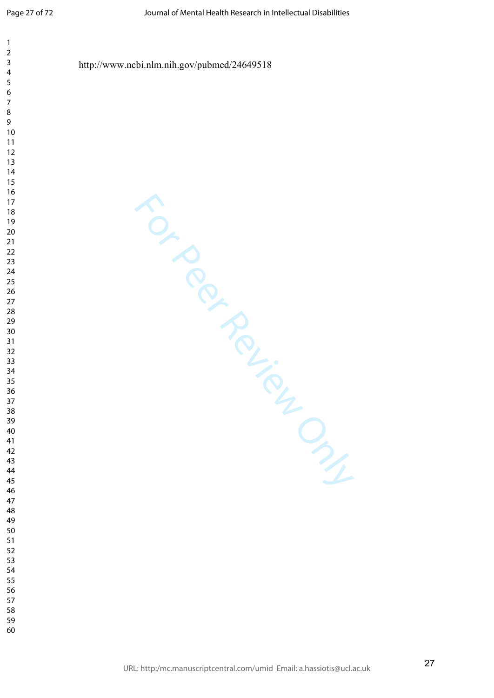| $\boldsymbol{7}$<br>$\,8\,$<br>9<br>$10$<br>11<br>$12\,$<br>$13$<br>$14\,$<br>$15\,$<br>$16\,$<br>$17\,$<br>$18\,$<br>$19$<br>$20\,$<br>$21$<br>$22\,$<br>23<br>$24\,$<br>25<br>26<br>$27\,$<br>${\bf 28}$<br>29<br>$30\,$<br>31<br>32<br>33<br>34<br>35<br>36<br>37<br>$38\,$<br>L<br>39<br>$O_{\gamma_{f}}$<br>40<br>41<br>42<br>43<br>44<br>45<br>46<br>47<br>48<br>49<br>50<br>51<br>52<br>53<br>54<br>55<br>56<br>57 | $\mathbf{1}$<br>$\mathbf 2$<br>3<br>$\overline{\mathbf{4}}$<br>5 | http://www.ncbi.nlm.nih.gov/pubmed/24649518 |
|---------------------------------------------------------------------------------------------------------------------------------------------------------------------------------------------------------------------------------------------------------------------------------------------------------------------------------------------------------------------------------------------------------------------------|------------------------------------------------------------------|---------------------------------------------|
| 59<br>60                                                                                                                                                                                                                                                                                                                                                                                                                  | 6<br>58                                                          |                                             |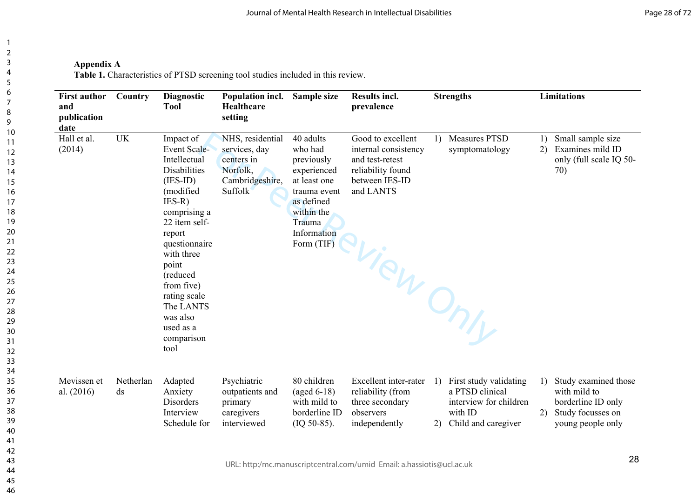**Appendix A**

Table 1. Characteristics of PTSD screening tool studies included in this review.

| <b>First author</b><br>Country<br>and<br>publication<br>date |                 | <b>Diagnostic</b><br><b>Tool</b>                                                                                                                                                                                                                                                                        | Population incl.<br>Healthcare<br>setting                                                        | Sample size                                                                                                                                          | Results incl.<br>prevalence                                                                                                    |          | <b>Strengths</b>                                                                                      |          | <b>Limitations</b>                                                                                   |
|--------------------------------------------------------------|-----------------|---------------------------------------------------------------------------------------------------------------------------------------------------------------------------------------------------------------------------------------------------------------------------------------------------------|--------------------------------------------------------------------------------------------------|------------------------------------------------------------------------------------------------------------------------------------------------------|--------------------------------------------------------------------------------------------------------------------------------|----------|-------------------------------------------------------------------------------------------------------|----------|------------------------------------------------------------------------------------------------------|
| Hall et al.<br>(2014)                                        | <b>UK</b>       | Impact of<br><b>Event Scale-</b><br>Intellectual<br><b>Disabilities</b><br>$(IES-ID)$<br>(modified<br>$IES-R)$<br>comprising a<br>22 item self-<br>report<br>questionnaire<br>with three<br>point<br>(reduced<br>from five)<br>rating scale<br>The LANTS<br>was also<br>used as a<br>comparison<br>tool | NHS, residential<br>services, day<br>centers in<br>Norfolk,<br>Cambridgeshire,<br><b>Suffolk</b> | 40 adults<br>who had<br>previously<br>experienced<br>at least one<br>trauma event<br>as defined<br>within the<br>Trauma<br>Information<br>Form (TIF) | Good to excellent<br>internal consistency<br>and test-retest<br>reliability found<br>between IES-ID<br>and LANTS<br>-View Only | 1)       | <b>Measures PTSD</b><br>symptomatology                                                                | 1)<br>2) | Small sample size<br>Examines mild ID<br>only (full scale IQ 50-<br>70)                              |
| Mevissen et<br>al. (2016)                                    | Netherlan<br>ds | Adapted<br>Anxiety<br>Disorders<br>Interview<br>Schedule for                                                                                                                                                                                                                                            | Psychiatric<br>outpatients and<br>primary<br>caregivers<br>interviewed                           | 80 children<br>$(aged 6-18)$<br>with mild to<br>borderline ID<br>$(IQ 50-85).$                                                                       | Excellent inter-rater<br>reliability (from<br>three secondary<br>observers<br>independently                                    | 1)<br>2) | First study validating<br>a PTSD clinical<br>interview for children<br>with ID<br>Child and caregiver | 1)<br>2) | Study examined those<br>with mild to<br>borderline ID only<br>Study focusses on<br>young people only |
|                                                              |                 |                                                                                                                                                                                                                                                                                                         |                                                                                                  |                                                                                                                                                      |                                                                                                                                |          |                                                                                                       |          | 28                                                                                                   |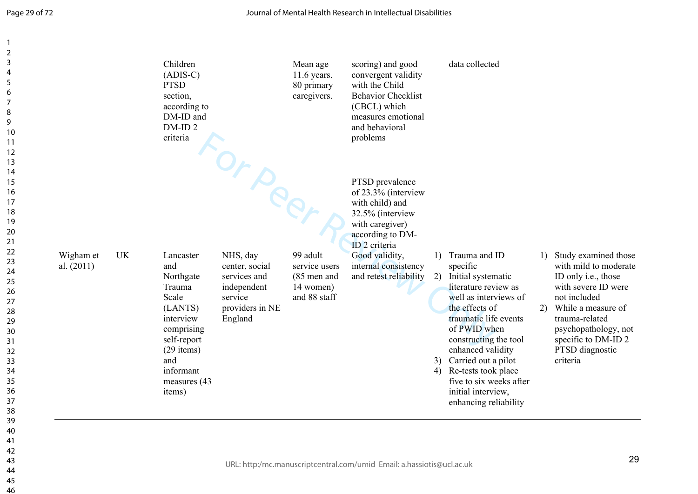| $\overline{2}$<br>3<br>4<br>5<br>6<br>$\overline{7}$<br>8<br>9<br>10<br>11<br>12                                                                   |                           |           | Children<br>$(ADIS-C)$<br><b>PTSD</b><br>section,<br>according to<br>DM-ID and<br>DM-ID <sub>2</sub><br>criteria                                                     |                                                                                                              | Mean age<br>11.6 years.<br>80 primary<br>caregivers.                  | scoring) and good<br>convergent validity<br>with the Child<br><b>Behavior Checklist</b><br>(CBCL) which<br>measures emotional<br>and behavioral<br>problems                                                          |                                                | data collected                                                                                                                                                                                                                                                                                           |              |                                                                                                                                                                                                                                      |
|----------------------------------------------------------------------------------------------------------------------------------------------------|---------------------------|-----------|----------------------------------------------------------------------------------------------------------------------------------------------------------------------|--------------------------------------------------------------------------------------------------------------|-----------------------------------------------------------------------|----------------------------------------------------------------------------------------------------------------------------------------------------------------------------------------------------------------------|------------------------------------------------|----------------------------------------------------------------------------------------------------------------------------------------------------------------------------------------------------------------------------------------------------------------------------------------------------------|--------------|--------------------------------------------------------------------------------------------------------------------------------------------------------------------------------------------------------------------------------------|
| 13<br>14<br>15<br>16<br>17<br>18<br>19<br>20<br>21<br>22<br>23<br>24<br>25<br>26<br>27<br>28<br>29<br>30<br>31<br>32<br>33<br>34<br>35<br>36<br>37 | Wigham et<br>al. $(2011)$ | <b>UK</b> | Lancaster<br>and<br>Northgate<br>Trauma<br>Scale<br>(LANTS)<br>interview<br>comprising<br>self-report<br>$(29$ items)<br>and<br>informant<br>measures (43)<br>items) | rorper<br>NHS, day<br>center, social<br>services and<br>independent<br>service<br>providers in NE<br>England | 99 adult<br>service users<br>(85 men and<br>14 women)<br>and 88 staff | PTSD prevalence<br>of 23.3% (interview<br>with child) and<br>32.5% (interview<br>with caregiver)<br>according to DM-<br>ID <sub>2</sub> criteria<br>Good validity,<br>internal consistency<br>and retest reliability | $\left( \frac{1}{2} \right)$<br>2)<br>3)<br>4) | Trauma and ID<br>specific<br>Initial systematic<br>literature review as<br>well as interviews of<br>the effects of<br>traumatic life events<br>of PWID when<br>constructing the tool<br>enhanced validity<br>Carried out a pilot<br>Re-tests took place<br>five to six weeks after<br>initial interview, | $\mathbf{D}$ | Study examined those<br>with mild to moderate<br>ID only i.e., those<br>with severe ID were<br>not included<br>2) While a measure of<br>trauma-related<br>psychopathology, not<br>specific to DM-ID 2<br>PTSD diagnostic<br>criteria |
| 38<br>39<br>40<br>41<br>42<br>43<br>44<br>45<br>46                                                                                                 |                           |           |                                                                                                                                                                      |                                                                                                              |                                                                       | URL: http:/mc.manuscriptcentral.com/umid Email: a.hassiotis@ucl.ac.uk                                                                                                                                                |                                                | enhancing reliability                                                                                                                                                                                                                                                                                    |              | 29                                                                                                                                                                                                                                   |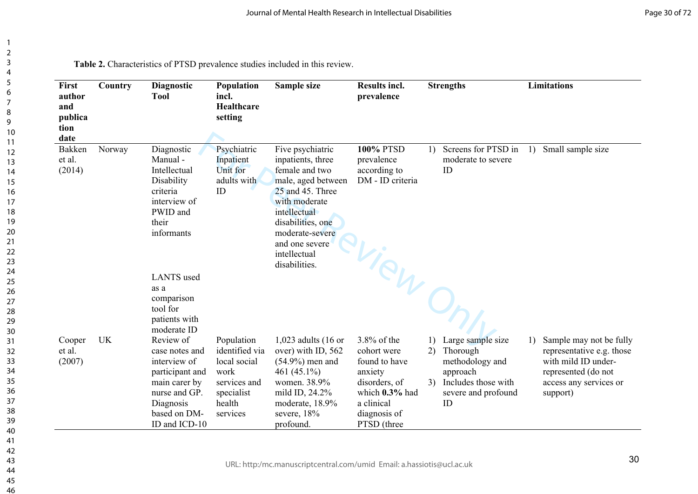| First<br>author<br>and<br>publica<br>tion<br>date | Country   | Diagnostic<br><b>Tool</b>                                                                                                                      | Population<br>incl.<br>Healthcare<br>setting                                                             | Sample size                                                                                                                                                                                                                   | <b>Results incl.</b><br>prevalence                                                                                                           |           | <b>Strengths</b>                                                                                                    |    | <b>Limitations</b>                                                                                                                       |
|---------------------------------------------------|-----------|------------------------------------------------------------------------------------------------------------------------------------------------|----------------------------------------------------------------------------------------------------------|-------------------------------------------------------------------------------------------------------------------------------------------------------------------------------------------------------------------------------|----------------------------------------------------------------------------------------------------------------------------------------------|-----------|---------------------------------------------------------------------------------------------------------------------|----|------------------------------------------------------------------------------------------------------------------------------------------|
| <b>Bakken</b><br>et al.<br>(2014)                 | Norway    | Diagnostic<br>Manual-<br>Intellectual<br>Disability<br>criteria<br>interview of<br>PWID and<br>their<br>informants                             | Psychiatric<br>Inpatient<br>Unit for<br>adults with<br>ID                                                | Five psychiatric<br>inpatients, three<br>female and two<br>male, aged between<br>25 and 45. Three<br>with moderate<br>intellectual<br>disabilities, one<br>moderate-severe<br>and one severe<br>intellectual<br>disabilities. | <b>100% PTSD</b><br>prevalence<br>according to<br>DM - ID criteria                                                                           |           | 1) Screens for PTSD in<br>moderate to severe<br>ID                                                                  | 1) | Small sample size                                                                                                                        |
|                                                   |           | <b>LANTS</b> used<br>as a<br>comparison<br>tool for<br>patients with<br>moderate ID                                                            |                                                                                                          |                                                                                                                                                                                                                               | -View                                                                                                                                        |           |                                                                                                                     |    |                                                                                                                                          |
| Cooper<br>et al.<br>(2007)                        | <b>UK</b> | Review of<br>case notes and<br>interview of<br>participant and<br>main carer by<br>nurse and GP.<br>Diagnosis<br>based on DM-<br>ID and ICD-10 | Population<br>identified via<br>local social<br>work<br>services and<br>specialist<br>health<br>services | 1,023 adults (16 or<br>over) with ID, 562<br>$(54.9\%)$ men and<br>461 (45.1%)<br>women. 38.9%<br>mild ID, 24.2%<br>moderate, 18.9%<br>severe, 18%<br>profound.                                                               | $3.8\%$ of the<br>cohort were<br>found to have<br>anxiety<br>disorders, of<br>which $0.3\%$ had<br>a clinical<br>diagnosis of<br>PTSD (three | 1)<br>(2) | Large sample size<br>Thorough<br>methodology and<br>approach<br>3) Includes those with<br>severe and profound<br>ID | 1) | Sample may not be fully<br>representative e.g. those<br>with mild ID under-<br>represented (do not<br>access any services or<br>support) |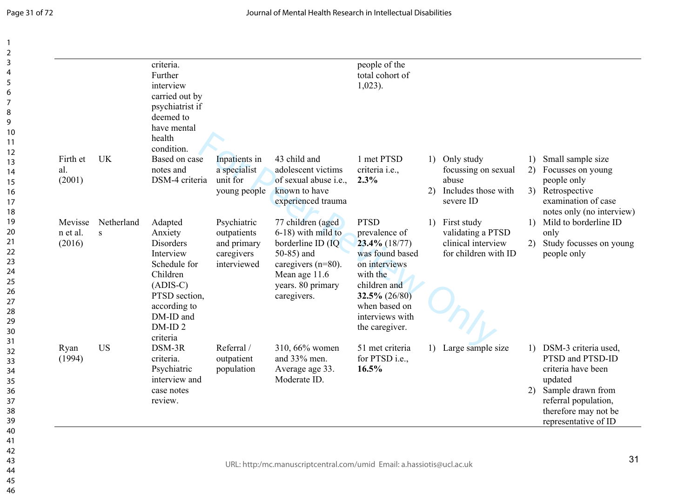|                 |            | criteria.<br>Further<br>interview<br>carried out by<br>psychiatrist if<br>deemed to<br>have mental<br>health<br>condition. |                               |                                        | people of the<br>total cohort of<br>$1,023$ ). |                                      |          |                                                                      |
|-----------------|------------|----------------------------------------------------------------------------------------------------------------------------|-------------------------------|----------------------------------------|------------------------------------------------|--------------------------------------|----------|----------------------------------------------------------------------|
| Firth et<br>al. | <b>UK</b>  | Based on case<br>notes and                                                                                                 | Inpatients in<br>a specialist | 43 child and<br>adolescent victims     | 1 met PTSD<br>criteria <i>i.e.</i> ,           | 1) Only study<br>focussing on sexual | 1)<br>2) | Small sample size<br>Focusses on young                               |
| (2001)          |            | DSM-4 criteria                                                                                                             | unit for                      | of sexual abuse i.e.,                  | 2.3%                                           | abuse                                |          | people only                                                          |
|                 |            |                                                                                                                            | young people                  | known to have<br>experienced trauma    |                                                | 2) Includes those with<br>severe ID  |          | 3) Retrospective<br>examination of case<br>notes only (no interview) |
| Mevisse         | Netherland | Adapted                                                                                                                    | Psychiatric                   | 77 children (aged                      | <b>PTSD</b>                                    | 1) First study                       |          | 1) Mild to borderline ID                                             |
| n et al.        | S          | Anxiety                                                                                                                    | outpatients                   | 6-18) with mild to                     | prevalence of                                  | validating a PTSD                    |          | only                                                                 |
| (2016)          |            | Disorders                                                                                                                  | and primary                   | borderline ID (IQ                      | $23.4\%$ (18/77)                               | clinical interview                   | 2)       | Study focusses on young                                              |
|                 |            | Interview<br>Schedule for                                                                                                  | caregivers<br>interviewed     | 50-85) and                             | was found based<br>on interviews               | for children with ID                 |          | people only                                                          |
|                 |            | Children                                                                                                                   |                               | caregivers $(n=80)$ .<br>Mean age 11.6 | with the                                       |                                      |          |                                                                      |
|                 |            | $(ADIS-C)$                                                                                                                 |                               | years. 80 primary                      | children and                                   |                                      |          |                                                                      |
|                 |            | PTSD section,                                                                                                              |                               | caregivers.                            | $32.5\% (26/80)$                               |                                      |          |                                                                      |
|                 |            | according to                                                                                                               |                               |                                        | when based on                                  |                                      |          |                                                                      |
|                 |            | DM-ID and<br>DM-ID <sub>2</sub>                                                                                            |                               |                                        | interviews with                                |                                      |          |                                                                      |
|                 |            | criteria                                                                                                                   |                               |                                        | the caregiver.                                 |                                      |          |                                                                      |
| Ryan            | <b>US</b>  | DSM-3R                                                                                                                     | Referral /                    | 310, 66% women                         | 51 met criteria                                | 1) Large sample size                 |          | 1) DSM-3 criteria used,                                              |
| (1994)          |            | criteria.                                                                                                                  | outpatient                    | and 33% men.                           | for PTSD i.e.,                                 |                                      |          | PTSD and PTSD-ID                                                     |
|                 |            | Psychiatric                                                                                                                | population                    | Average age 33.                        | 16.5%                                          |                                      |          | criteria have been                                                   |
|                 |            | interview and<br>case notes                                                                                                |                               | Moderate ID.                           |                                                |                                      |          | updated<br>2) Sample drawn from                                      |
|                 |            | review.                                                                                                                    |                               |                                        |                                                |                                      |          | referral population,                                                 |
|                 |            |                                                                                                                            |                               |                                        |                                                |                                      |          | therefore may not be                                                 |
|                 |            |                                                                                                                            |                               |                                        |                                                |                                      |          | representative of ID                                                 |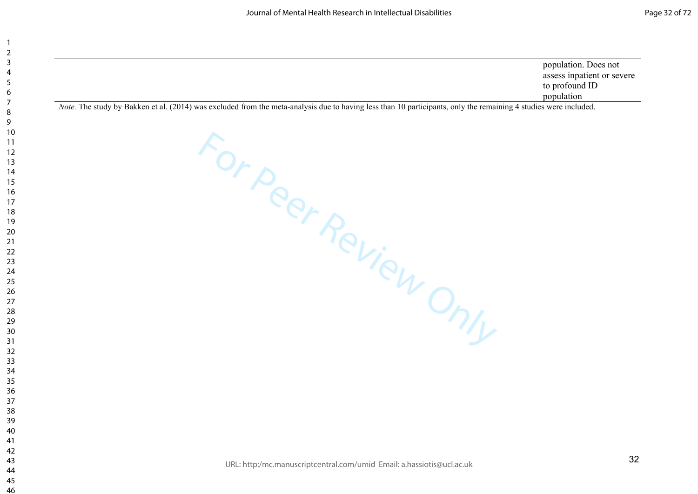|                                                                                                                                                                | population. Does not       |
|----------------------------------------------------------------------------------------------------------------------------------------------------------------|----------------------------|
|                                                                                                                                                                | assess inpatient or severe |
|                                                                                                                                                                | to profound ID             |
|                                                                                                                                                                | population                 |
| Note The study by Bakken et al. (2014) was excluded from the meta-analysis due to having less than 10 particinants, only the remaining 4 studies were included |                            |

For Peer Review Only

*Note.* The study by Bakken et al. (2014) was excluded from the meta-analysis due to having less than 10 participants, only the remaining 4 studies were included.

URL: http:/mc.manuscriptcentral.com/umid Email: a.hassiotis@ucl.ac.uk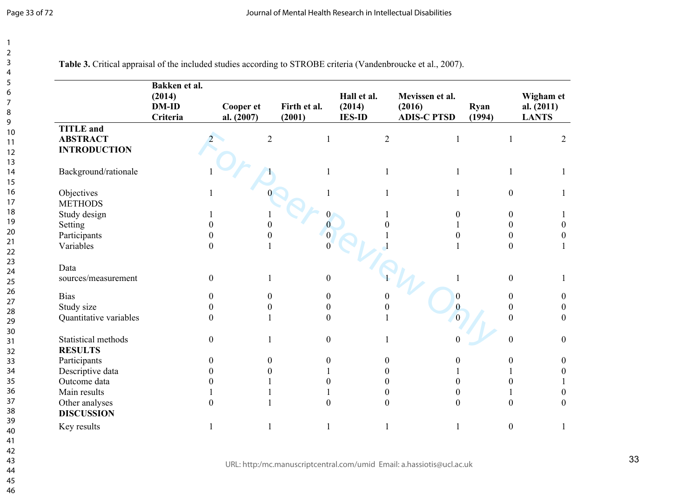Journal of Mental Health Research in Intellectual Disabilities

|                                     | Bakken et al.<br>(2014)<br><b>DM-ID</b><br>Criteria | Cooper et<br>al. (2007) | Firth et al.<br>(2001) | Hall et al.<br>(2014)<br><b>IES-ID</b> | Mevissen et al.<br>(2016)<br><b>ADIS-C PTSD</b> | Ryan<br>(1994)   | Wigham et<br>al. $(2011)$<br><b>LANTS</b> |
|-------------------------------------|-----------------------------------------------------|-------------------------|------------------------|----------------------------------------|-------------------------------------------------|------------------|-------------------------------------------|
| <b>TITLE</b> and<br><b>ABSTRACT</b> |                                                     | $\overline{2}$          | $\mathbf{1}$           | $\overline{2}$                         | 1                                               |                  | $\overline{2}$                            |
| <b>INTRODUCTION</b>                 |                                                     |                         |                        |                                        |                                                 |                  |                                           |
| Background/rationale                |                                                     |                         |                        |                                        | 1                                               |                  |                                           |
| Objectives                          |                                                     |                         |                        |                                        |                                                 | $\overline{0}$   |                                           |
| <b>METHODS</b>                      |                                                     |                         |                        |                                        |                                                 |                  |                                           |
| Study design                        |                                                     |                         |                        |                                        | $\boldsymbol{0}$                                | $\theta$         |                                           |
| Setting                             |                                                     | 0                       | $\overline{0}$         |                                        |                                                 | 0                | 0                                         |
| Participants                        |                                                     | 0<br>0                  | $\overline{0}$         |                                        | $\boldsymbol{0}$                                | 0                | 0                                         |
| Variables                           |                                                     | 0                       |                        |                                        |                                                 | $\Omega$         |                                           |
| Data                                |                                                     |                         |                        |                                        |                                                 |                  |                                           |
| sources/measurement                 |                                                     | $\overline{0}$          | $\boldsymbol{0}$       |                                        |                                                 | $\boldsymbol{0}$ |                                           |
| <b>Bias</b>                         |                                                     | $\theta$<br>0           | $\theta$               |                                        | $\boldsymbol{0}$                                | 0                | 0                                         |
| Study size                          |                                                     | 0<br>$\Omega$           | $\theta$               |                                        | $\bf{0}$                                        |                  | 0                                         |
| Quantitative variables              |                                                     | 0                       | $\mathbf{0}$           |                                        | $\Omega$                                        | $\Omega$         | $\overline{0}$                            |
|                                     |                                                     |                         |                        |                                        |                                                 |                  |                                           |
| Statistical methods                 |                                                     | $\boldsymbol{0}$        | $\mathbf{0}$           |                                        |                                                 | $\boldsymbol{0}$ | $\mathbf{0}$                              |
| <b>RESULTS</b>                      |                                                     |                         |                        |                                        |                                                 |                  |                                           |
| Participants                        |                                                     | 0<br>0                  | $\Omega$               | 0                                      | $\theta$                                        | 0                | $\overline{0}$                            |
| Descriptive data                    |                                                     | 0                       |                        | $\theta$                               |                                                 |                  | $\theta$                                  |
| Outcome data                        |                                                     | 0                       | $\Omega$               | $\theta$                               | 0                                               |                  |                                           |
| Main results                        |                                                     |                         |                        | $\boldsymbol{0}$                       | $\boldsymbol{0}$                                |                  | 0                                         |
| Other analyses                      |                                                     | 0                       | $\theta$               | $\overline{0}$                         | $\overline{0}$                                  | $\Omega$         | $\Omega$                                  |
| <b>DISCUSSION</b>                   |                                                     |                         |                        |                                        |                                                 |                  |                                           |
| Key results                         |                                                     |                         |                        |                                        |                                                 | $\boldsymbol{0}$ |                                           |
|                                     |                                                     |                         |                        |                                        |                                                 |                  |                                           |
|                                     |                                                     |                         |                        |                                        |                                                 |                  |                                           |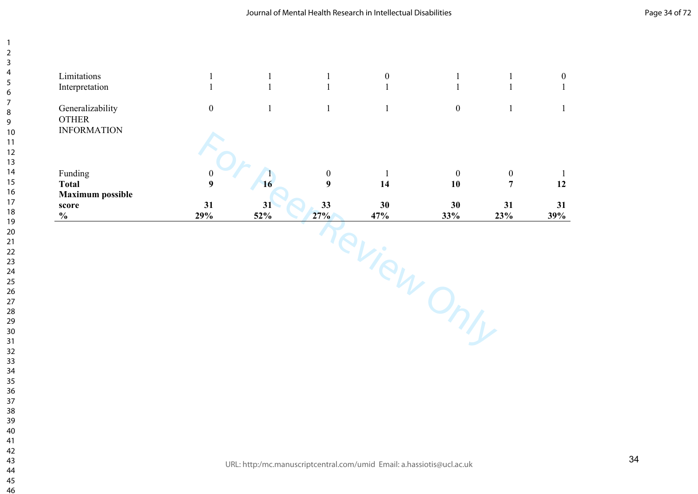| <b>Maximum</b> possible<br>score<br>$\frac{0}{0}$      | 31<br>29%                            | 31<br>52%    | 33<br>27%                            | 30<br>47%        | 30<br>33%              | 31<br>23%                          | 12<br>31<br>39% |
|--------------------------------------------------------|--------------------------------------|--------------|--------------------------------------|------------------|------------------------|------------------------------------|-----------------|
| Funding<br><b>Total</b>                                | $\boldsymbol{0}$<br>$\boldsymbol{9}$ | 16           | $\boldsymbol{0}$<br>$\boldsymbol{9}$ | 14               | $\boldsymbol{0}$<br>10 | $\boldsymbol{0}$<br>$\overline{7}$ |                 |
| Generalizability<br><b>OTHER</b><br><b>INFORMATION</b> | $\boldsymbol{0}$                     | $\mathbf{1}$ | $\mathbf{1}$                         | $\mathbf{1}$     | $\boldsymbol{0}$       | $\mathbf{1}$                       |                 |
| Limitations<br>Interpretation                          |                                      |              | $\mathbf{1}$<br>$\mathbf{1}$         | $\boldsymbol{0}$ | $\mathbf{1}$           |                                    |                 |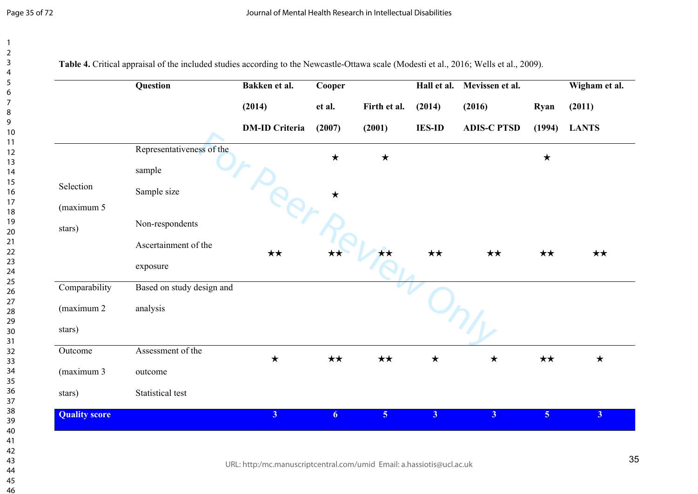|                      | Question                  | Bakken et al.                   | Cooper           |                        | Hall et al.             | Mevissen et al.              |                | Wigham et al.          |
|----------------------|---------------------------|---------------------------------|------------------|------------------------|-------------------------|------------------------------|----------------|------------------------|
|                      |                           | (2014)<br><b>DM-ID Criteria</b> | et al.<br>(2007) | Firth et al.<br>(2001) | (2014)<br><b>IES-ID</b> | (2016)<br><b>ADIS-C PTSD</b> | Ryan<br>(1994) | (2011)<br><b>LANTS</b> |
|                      |                           |                                 |                  |                        |                         |                              |                |                        |
|                      | Representativeness of the |                                 | $\star$          | $\bigstar$             |                         |                              | $\bigstar$     |                        |
|                      | sample                    |                                 |                  |                        |                         |                              |                |                        |
| Selection            | Sample size               |                                 | $\star$          |                        |                         |                              |                |                        |
| (maximum 5           |                           |                                 |                  |                        |                         |                              |                |                        |
| stars)               | Non-respondents           |                                 |                  |                        |                         |                              |                |                        |
|                      | Ascertainment of the      | $\star\star$                    |                  | ★★                     | $\star\star$            | $\star\star$                 | $\star\star$   | $\star\star$           |
|                      | exposure                  |                                 |                  |                        |                         |                              |                |                        |
| Comparability        | Based on study design and |                                 |                  |                        |                         |                              |                |                        |
| (maximum 2)          | analysis                  |                                 |                  |                        |                         |                              |                |                        |
| stars)               |                           |                                 |                  |                        |                         |                              |                |                        |
| Outcome              | Assessment of the         | $\bigstar$                      | $\star\star$     | $\star\star$           | $\bigstar$              | $\star$                      | $\star\star$   | $\star$                |
| (maximum 3           | outcome                   |                                 |                  |                        |                         |                              |                |                        |
| stars)               | Statistical test          |                                 |                  |                        |                         |                              |                |                        |
| <b>Quality score</b> |                           | 3 <sup>1</sup>                  | 6                | 5 <sub>1</sub>         | 3 <sup>1</sup>          | 3 <sup>1</sup>               | 5 <sub>1</sub> | 3 <sup>1</sup>         |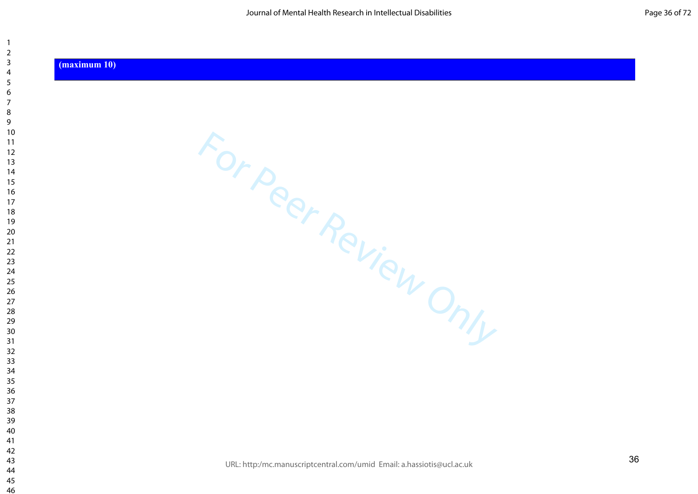#### **(maximum 10)**

 $\overline{\phantom{a}}$ 

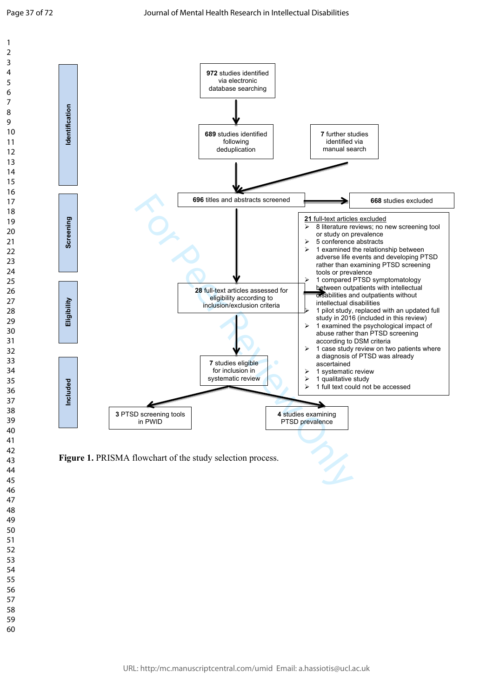$\mathbf{1}$  $\overline{2}$  $\overline{3}$  $\overline{4}$ 5 6  $\overline{7}$ 8  $\overline{9}$ 



Figure 1. PRISMA flowchart of the study selection process.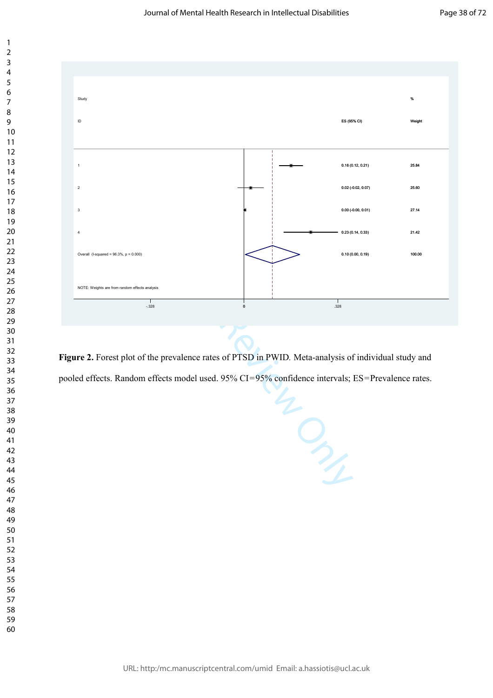

**Figure 2.** Forest plot of the prevalence rates of PTSD in PWID*.* Meta-analysis of individual study and pooled effects. Random effects model used. 95% CI=95% confidence intervals; ES=Prevalence rates.

URL: http:/mc.manuscriptcentral.com/umid Email: a.hassiotis@ucl.ac.uk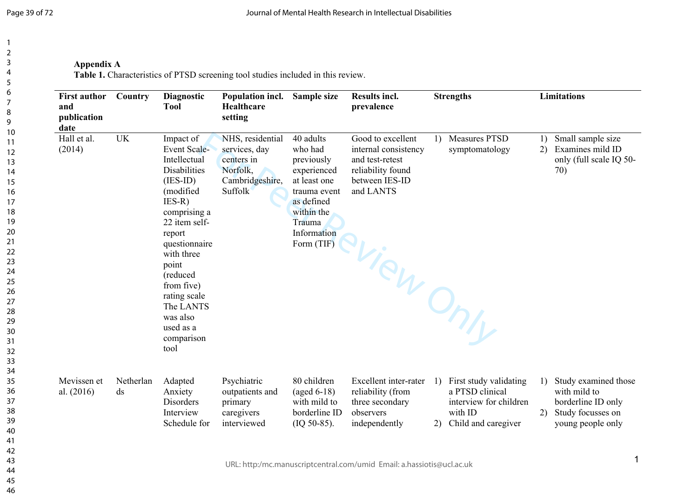**Appendix A**

**Table 1.** Characteristics of PTSD screening tool studies included in this review.

| <b>First author</b><br>and<br>publication<br>date | Country                             | <b>Diagnostic</b><br><b>Tool</b>                                                                                                                                                                                                                                                                        | Population incl.<br>Healthcare<br>setting                                                        | Sample size                                                                                                                                          | <b>Results incl.</b><br>prevalence                                                                               | <b>Strengths</b>                                                                                                         | <b>Limitations</b>                                                                                         |
|---------------------------------------------------|-------------------------------------|---------------------------------------------------------------------------------------------------------------------------------------------------------------------------------------------------------------------------------------------------------------------------------------------------------|--------------------------------------------------------------------------------------------------|------------------------------------------------------------------------------------------------------------------------------------------------------|------------------------------------------------------------------------------------------------------------------|--------------------------------------------------------------------------------------------------------------------------|------------------------------------------------------------------------------------------------------------|
| Hall et al.<br>(2014)                             | <b>UK</b>                           | Impact of<br><b>Event Scale-</b><br>Intellectual<br><b>Disabilities</b><br>$(IES-ID)$<br>(modified<br>$IES-R)$<br>comprising a<br>22 item self-<br>report<br>questionnaire<br>with three<br>point<br>(reduced<br>from five)<br>rating scale<br>The LANTS<br>was also<br>used as a<br>comparison<br>tool | NHS, residential<br>services, day<br>centers in<br>Norfolk,<br>Cambridgeshire,<br><b>Suffolk</b> | 40 adults<br>who had<br>previously<br>experienced<br>at least one<br>trauma event<br>as defined<br>within the<br>Trauma<br>Information<br>Form (TIF) | Good to excellent<br>internal consistency<br>and test-retest<br>reliability found<br>between IES-ID<br>and LANTS | <b>Measures PTSD</b><br>1)<br>symptomatology<br>sview Only                                                               | Small sample size<br>1)<br>Examines mild ID<br>2)<br>only (full scale IQ 50-<br>70)                        |
| Mevissen et<br>al. $(2016)$                       | Netherlan<br>$\mathrm{d}\mathrm{s}$ | Adapted<br>Anxiety<br><b>Disorders</b><br>Interview<br>Schedule for                                                                                                                                                                                                                                     | Psychiatric<br>outpatients and<br>primary<br>caregivers<br>interviewed                           | 80 children<br>$(\text{aged } 6-18)$<br>with mild to<br>borderline ID<br>$(IQ 50-85).$                                                               | Excellent inter-rater<br>reliability (from<br>three secondary<br>observers<br>independently                      | First study validating<br><sup>1</sup><br>a PTSD clinical<br>interview for children<br>with ID<br>2) Child and caregiver | Study examined those<br>with mild to<br>borderline ID only<br>Study focusses on<br>2)<br>young people only |
|                                                   |                                     |                                                                                                                                                                                                                                                                                                         | $1.101$ $1.11$ $1.12$ $1.12$ $1.12$                                                              |                                                                                                                                                      | and the company of the control of the control of the control of the control of the control of the control of the |                                                                                                                          | 1                                                                                                          |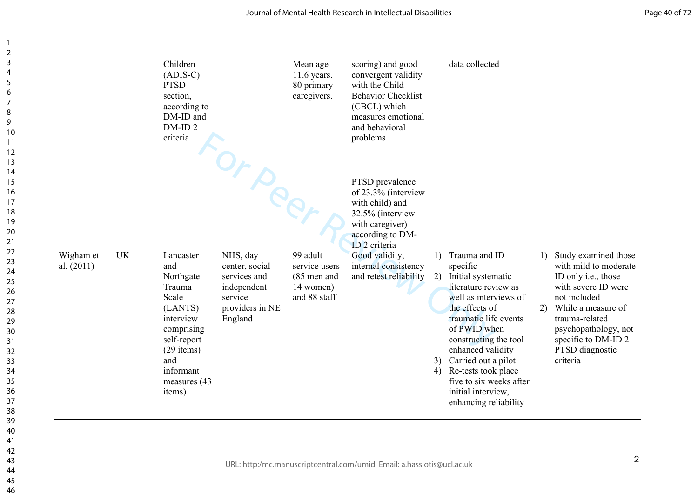|                                        | Children<br>$(ADIS-C)$<br><b>PTSD</b><br>section,<br>according to<br>DM-ID and<br>DM-ID <sub>2</sub><br>criteria                                                     |                                                                                                             | Mean age<br>$11.6$ years.<br>80 primary<br>caregivers.                  | scoring) and good<br>convergent validity<br>with the Child<br><b>Behavior Checklist</b><br>(CBCL) which<br>measures emotional<br>and behavioral<br>problems                                                          |          | data collected                                                                                                                                                                                                                                                                                                                          |    |                                                                                                                                                                                                                                      |
|----------------------------------------|----------------------------------------------------------------------------------------------------------------------------------------------------------------------|-------------------------------------------------------------------------------------------------------------|-------------------------------------------------------------------------|----------------------------------------------------------------------------------------------------------------------------------------------------------------------------------------------------------------------|----------|-----------------------------------------------------------------------------------------------------------------------------------------------------------------------------------------------------------------------------------------------------------------------------------------------------------------------------------------|----|--------------------------------------------------------------------------------------------------------------------------------------------------------------------------------------------------------------------------------------|
| <b>UK</b><br>Wigham et<br>al. $(2011)$ | Lancaster<br>and<br>Northgate<br>Trauma<br>Scale<br>(LANTS)<br>interview<br>comprising<br>self-report<br>$(29$ items)<br>and<br>informant<br>measures (43)<br>items) | Orper<br>NHS, day<br>center, social<br>services and<br>independent<br>service<br>providers in NE<br>England | 99 adult<br>service users<br>$(85$ men and<br>14 women)<br>and 88 staff | PTSD prevalence<br>of 23.3% (interview<br>with child) and<br>32.5% (interview<br>with caregiver)<br>according to DM-<br>ID <sub>2</sub> criteria<br>Good validity,<br>internal consistency<br>and retest reliability | 1)<br>2) | Trauma and ID<br>specific<br>Initial systematic<br>literature review as<br>well as interviews of<br>the effects of<br>traumatic life events<br>of PWID when<br>constructing the tool<br>enhanced validity<br>3) Carried out a pilot<br>4) Re-tests took place<br>five to six weeks after<br>initial interview,<br>enhancing reliability | 1) | Study examined those<br>with mild to moderate<br>ID only i.e., those<br>with severe ID were<br>not included<br>2) While a measure of<br>trauma-related<br>psychopathology, not<br>specific to DM-ID 2<br>PTSD diagnostic<br>criteria |
|                                        |                                                                                                                                                                      |                                                                                                             |                                                                         | URL: http:/mc.manuscriptcentral.com/umid Email: a.hassiotis@ucl.ac.uk                                                                                                                                                |          |                                                                                                                                                                                                                                                                                                                                         |    | 2                                                                                                                                                                                                                                    |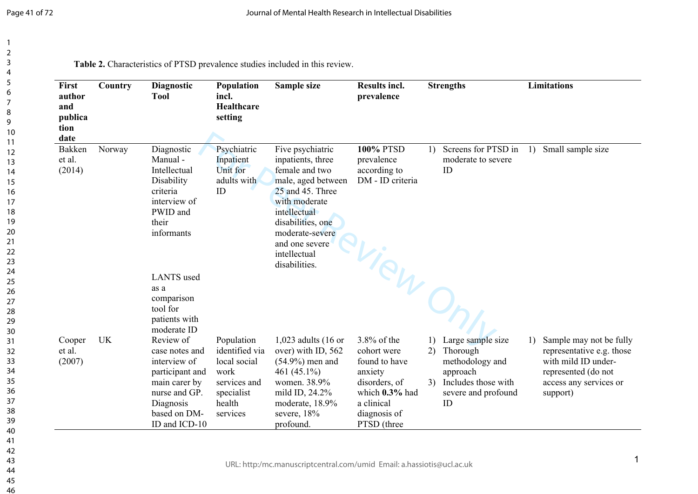| First<br>author<br>and<br>publica<br>tion<br>date | Country   | <b>Diagnostic</b><br><b>Tool</b>                                                                                                               | Population<br>incl.<br><b>Healthcare</b><br>setting                                                      | Sample size                                                                                                                                                                                                                   | <b>Results incl.</b><br>prevalence                                                                                                        | <b>Strengths</b>                                                                                                                   | <b>Limitations</b>                                                                                                                                           |
|---------------------------------------------------|-----------|------------------------------------------------------------------------------------------------------------------------------------------------|----------------------------------------------------------------------------------------------------------|-------------------------------------------------------------------------------------------------------------------------------------------------------------------------------------------------------------------------------|-------------------------------------------------------------------------------------------------------------------------------------------|------------------------------------------------------------------------------------------------------------------------------------|--------------------------------------------------------------------------------------------------------------------------------------------------------------|
| Bakken<br>et al.<br>(2014)                        | Norway    | Diagnostic<br>Manual-<br>Intellectual<br>Disability<br>criteria<br>interview of<br>PWID and<br>their<br>informants                             | Psychiatric<br>Inpatient<br>Unit for<br>adults with<br>ID                                                | Five psychiatric<br>inpatients, three<br>female and two<br>male, aged between<br>25 and 45. Three<br>with moderate<br>intellectual<br>disabilities, one<br>moderate-severe<br>and one severe<br>intellectual<br>disabilities. | <b>100% PTSD</b><br>prevalence<br>according to<br>DM - ID criteria                                                                        | Screens for PTSD in<br>1)<br>moderate to severe<br>ID                                                                              | Small sample size<br>1)                                                                                                                                      |
|                                                   |           | <b>LANTS</b> used<br>as a<br>comparison<br>tool for<br>patients with<br>moderate ID                                                            |                                                                                                          |                                                                                                                                                                                                                               | -View On,                                                                                                                                 |                                                                                                                                    |                                                                                                                                                              |
| Cooper<br>et al.<br>(2007)                        | <b>UK</b> | Review of<br>case notes and<br>interview of<br>participant and<br>main carer by<br>nurse and GP.<br>Diagnosis<br>based on DM-<br>ID and ICD-10 | Population<br>identified via<br>local social<br>work<br>services and<br>specialist<br>health<br>services | 1,023 adults (16 or<br>over) with ID, 562<br>$(54.9\%)$ men and<br>461 (45.1%)<br>women. 38.9%<br>mild ID, 24.2%<br>moderate, 18.9%<br>severe, 18%<br>profound.                                                               | $3.8\%$ of the<br>cohort were<br>found to have<br>anxiety<br>disorders, of<br>which 0.3% had<br>a clinical<br>diagnosis of<br>PTSD (three | Large sample size<br>1)<br>Thorough<br>2)<br>methodology and<br>approach<br>Includes those with<br>3)<br>severe and profound<br>ID | Sample may not be fully<br>$\left( \right)$<br>representative e.g. those<br>with mild ID under-<br>represented (do not<br>access any services or<br>support) |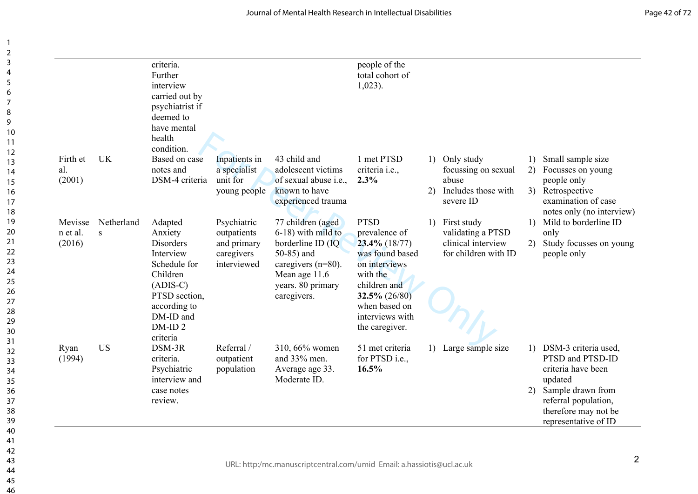|                               |                 | criteria.<br>Further<br>interview<br>carried out by<br>psychiatrist if<br>deemed to<br>have mental<br>health<br>condition.                                 |                                                                        |                                                                                                                                                          | people of the<br>total cohort of<br>$1,023$ ).                                                                                                                                             |          |                                                                                |                         |                                                                                                                                                                        |
|-------------------------------|-----------------|------------------------------------------------------------------------------------------------------------------------------------------------------------|------------------------------------------------------------------------|----------------------------------------------------------------------------------------------------------------------------------------------------------|--------------------------------------------------------------------------------------------------------------------------------------------------------------------------------------------|----------|--------------------------------------------------------------------------------|-------------------------|------------------------------------------------------------------------------------------------------------------------------------------------------------------------|
| Firth et<br>al.<br>(2001)     | UK              | Based on case<br>notes and<br>DSM-4 criteria                                                                                                               | Inpatients in<br>a specialist<br>unit for<br>young people              | 43 child and<br>adolescent victims<br>of sexual abuse <i>i.e.</i> ,<br>known to have                                                                     | 1 met PTSD<br>criteria <i>i.e.</i> ,<br>2.3%                                                                                                                                               | 1)<br>2) | Only study<br>focussing on sexual<br>abuse<br>Includes those with              | 1)<br>2)<br>3)          | Small sample size<br>Focusses on young<br>people only<br>Retrospective                                                                                                 |
|                               |                 |                                                                                                                                                            |                                                                        | experienced trauma                                                                                                                                       |                                                                                                                                                                                            |          | severe ID                                                                      |                         | examination of case<br>notes only (no interview)                                                                                                                       |
| Mevisse<br>n et al.<br>(2016) | Netherland<br>S | Adapted<br>Anxiety<br>Disorders<br>Interview<br>Schedule for<br>Children<br>$(ADIS-C)$<br>PTSD section,<br>according to<br>DM-ID and<br>DM-ID <sub>2</sub> | Psychiatric<br>outpatients<br>and primary<br>caregivers<br>interviewed | 77 children (aged<br>6-18) with mild to<br>borderline ID (IQ<br>50-85) and<br>caregivers $(n=80)$ .<br>Mean age 11.6<br>years. 80 primary<br>caregivers. | <b>PTSD</b><br>prevalence of<br>$23.4\%$ (18/77)<br>was found based<br>on interviews<br>with the<br>children and<br>$32.5\% (26/80)$<br>when based on<br>interviews with<br>the caregiver. | 1)       | First study<br>validating a PTSD<br>clinical interview<br>for children with ID | 1)<br>2)                | Mild to borderline ID<br>only<br>Study focusses on young<br>people only                                                                                                |
| Ryan<br>(1994)                | <b>US</b>       | criteria<br>DSM-3R<br>criteria.<br>Psychiatric<br>interview and<br>case notes<br>review.                                                                   | Referral /<br>outpatient<br>population                                 | 310, 66% women<br>and 33% men.<br>Average age 33.<br>Moderate ID.                                                                                        | 51 met criteria<br>for PTSD i.e.,<br>16.5%                                                                                                                                                 | 1)       | Large sample size                                                              | $\left( \right)$<br>(2) | DSM-3 criteria used,<br>PTSD and PTSD-ID<br>criteria have been<br>updated<br>Sample drawn from<br>referral population,<br>therefore may not be<br>representative of ID |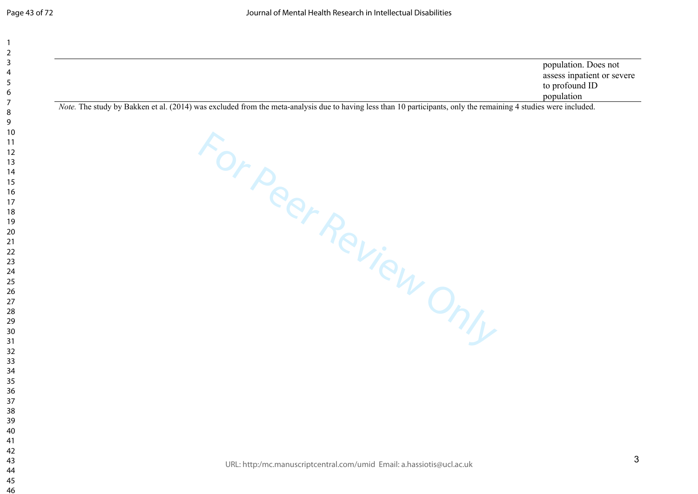| population. Does not       |
|----------------------------|
| assess inpatient or severe |
| to profound ID             |
| population                 |

For Peer Review Only

*Note.* The study by Bakken et al. (2014) was excluded from the meta-analysis due to having less than 10 participants, only the remaining 4 studies were included.

URL: http:/mc.manuscriptcentral.com/umid Email: a.hassiotis@ucl.ac.uk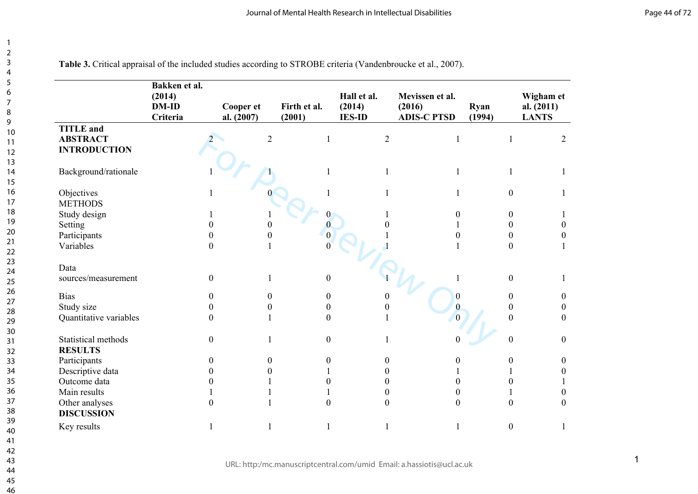|                        | Bakken et al.<br>(2014)<br><b>DM-ID</b><br>Criteria | Cooper et<br>al. $(2007)$ | Firth et al.<br>(2001) | Hall et al.<br>(2014)<br><b>IES-ID</b> | Mevissen et al.<br>(2016)<br><b>ADIS-C PTSD</b> | Ryan<br>(1994)   | Wigham et<br>al. $(2011)$<br><b>LANTS</b> |
|------------------------|-----------------------------------------------------|---------------------------|------------------------|----------------------------------------|-------------------------------------------------|------------------|-------------------------------------------|
| <b>TITLE</b> and       |                                                     |                           |                        |                                        |                                                 |                  |                                           |
| <b>ABSTRACT</b>        |                                                     | $\overline{2}$            | 1                      | $\overline{2}$                         |                                                 | $\mathbf{1}$     | 2                                         |
| <b>INTRODUCTION</b>    |                                                     |                           |                        |                                        |                                                 |                  |                                           |
| Background/rationale   |                                                     |                           |                        | 1                                      |                                                 |                  |                                           |
|                        |                                                     |                           |                        |                                        |                                                 |                  |                                           |
| Objectives             |                                                     |                           |                        | 1                                      |                                                 | $\boldsymbol{0}$ | $\mathbf{1}$                              |
| <b>METHODS</b>         |                                                     |                           |                        |                                        |                                                 |                  |                                           |
| Study design           |                                                     |                           |                        |                                        | $\boldsymbol{0}$                                | $\boldsymbol{0}$ |                                           |
| Setting                | $\overline{0}$                                      |                           | $\overline{0}$         |                                        |                                                 | $\boldsymbol{0}$ | $\boldsymbol{0}$                          |
| Participants           | $\overline{0}$                                      | 0                         | $\Omega$               |                                        | $\boldsymbol{0}$                                | $\boldsymbol{0}$ | $\boldsymbol{0}$                          |
| Variables              | $\overline{0}$                                      |                           |                        |                                        |                                                 | $\mathbf{0}$     |                                           |
| Data                   |                                                     |                           |                        |                                        |                                                 |                  |                                           |
| sources/measurement    | $\overline{0}$                                      |                           | $\boldsymbol{0}$       |                                        |                                                 | $\boldsymbol{0}$ |                                           |
| <b>Bias</b>            | $\theta$                                            | $\boldsymbol{0}$          | $\boldsymbol{0}$       |                                        | $\boldsymbol{0}$                                | $\boldsymbol{0}$ | $\overline{0}$                            |
| Study size             | $\theta$                                            | $\boldsymbol{0}$          | $\boldsymbol{0}$       | $\theta$                               | $\overline{0}$                                  | $\overline{0}$   | $\boldsymbol{0}$                          |
| Quantitative variables | $\Omega$                                            |                           | $\theta$               |                                        |                                                 | $\theta$         | $\mathbf{0}$                              |
| Statistical methods    | $\boldsymbol{0}$                                    |                           | $\boldsymbol{0}$       |                                        |                                                 | $\boldsymbol{0}$ | $\boldsymbol{0}$                          |
| <b>RESULTS</b>         |                                                     |                           |                        |                                        |                                                 |                  |                                           |
| Participants           | $\boldsymbol{0}$                                    | $\boldsymbol{0}$          | $\boldsymbol{0}$       | $\boldsymbol{0}$                       | 0                                               | $\boldsymbol{0}$ | $\boldsymbol{0}$                          |
| Descriptive data       | $\theta$                                            | $\boldsymbol{0}$          |                        | $\theta$                               |                                                 |                  | $\boldsymbol{0}$                          |
| Outcome data           | $\overline{0}$                                      |                           | $\boldsymbol{0}$       | $\theta$                               | $\boldsymbol{0}$                                | $\boldsymbol{0}$ |                                           |
| Main results           |                                                     |                           |                        | $\mathbf{0}$                           | $\overline{0}$                                  |                  | $\boldsymbol{0}$                          |
| Other analyses         | $\Omega$                                            |                           | $\overline{0}$         | $\overline{0}$                         | $\overline{0}$                                  | $\boldsymbol{0}$ | $\mathbf{0}$                              |
| <b>DISCUSSION</b>      |                                                     |                           |                        |                                        |                                                 |                  |                                           |
| Key results            |                                                     |                           | 1                      | 1                                      |                                                 | $\boldsymbol{0}$ | 1                                         |

 $\overline{1}$  $\overline{2}$  $\overline{3}$  $\overline{4}$  $\overline{5}$  $\overline{7}$  $\overline{9}$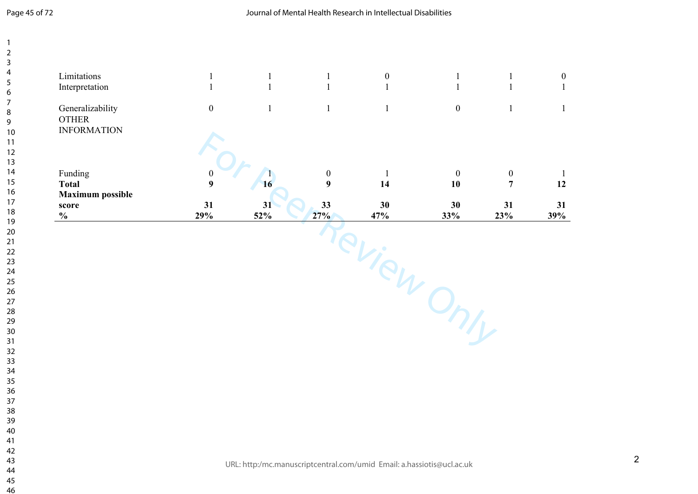$\overline{\phantom{a}}$  $\overline{2}$  $\overline{3}$  $\overline{4}$  $\overline{7}$ 

| Interpretation<br>Generalizability<br><b>OTHER</b> | $\mathbf{1}$<br>$\boldsymbol{0}$ | $\overline{1}$<br>$\mathbf{1}$ | $\mathbf{1}$<br>$\mathbf{1}$ | $\mathbf{1}$ | $\mathbf{1}$<br>$\boldsymbol{0}$ | $\mathbf{1}$<br>$\mathbf{1}$ |  |
|----------------------------------------------------|----------------------------------|--------------------------------|------------------------------|--------------|----------------------------------|------------------------------|--|
| <b>INFORMATION</b>                                 |                                  |                                |                              |              |                                  |                              |  |
| Funding                                            | $\boldsymbol{0}$                 |                                | $\boldsymbol{0}$             | $\mathbf{1}$ | $\mathbf{0}$                     | $\boldsymbol{0}$             |  |
| <b>Total</b>                                       | 9                                | 16                             | $\boldsymbol{9}$             | 14           | 10                               | $\overline{7}$               |  |
| <b>Maximum possible</b><br>score                   | 31                               | 31                             | 33                           | 30           | 30                               | 31                           |  |
| $\frac{0}{0}$                                      | 29%                              | $52\%$                         | 27%                          | 47%          | 33%                              | 23%                          |  |
|                                                    |                                  |                                |                              | $C_{1/2}$    |                                  |                              |  |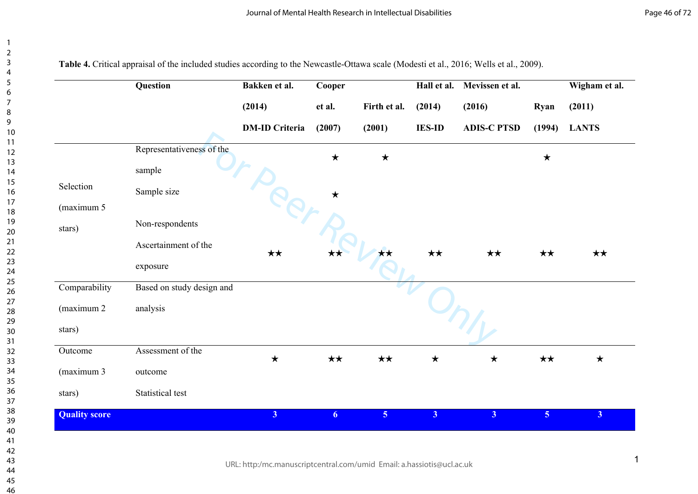| 2                              |  |
|--------------------------------|--|
| 3                              |  |
| 4                              |  |
| 5                              |  |
| 6                              |  |
|                                |  |
|                                |  |
| 8                              |  |
| 9                              |  |
| 10                             |  |
| $\mathbf{1}$<br>1              |  |
| $\mathbf{1}$<br>$\overline{2}$ |  |
| 13                             |  |
| 4<br>1                         |  |
| 15                             |  |
| 16                             |  |
| 1                              |  |
| 18                             |  |
| 19                             |  |
| 20                             |  |
| $\overline{21}$                |  |
| $^{22}$                        |  |
| 23                             |  |
| $\overline{24}$                |  |
| 25                             |  |
| 26                             |  |
| 27                             |  |
| 28                             |  |
| 29                             |  |
| 30                             |  |
| 31                             |  |
| $\overline{32}$                |  |
| 33                             |  |
| 34                             |  |
| 35                             |  |
|                                |  |
| 36                             |  |
| 37                             |  |
| 38                             |  |
| 39                             |  |
| 40                             |  |
| 41                             |  |
| 42                             |  |
| 43                             |  |
| 44                             |  |
| 45                             |  |
| 46                             |  |

 $R_{eff}$ **Question Bakken et al. (2014) DM-ID Criteria Cooper et al. (2007) Firth et al. (2001) Hall et al. Mevissen et al. (2014) IES-ID (2016) ADIS-C PTSD Ryan (1994) Wigham et al. (2011) LANTS**  Representativeness of the sample ★ ★ ★ Sample size Non-respondents Selection (maximum 5 stars) Ascertainment of the exposure ★★ ★★ ★★ ★★ ★★ ★★ ★★ **Comparability** (maximum 2 stars) Based on study design and analysis Assessment of the outcome ★ ★★ ★★ ★ ★ ★★ ★ Outcome (maximum 3 stars) Statistical test **Quality score 3 6 5 3 3 5 3**

**Table 4.** Critical appraisal of the included studies according to the Newcastle-Ottawa scale (Modesti et al., 2016; Wells et al., 2009).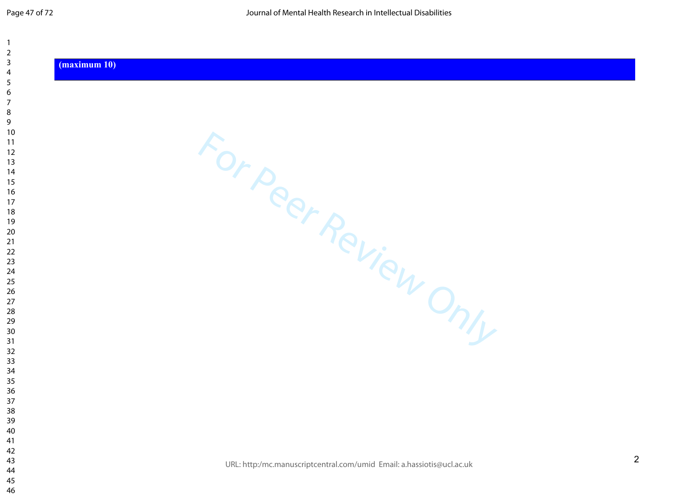$\overline{\mathbf{1}}$  $\overline{2}$  $\overline{3}$  $\overline{4}$  $\overline{7}$ 

#### **(maximum 10)**

For Peer Review Only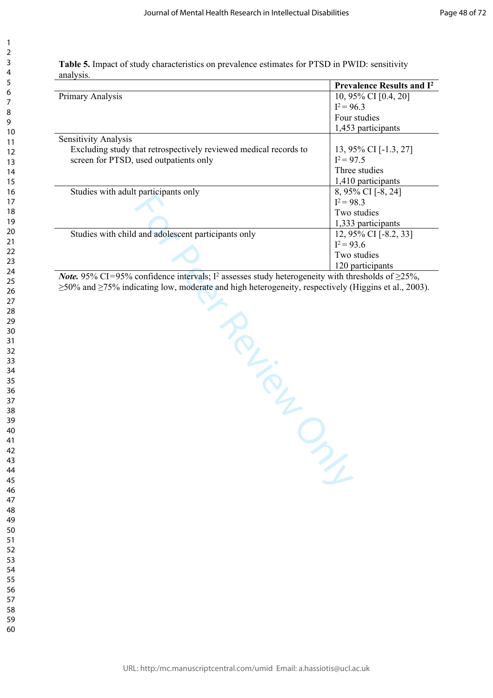| Table 5. Impact of study characteristics on prevalence estimates for PTSD in PWID: sensitivity |
|------------------------------------------------------------------------------------------------|
| analysis.                                                                                      |

|                                                                  | <b>Prevalence Results and I<sup>2</sup></b> |
|------------------------------------------------------------------|---------------------------------------------|
| Primary Analysis                                                 | 10, 95% CI [0.4, 20]                        |
|                                                                  | $I^2 = 96.3$                                |
|                                                                  | Four studies                                |
|                                                                  | 1,453 participants                          |
| Sensitivity Analysis                                             |                                             |
| Excluding study that retrospectively reviewed medical records to | 13, 95% CI [-1.3, 27]                       |
| screen for PTSD, used outpatients only                           | $I^2 = 97.5$                                |
|                                                                  | Three studies                               |
|                                                                  | 1,410 participants                          |
| Studies with a dult participants only                            | 8, 95% CI [-8, 24]                          |
|                                                                  | $I^2 = 98.3$                                |
|                                                                  | Two studies                                 |
|                                                                  | 1,333 participants                          |
| Studies with child and adolescent participants only              | 12, 95% CI [-8.2, 33]                       |
|                                                                  | $I^2 = 93.6$                                |
|                                                                  | Two studies                                 |
|                                                                  | 120 participants                            |

For Personal Property (Higgins et al., *Note*. 95% CI=95% confidence intervals; I<sup>2</sup> assesses study heterogeneity with thresholds of  $\geq$ 25%, ≥50% and ≥75% indicating low, moderate and high heterogeneity, respectively (Higgins et al., 2003).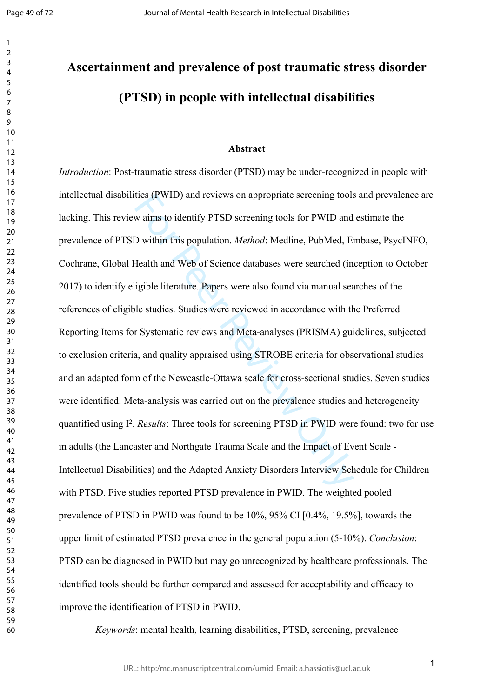$\mathbf{1}$  $\overline{2}$  $\overline{3}$  $\overline{4}$  $\overline{7}$ 

# **Ascertainment and prevalence of post traumatic stress disorder (PTSD) in people with intellectual disabilities**

#### **Abstract**

thes (PWID) and reviews on appropriate screening tools<br>w aims to identify PTSD screening tools for PWID and<br>D within this population. *Method*: Medline, PubMed, Ei<br>Health and Web of Science databases were searched (in<br>igib *Introduction*: Post-traumatic stress disorder (PTSD) may be under-recognized in people with intellectual disabilities (PWID) and reviews on appropriate screening tools and prevalence are lacking. This review aims to identify PTSD screening tools for PWID and estimate the prevalence of PTSD within this population. *Method*: Medline, PubMed, Embase, PsycINFO, Cochrane, Global Health and Web of Science databases were searched (inception to October 2017) to identify eligible literature. Papers were also found via manual searches of the references of eligible studies. Studies were reviewed in accordance with the Preferred Reporting Items for Systematic reviews and Meta-analyses (PRISMA) guidelines, subjected to exclusion criteria, and quality appraised using STROBE criteria for observational studies and an adapted form of the Newcastle-Ottawa scale for cross-sectional studies. Seven studies were identified. Meta-analysis was carried out on the prevalence studies and heterogeneity quantified using I<sup>2</sup>. *Results*: Three tools for screening PTSD in PWID were found: two for use in adults (the Lancaster and Northgate Trauma Scale and the Impact of Event Scale - Intellectual Disabilities) and the Adapted Anxiety Disorders Interview Schedule for Children with PTSD. Five studies reported PTSD prevalence in PWID. The weighted pooled prevalence of PTSD in PWID was found to be 10%, 95% CI [0.4%, 19.5%], towards the upper limit of estimated PTSD prevalence in the general population (5-10%). *Conclusion*: PTSD can be diagnosed in PWID but may go unrecognized by healthcare professionals. The identified tools should be further compared and assessed for acceptability and efficacy to improve the identification of PTSD in PWID.

*Keywords*: mental health, learning disabilities, PTSD, screening, prevalence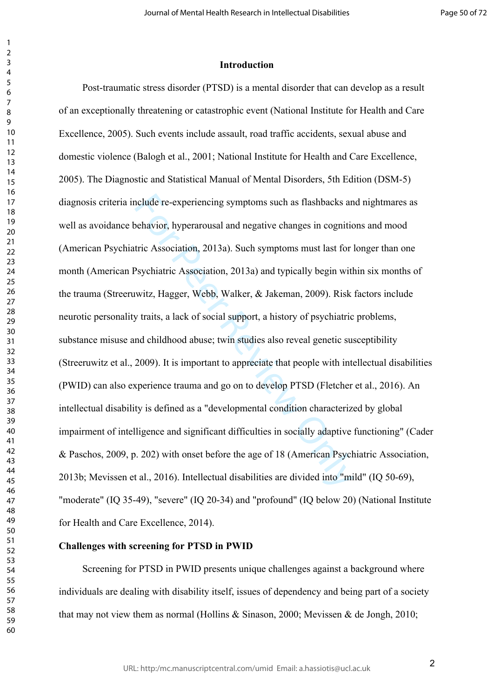#### **Introduction**

nclude re-experiencing symptoms such as flashbacks an behavior, hyperarousal and negative changes in cognitic tric Association, 2013a). Such symptoms must last for last for last polycyclonic Association, 2013a) and typical Post-traumatic stress disorder (PTSD) is a mental disorder that can develop as a result of an exceptionally threatening or catastrophic event (National Institute for Health and Care Excellence, 2005). Such events include assault, road traffic accidents, sexual abuse and domestic violence (Balogh et al., 2001; National Institute for Health and Care Excellence, 2005). The Diagnostic and Statistical Manual of Mental Disorders, 5th Edition (DSM-5) diagnosis criteria include re-experiencing symptoms such as flashbacks and nightmares as well as avoidance behavior, hyperarousal and negative changes in cognitions and mood (American Psychiatric Association, 2013a). Such symptoms must last for longer than one month (American Psychiatric Association, 2013a) and typically begin within six months of the trauma (Streeruwitz, Hagger, Webb, Walker, & Jakeman, 2009). Risk factors include neurotic personality traits, a lack of social support, a history of psychiatric problems, substance misuse and childhood abuse; twin studies also reveal genetic susceptibility (Streeruwitz et al., 2009). It is important to appreciate that people with intellectual disabilities (PWID) can also experience trauma and go on to develop PTSD (Fletcher et al., 2016). An intellectual disability is defined as a "developmental condition characterized by global impairment of intelligence and significant difficulties in socially adaptive functioning" (Cader & Paschos, 2009, p. 202) with onset before the age of 18 (American Psychiatric Association, 2013b; Mevissen et al., 2016). Intellectual disabilities are divided into "mild" (IQ 50-69), "moderate" (IQ 35-49), "severe" (IQ 20-34) and "profound" (IQ below 20) (National Institute for Health and Care Excellence, 2014).

# **Challenges with screening for PTSD in PWID**

 $\mathbf{1}$  $\overline{2}$  $\overline{4}$  $\overline{7}$ 

Screening for PTSD in PWID presents unique challenges against a background where individuals are dealing with disability itself, issues of dependency and being part of a society that may not view them as normal (Hollins  $\&$  Sinason, 2000; Mevissen  $\&$  de Jongh, 2010;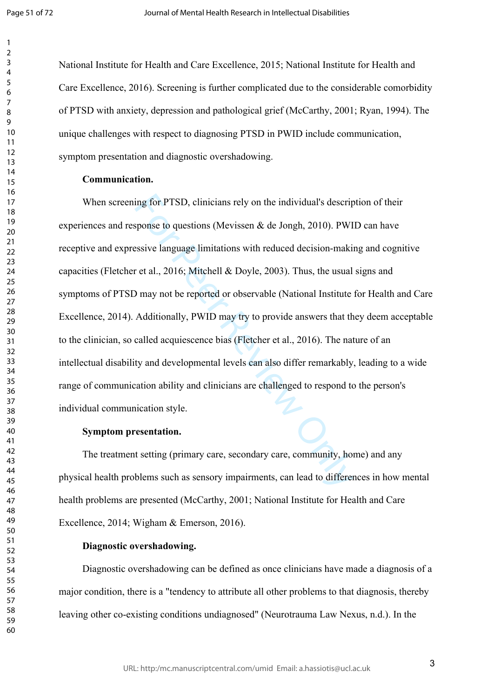$\mathbf{1}$  $\overline{2}$  $\overline{4}$  $\overline{7}$ 

National Institute for Health and Care Excellence, 2015; National Institute for Health and Care Excellence, 2016). Screening is further complicated due to the considerable comorbidity of PTSD with anxiety, depression and pathological grief (McCarthy, 2001; Ryan, 1994). The unique challenges with respect to diagnosing PTSD in PWID include communication, symptom presentation and diagnostic overshadowing.

# **Communication.**

ing for PTSD, clinicians rely on the individual's descriptions (Mevissen & de Jongh, 2010). PWI<br>sesive language limitations with reduced decision-making ret al., 2016; Mitchell & Doyle, 2003). Thus, the usual<br>9 may not be When screening for PTSD, clinicians rely on the individual's description of their experiences and response to questions (Mevissen  $\&$  de Jongh, 2010). PWID can have receptive and expressive language limitations with reduced decision-making and cognitive capacities (Fletcher et al., 2016; Mitchell & Doyle, 2003). Thus, the usual signs and symptoms of PTSD may not be reported or observable (National Institute for Health and Care Excellence, 2014). Additionally, PWID may try to provide answers that they deem acceptable to the clinician, so called acquiescence bias (Fletcher et al., 2016). The nature of an intellectual disability and developmental levels can also differ remarkably, leading to a wide range of communication ability and clinicians are challenged to respond to the person's individual communication style.

#### **Symptom presentation.**

The treatment setting (primary care, secondary care, community, home) and any physical health problems such as sensory impairments, can lead to differences in how mental health problems are presented (McCarthy, 2001; National Institute for Health and Care Excellence, 2014; Wigham & Emerson, 2016).

# **Diagnostic overshadowing.**

Diagnostic overshadowing can be defined as once clinicians have made a diagnosis of a major condition, there is a "tendency to attribute all other problems to that diagnosis, thereby leaving other co-existing conditions undiagnosed" (Neurotrauma Law Nexus, n.d.). In the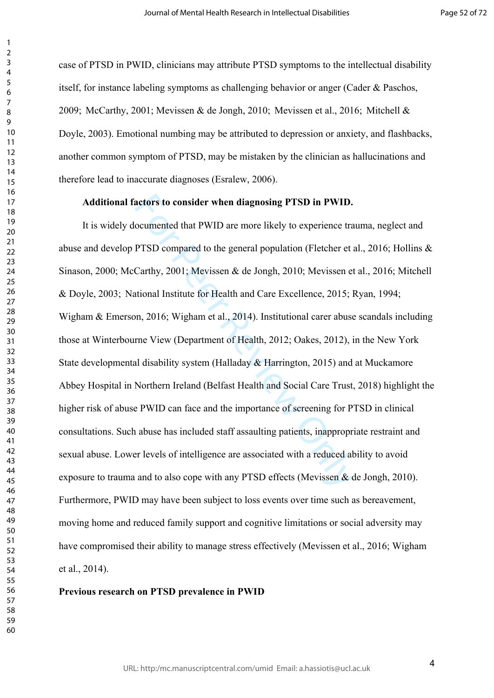case of PTSD in PWID, clinicians may attribute PTSD symptoms to the intellectual disability itself, for instance labeling symptoms as challenging behavior or anger (Cader & Paschos, 2009; McCarthy, 2001; Mevissen & de Jongh, 2010; Mevissen et al., 2016; Mitchell & Doyle, 2003). Emotional numbing may be attributed to depression or anxiety, and flashbacks, another common symptom of PTSD, may be mistaken by the clinician as hallucinations and therefore lead to inaccurate diagnoses (Esralew, 2006).

# **Additional factors to consider when diagnosing PTSD in PWID.**

actors to consider when diagnosing PTSD in PWID.<br>
coumented that PWID are more likely to experience tra<br>
PTSD compared to the general population (Fletcher et a<br>
Carthy, 2001; Mevissen & de Jongh, 2010; Mevissen et<br>
titiona It is widely documented that PWID are more likely to experience trauma, neglect and abuse and develop PTSD compared to the general population (Fletcher et al., 2016; Hollins & Sinason, 2000; McCarthy, 2001; Mevissen & de Jongh, 2010; Mevissen et al., 2016; Mitchell & Doyle, 2003; National Institute for Health and Care Excellence, 2015; Ryan, 1994; Wigham & Emerson, 2016; Wigham et al., 2014). Institutional carer abuse scandals including those at Winterbourne View (Department of Health, 2012; Oakes, 2012), in the New York State developmental disability system (Halladay & Harrington, 2015) and at Muckamore Abbey Hospital in Northern Ireland (Belfast Health and Social Care Trust, 2018) highlight the higher risk of abuse PWID can face and the importance of screening for PTSD in clinical consultations. Such abuse has included staff assaulting patients, inappropriate restraint and sexual abuse. Lower levels of intelligence are associated with a reduced ability to avoid exposure to trauma and to also cope with any PTSD effects (Mevissen & de Jongh, 2010). Furthermore, PWID may have been subject to loss events over time such as bereavement, moving home and reduced family support and cognitive limitations or social adversity may have compromised their ability to manage stress effectively (Mevissen et al., 2016; Wigham et al., 2014).

#### **Previous research on PTSD prevalence in PWID**

 $\mathbf{1}$  $\overline{2}$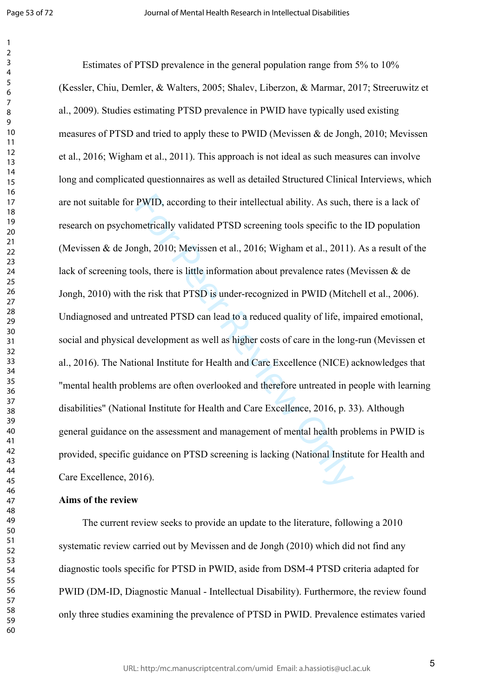$\mathbf{1}$  $\overline{2}$ 

PWID, according to their intellectual ability. As such, metrically validated PTSD screening tools specific to the mgh, 2010; Mevissen et al., 2016; Wigham et al., 2011).<br>Jols, there is little information about prevalence r Estimates of PTSD prevalence in the general population range from 5% to 10% (Kessler, Chiu, Demler, & Walters, 2005; Shalev, Liberzon, & Marmar, 2017; Streeruwitz et al., 2009). Studies estimating PTSD prevalence in PWID have typically used existing measures of PTSD and tried to apply these to PWID (Mevissen & de Jongh, 2010; Mevissen et al., 2016; Wigham et al., 2011). This approach is not ideal as such measures can involve long and complicated questionnaires as well as detailed Structured Clinical Interviews, which are not suitable for PWID, according to their intellectual ability. As such, there is a lack of research on psychometrically validated PTSD screening tools specific to the ID population (Mevissen & de Jongh, 2010; Mevissen et al., 2016; Wigham et al., 2011). As a result of the lack of screening tools, there is little information about prevalence rates (Mevissen & de Jongh, 2010) with the risk that PTSD is under-recognized in PWID (Mitchell et al., 2006). Undiagnosed and untreated PTSD can lead to a reduced quality of life, impaired emotional, social and physical development as well as higher costs of care in the long-run (Mevissen et al., 2016). The National Institute for Health and Care Excellence (NICE) acknowledges that "mental health problems are often overlooked and therefore untreated in people with learning disabilities" (National Institute for Health and Care Excellence, 2016, p. 33). Although general guidance on the assessment and management of mental health problems in PWID is provided, specific guidance on PTSD screening is lacking (National Institute for Health and Care Excellence, 2016).

### **Aims of the review**

The current review seeks to provide an update to the literature, following a 2010 systematic review carried out by Mevissen and de Jongh (2010) which did not find any diagnostic tools specific for PTSD in PWID, aside from DSM-4 PTSD criteria adapted for PWID (DM-ID, Diagnostic Manual - Intellectual Disability). Furthermore, the review found only three studies examining the prevalence of PTSD in PWID. Prevalence estimates varied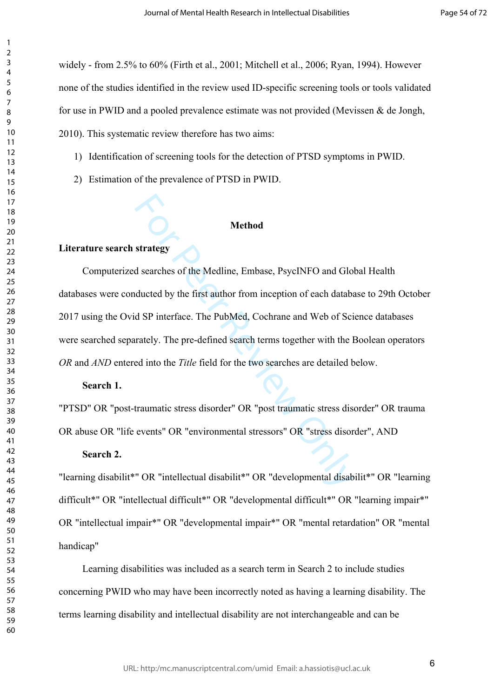widely - from 2.5% to 60% (Firth et al., 2001; Mitchell et al., 2006; Ryan, 1994). However none of the studies identified in the review used ID-specific screening tools or tools validated for use in PWID and a pooled prevalence estimate was not provided (Mevissen & de Jongh, 2010). This systematic review therefore has two aims:

- 1) Identification of screening tools for the detection of PTSD symptoms in PWID.
- 2) Estimation of the prevalence of PTSD in PWID.

#### **Method**

# **Literature search strategy**

 $\mathbf{1}$  $\overline{2}$  $\overline{4}$  $\overline{7}$ 

Method<br>
strategy<br>
d searches of the Medline, Embase, PsycINFO and Glo<br>
ducted by the first author from inception of each databa<br>
d SP interface. The PubMed, Cochrane and Web of Sci<br>
rately. The pre-defined search terms tog Computerized searches of the Medline, Embase, PsycINFO and Global Health databases were conducted by the first author from inception of each database to 29th October 2017 using the Ovid SP interface. The PubMed, Cochrane and Web of Science databases were searched separately. The pre-defined search terms together with the Boolean operators *OR* and *AND* entered into the *Title* field for the two searches are detailed below.

# **Search 1.**

"PTSD" OR "post-traumatic stress disorder" OR "post traumatic stress disorder" OR trauma OR abuse OR "life events" OR "environmental stressors" OR "stress disorder", AND

# **Search 2.**

"learning disabilit\*" OR "intellectual disabilit\*" OR "developmental disabilit\*" OR "learning difficult\*" OR "intellectual difficult\*" OR "developmental difficult\*" OR "learning impair\*" OR "intellectual impair\*" OR "developmental impair\*" OR "mental retardation" OR "mental handicap"

Learning disabilities was included as a search term in Search 2 to include studies concerning PWID who may have been incorrectly noted as having a learning disability. The terms learning disability and intellectual disability are not interchangeable and can be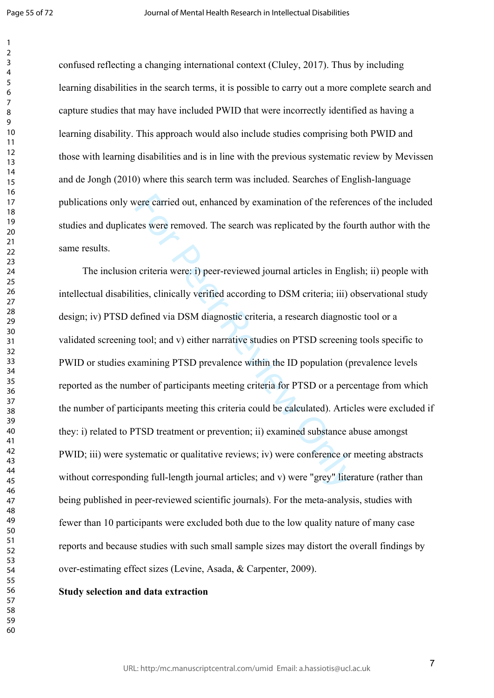$\mathbf{1}$  $\overline{2}$ 

confused reflecting a changing international context (Cluley, 2017). Thus by including learning disabilities in the search terms, it is possible to carry out a more complete search and capture studies that may have included PWID that were incorrectly identified as having a learning disability. This approach would also include studies comprising both PWID and those with learning disabilities and is in line with the previous systematic review by Mevissen and de Jongh (2010) where this search term was included. Searches of English-language publications only were carried out, enhanced by examination of the references of the included studies and duplicates were removed. The search was replicated by the fourth author with the same results.

vere carried out, enhanced by examination of the referentes were removed. The search was replicated by the fourth or the fourth of the fourth or the fourth or the fourth or the fined via DSM diagnostic criteria, a research The inclusion criteria were: i) peer-reviewed journal articles in English; ii) people with intellectual disabilities, clinically verified according to DSM criteria; iii) observational study design; iv) PTSD defined via DSM diagnostic criteria, a research diagnostic tool or a validated screening tool; and v) either narrative studies on PTSD screening tools specific to PWID or studies examining PTSD prevalence within the ID population (prevalence levels reported as the number of participants meeting criteria for PTSD or a percentage from which the number of participants meeting this criteria could be calculated). Articles were excluded if they: i) related to PTSD treatment or prevention; ii) examined substance abuse amongst PWID; iii) were systematic or qualitative reviews; iv) were conference or meeting abstracts without corresponding full-length journal articles; and v) were "grey" literature (rather than being published in peer-reviewed scientific journals). For the meta-analysis, studies with fewer than 10 participants were excluded both due to the low quality nature of many case reports and because studies with such small sample sizes may distort the overall findings by over-estimating effect sizes (Levine, Asada, & Carpenter, 2009).

#### **Study selection and data extraction**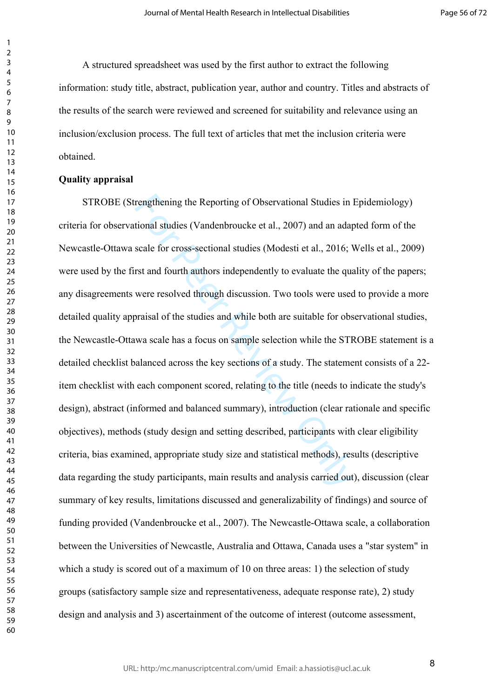A structured spreadsheet was used by the first author to extract the following information: study title, abstract, publication year, author and country. Titles and abstracts of the results of the search were reviewed and screened for suitability and relevance using an inclusion/exclusion process. The full text of articles that met the inclusion criteria were obtained.

#### **Quality appraisal**

rengthening the Reporting of Observational Studies in l<br>tional studies (Vandenbroucke et al., 2007) and an adap<br>scale for cross-sectional studies (Modesti et al., 2016; N<br>rst and fourth authors independently to evaluate th STROBE (Strengthening the Reporting of Observational Studies in Epidemiology) criteria for observational studies (Vandenbroucke et al., 2007) and an adapted form of the Newcastle-Ottawa scale for cross-sectional studies (Modesti et al., 2016; Wells et al., 2009) were used by the first and fourth authors independently to evaluate the quality of the papers; any disagreements were resolved through discussion. Two tools were used to provide a more detailed quality appraisal of the studies and while both are suitable for observational studies, the Newcastle-Ottawa scale has a focus on sample selection while the STROBE statement is a detailed checklist balanced across the key sections of a study. The statement consists of a 22 item checklist with each component scored, relating to the title (needs to indicate the study's design), abstract (informed and balanced summary), introduction (clear rationale and specific objectives), methods (study design and setting described, participants with clear eligibility criteria, bias examined, appropriate study size and statistical methods), results (descriptive data regarding the study participants, main results and analysis carried out), discussion (clear summary of key results, limitations discussed and generalizability of findings) and source of funding provided (Vandenbroucke et al., 2007). The Newcastle-Ottawa scale, a collaboration between the Universities of Newcastle, Australia and Ottawa, Canada uses a "star system" in which a study is scored out of a maximum of 10 on three areas: 1) the selection of study groups (satisfactory sample size and representativeness, adequate response rate), 2) study design and analysis and 3) ascertainment of the outcome of interest (outcome assessment,

 $\mathbf{1}$  $\overline{2}$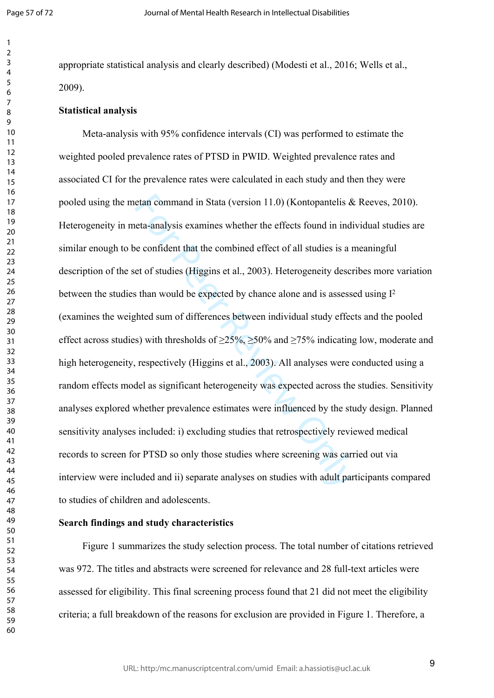$\mathbf{1}$  $\overline{2}$  $\overline{4}$  $\overline{7}$ 

appropriate statistical analysis and clearly described) (Modesti et al., 2016; Wells et al., 2009).

#### **Statistical analysis**

etan command in Stata (version 11.0) (Kontopantelis & eta-analysis examines whether the effects found in indive confident that the combined effect of all studies is a r et of studies (Higgins et al., 2003). Heterogeneity d Meta-analysis with 95% confidence intervals (CI) was performed to estimate the weighted pooled prevalence rates of PTSD in PWID. Weighted prevalence rates and associated CI for the prevalence rates were calculated in each study and then they were pooled using the metan command in Stata (version 11.0) (Kontopantelis & Reeves, 2010). Heterogeneity in meta-analysis examines whether the effects found in individual studies are similar enough to be confident that the combined effect of all studies is a meaningful description of the set of studies (Higgins et al., 2003). Heterogeneity describes more variation between the studies than would be expected by chance alone and is assessed using I 2 (examines the weighted sum of differences between individual study effects and the pooled effect across studies) with thresholds of  $\geq$ 25%,  $\geq$ 50% and  $\geq$ 75% indicating low, moderate and high heterogeneity, respectively (Higgins et al., 2003). All analyses were conducted using a random effects model as significant heterogeneity was expected across the studies. Sensitivity analyses explored whether prevalence estimates were influenced by the study design. Planned sensitivity analyses included: i) excluding studies that retrospectively reviewed medical records to screen for PTSD so only those studies where screening was carried out via interview were included and ii) separate analyses on studies with adult participants compared to studies of children and adolescents.

#### **Search findings and study characteristics**

Figure 1 summarizes the study selection process. The total number of citations retrieved was 972. The titles and abstracts were screened for relevance and 28 full-text articles were assessed for eligibility. This final screening process found that 21 did not meet the eligibility criteria; a full breakdown of the reasons for exclusion are provided in Figure 1. Therefore, a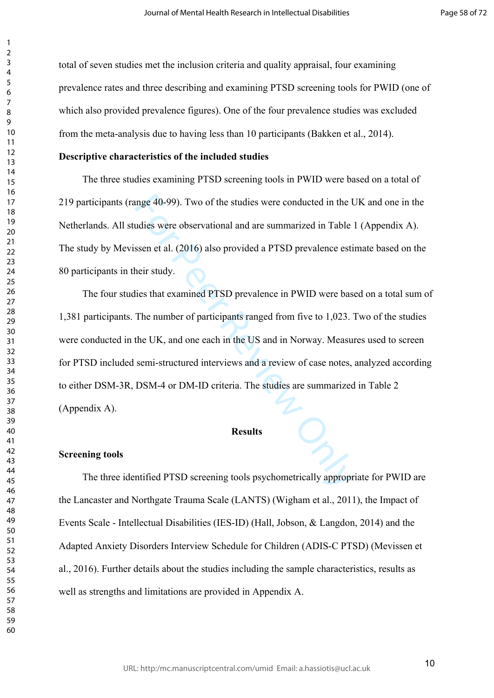total of seven studies met the inclusion criteria and quality appraisal, four examining prevalence rates and three describing and examining PTSD screening tools for PWID (one of which also provided prevalence figures). One of the four prevalence studies was excluded from the meta-analysis due to having less than 10 participants (Bakken et al., 2014).

# **Descriptive characteristics of the included studies**

The three studies examining PTSD screening tools in PWID were based on a total of 219 participants (range 40-99). Two of the studies were conducted in the UK and one in the Netherlands. All studies were observational and are summarized in Table 1 (Appendix A). The study by Mevissen et al. (2016) also provided a PTSD prevalence estimate based on the 80 participants in their study.

mge 40-99). Two of the studies were conducted in the U udies were observational and are summarized in Table<br>ssen et al. (2016) also provided a PTSD prevalence esti-<br>heir study.<br>Lies that examined PTSD prevalence in PWID we The four studies that examined PTSD prevalence in PWID were based on a total sum of 1,381 participants. The number of participants ranged from five to 1,023. Two of the studies were conducted in the UK, and one each in the US and in Norway. Measures used to screen for PTSD included semi-structured interviews and a review of case notes, analyzed according to either DSM-3R, DSM-4 or DM-ID criteria. The studies are summarized in Table 2 (Appendix A).

# **Results**

#### **Screening tools**

The three identified PTSD screening tools psychometrically appropriate for PWID are the Lancaster and Northgate Trauma Scale (LANTS) (Wigham et al., 2011), the Impact of Events Scale - Intellectual Disabilities (IES-ID) (Hall, Jobson, & Langdon, 2014) and the Adapted Anxiety Disorders Interview Schedule for Children (ADIS-C PTSD) (Mevissen et al., 2016). Further details about the studies including the sample characteristics, results as well as strengths and limitations are provided in Appendix A.

 $\mathbf{1}$  $\overline{2}$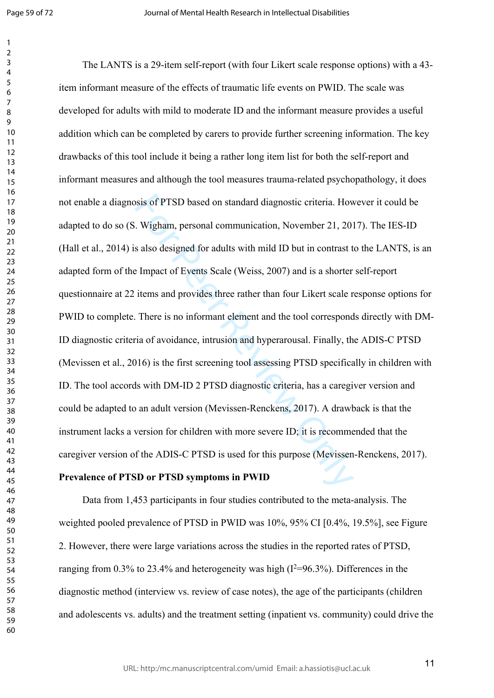$\mathbf{1}$  $\overline{2}$  $\overline{4}$  $\overline{7}$ 

sis of PTSD based on standard diagnostic criteria. How<br>Wigham, personal communication, November 21, 201<br>s also designed for adults with mild ID but in contrast t<br>Empact of Events Scale (Weiss, 2007) and is a shorter<br>items The LANTS is a 29-item self-report (with four Likert scale response options) with a 43 item informant measure of the effects of traumatic life events on PWID. The scale was developed for adults with mild to moderate ID and the informant measure provides a useful addition which can be completed by carers to provide further screening information. The key drawbacks of this tool include it being a rather long item list for both the self-report and informant measures and although the tool measures trauma-related psychopathology, it does not enable a diagnosis of PTSD based on standard diagnostic criteria. However it could be adapted to do so (S. Wigham, personal communication, November 21, 2017). The IES-ID (Hall et al., 2014) is also designed for adults with mild ID but in contrast to the LANTS, is an adapted form of the Impact of Events Scale (Weiss, 2007) and is a shorter self-report questionnaire at 22 items and provides three rather than four Likert scale response options for PWID to complete. There is no informant element and the tool corresponds directly with DM-ID diagnostic criteria of avoidance, intrusion and hyperarousal. Finally, the ADIS-C PTSD (Mevissen et al., 2016) is the first screening tool assessing PTSD specifically in children with ID. The tool accords with DM-ID 2 PTSD diagnostic criteria, has a caregiver version and could be adapted to an adult version (Mevissen-Renckens, 2017). A drawback is that the instrument lacks a version for children with more severe ID; it is recommended that the caregiver version of the ADIS-C PTSD is used for this purpose (Mevissen-Renckens, 2017).

#### **Prevalence of PTSD or PTSD symptoms in PWID**

Data from 1,453 participants in four studies contributed to the meta-analysis. The weighted pooled prevalence of PTSD in PWID was 10%, 95% CI [0.4%, 19.5%], see Figure 2. However, there were large variations across the studies in the reported rates of PTSD, ranging from  $0.3\%$  to 23.4% and heterogeneity was high ( $I^2=96.3\%$ ). Differences in the diagnostic method (interview vs. review of case notes), the age of the participants (children and adolescents vs. adults) and the treatment setting (inpatient vs. community) could drive the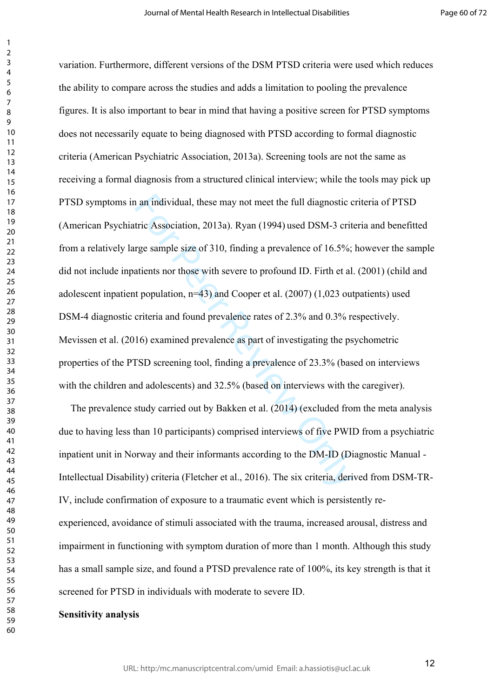is a mindividual, these may not meet the full diagnostic c<br>tric Association, 2013a). Ryan (1994) used DSM-3 crit<br>rge sample size of 310, finding a prevalence of 16.5%;<br>atients nor those with severe to profound ID. Firth et variation. Furthermore, different versions of the DSM PTSD criteria were used which reduces the ability to compare across the studies and adds a limitation to pooling the prevalence figures. It is also important to bear in mind that having a positive screen for PTSD symptoms does not necessarily equate to being diagnosed with PTSD according to formal diagnostic criteria (American Psychiatric Association, 2013a). Screening tools are not the same as receiving a formal diagnosis from a structured clinical interview; while the tools may pick up PTSD symptoms in an individual, these may not meet the full diagnostic criteria of PTSD (American Psychiatric Association, 2013a). Ryan (1994) used DSM-3 criteria and benefitted from a relatively large sample size of 310, finding a prevalence of 16.5%; however the sample did not include inpatients nor those with severe to profound ID. Firth et al. (2001) (child and adolescent inpatient population, n=43) and Cooper et al. (2007) (1,023 outpatients) used DSM-4 diagnostic criteria and found prevalence rates of 2.3% and 0.3% respectively. Mevissen et al. (2016) examined prevalence as part of investigating the psychometric properties of the PTSD screening tool, finding a prevalence of 23.3% (based on interviews with the children and adolescents) and 32.5% (based on interviews with the caregiver).

The prevalence study carried out by Bakken et al. (2014) (excluded from the meta analysis due to having less than 10 participants) comprised interviews of five PWID from a psychiatric inpatient unit in Norway and their informants according to the DM-ID (Diagnostic Manual - Intellectual Disability) criteria (Fletcher et al., 2016). The six criteria, derived from DSM-TR-IV, include confirmation of exposure to a traumatic event which is persistently reexperienced, avoidance of stimuli associated with the trauma, increased arousal, distress and impairment in functioning with symptom duration of more than 1 month. Although this study has a small sample size, and found a PTSD prevalence rate of 100%, its key strength is that it screened for PTSD in individuals with moderate to severe ID.

# **Sensitivity analysis**

 $\mathbf{1}$  $\overline{2}$  $\overline{4}$  $\overline{7}$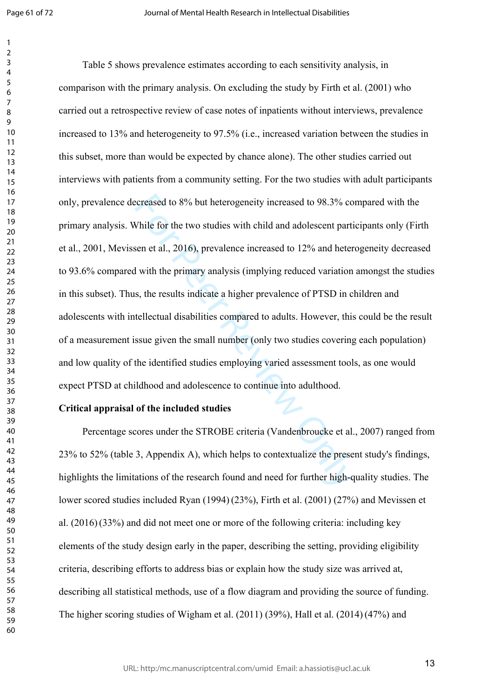$\mathbf{1}$  $\overline{2}$ 

creased to 8% but heterogeneity increased to 98.3% co<br>Vhile for the two studies with child and adolescent parti<br>sen et al., 2016), prevalence increased to 12% and heter<br>I with the primary analysis (implying reduced variati Table 5 shows prevalence estimates according to each sensitivity analysis, in comparison with the primary analysis. On excluding the study by Firth et al. (2001) who carried out a retrospective review of case notes of inpatients without interviews, prevalence increased to 13% and heterogeneity to 97.5% (i.e., increased variation between the studies in this subset, more than would be expected by chance alone). The other studies carried out interviews with patients from a community setting. For the two studies with adult participants only, prevalence decreased to 8% but heterogeneity increased to 98.3% compared with the primary analysis. While for the two studies with child and adolescent participants only (Firth et al., 2001, Mevissen et al., 2016), prevalence increased to 12% and heterogeneity decreased to 93.6% compared with the primary analysis (implying reduced variation amongst the studies in this subset). Thus, the results indicate a higher prevalence of PTSD in children and adolescents with intellectual disabilities compared to adults. However, this could be the result of a measurement issue given the small number (only two studies covering each population) and low quality of the identified studies employing varied assessment tools, as one would expect PTSD at childhood and adolescence to continue into adulthood.

# **Critical appraisal of the included studies**

Percentage scores under the STROBE criteria (Vandenbroucke et al., 2007) ranged from 23% to 52% (table 3, Appendix A), which helps to contextualize the present study's findings, highlights the limitations of the research found and need for further high-quality studies. The lower scored studies included Ryan (1994)(23%), Firth et al. (2001) (27%) and Mevissen et al. (2016)(33%) and did not meet one or more of the following criteria: including key elements of the study design early in the paper, describing the setting, providing eligibility criteria, describing efforts to address bias or explain how the study size was arrived at, describing all statistical methods, use of a flow diagram and providing the source of funding. The higher scoring studies of Wigham et al. (2011) (39%), Hall et al. (2014)(47%) and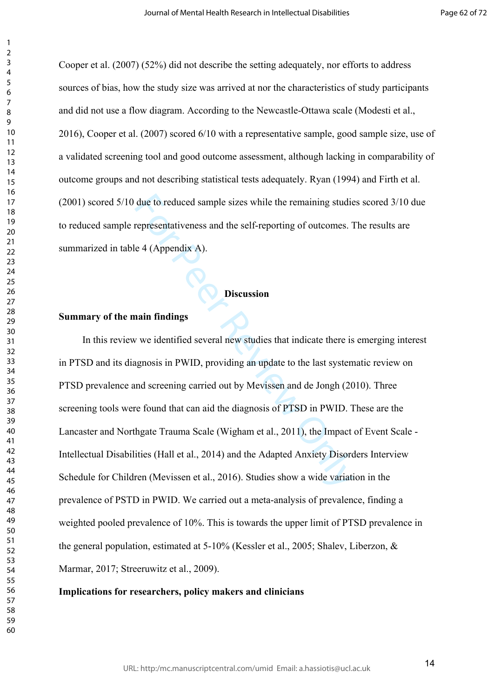Cooper et al. (2007) (52%) did not describe the setting adequately, nor efforts to address sources of bias, how the study size was arrived at nor the characteristics of study participants and did not use a flow diagram. According to the Newcastle-Ottawa scale (Modesti et al., 2016), Cooper et al. (2007) scored 6/10 with a representative sample, good sample size, use of a validated screening tool and good outcome assessment, although lacking in comparability of outcome groups and not describing statistical tests adequately. Ryan (1994) and Firth et al. (2001) scored 5/10 due to reduced sample sizes while the remaining studies scored 3/10 due to reduced sample representativeness and the self-reporting of outcomes. The results are summarized in table 4 (Appendix A).

# **Discussion**

# **Summary of the main findings**

due to reduced sample sizes while the remaining studie<br>representativeness and the self-reporting of outcomes. 1<br>e 4 (Appendix A).<br>Discussion<br>nain findings<br>v we identified several new studies that indicate there is<br>gnosis i In this review we identified several new studies that indicate there is emerging interest in PTSD and its diagnosis in PWID, providing an update to the last systematic review on PTSD prevalence and screening carried out by Mevissen and de Jongh (2010). Three screening tools were found that can aid the diagnosis of PTSD in PWID. These are the Lancaster and Northgate Trauma Scale (Wigham et al., 2011), the Impact of Event Scale - Intellectual Disabilities (Hall et al., 2014) and the Adapted Anxiety Disorders Interview Schedule for Children (Mevissen et al., 2016). Studies show a wide variation in the prevalence of PSTD in PWID. We carried out a meta-analysis of prevalence, finding a weighted pooled prevalence of 10%. This is towards the upper limit of PTSD prevalence in the general population, estimated at 5-10% (Kessler et al., 2005; Shalev, Liberzon, & Marmar, 2017; Streeruwitz et al., 2009).

#### **Implications for researchers, policy makers and clinicians**

 $\mathbf{1}$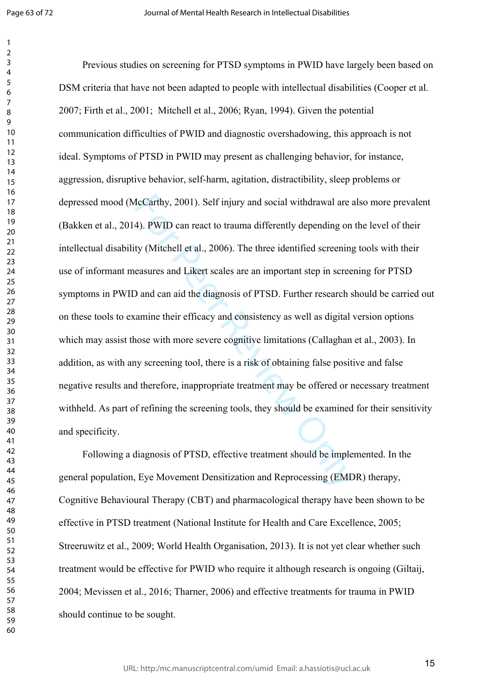$\mathbf{1}$  $\overline{2}$ 

IcCarthy, 2001). Self injury and social withdrawal are a<br>4). PWID can react to trauma differently depending on<br>ty (Mitchell et al., 2006). The three identified screening<br>easures and Likert scales are an important step in s Previous studies on screening for PTSD symptoms in PWID have largely been based on DSM criteria that have not been adapted to people with intellectual disabilities (Cooper et al. 2007; Firth et al., 2001; Mitchell et al., 2006; Ryan, 1994). Given the potential communication difficulties of PWID and diagnostic overshadowing, this approach is not ideal. Symptoms of PTSD in PWID may present as challenging behavior, for instance, aggression, disruptive behavior, self-harm, agitation, distractibility, sleep problems or depressed mood (McCarthy, 2001). Self injury and social withdrawal are also more prevalent (Bakken et al., 2014). PWID can react to trauma differently depending on the level of their intellectual disability (Mitchell et al., 2006). The three identified screening tools with their use of informant measures and Likert scales are an important step in screening for PTSD symptoms in PWID and can aid the diagnosis of PTSD. Further research should be carried out on these tools to examine their efficacy and consistency as well as digital version options which may assist those with more severe cognitive limitations (Callaghan et al., 2003). In addition, as with any screening tool, there is a risk of obtaining false positive and false negative results and therefore, inappropriate treatment may be offered or necessary treatment withheld. As part of refining the screening tools, they should be examined for their sensitivity and specificity.

Following a diagnosis of PTSD, effective treatment should be implemented. In the general population, Eye Movement Densitization and Reprocessing (EMDR) therapy, Cognitive Behavioural Therapy (CBT) and pharmacological therapy have been shown to be effective in PTSD treatment (National Institute for Health and Care Excellence, 2005; Streeruwitz et al., 2009; World Health Organisation, 2013). It is not yet clear whether such treatment would be effective for PWID who require it although research is ongoing (Giltaij, 2004; Mevissen et al., 2016; Tharner, 2006) and effective treatments for trauma in PWID should continue to be sought.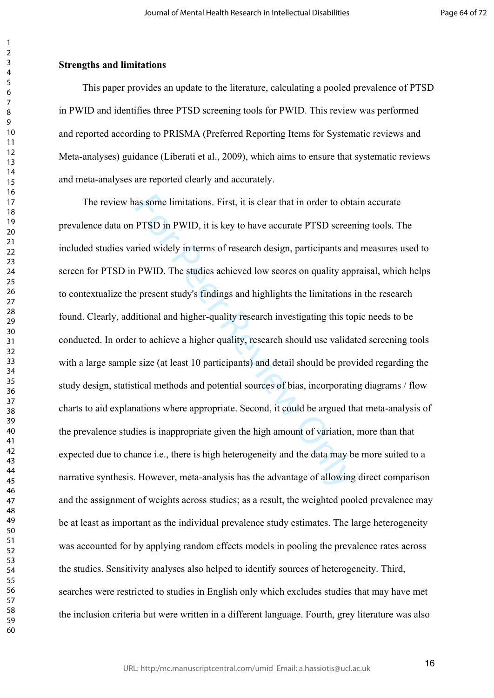# **Strengths and limitations**

This paper provides an update to the literature, calculating a pooled prevalence of PTSD in PWID and identifies three PTSD screening tools for PWID. This review was performed and reported according to PRISMA (Preferred Reporting Items for Systematic reviews and Meta-analyses) guidance (Liberati et al., 2009), which aims to ensure that systematic reviews and meta-analyses are reported clearly and accurately.

as some limitations. First, it is clear that in order to obta<br>
PTSD in PWID, it is key to have accurate PTSD screen<br>
ried widely in terms of research design, participants and<br>
PWID. The studies achieved low scores on quali The review has some limitations. First, it is clear that in order to obtain accurate prevalence data on PTSD in PWID, it is key to have accurate PTSD screening tools. The included studies varied widely in terms of research design, participants and measures used to screen for PTSD in PWID. The studies achieved low scores on quality appraisal, which helps to contextualize the present study's findings and highlights the limitations in the research found. Clearly, additional and higher-quality research investigating this topic needs to be conducted. In order to achieve a higher quality, research should use validated screening tools with a large sample size (at least 10 participants) and detail should be provided regarding the study design, statistical methods and potential sources of bias, incorporating diagrams / flow charts to aid explanations where appropriate. Second, it could be argued that meta-analysis of the prevalence studies is inappropriate given the high amount of variation, more than that expected due to chance i.e., there is high heterogeneity and the data may be more suited to a narrative synthesis. However, meta-analysis has the advantage of allowing direct comparison and the assignment of weights across studies; as a result, the weighted pooled prevalence may be at least as important as the individual prevalence study estimates. The large heterogeneity was accounted for by applying random effects models in pooling the prevalence rates across the studies. Sensitivity analyses also helped to identify sources of heterogeneity. Third, searches were restricted to studies in English only which excludes studies that may have met the inclusion criteria but were written in a different language. Fourth, grey literature was also

 $\mathbf{1}$  $\overline{2}$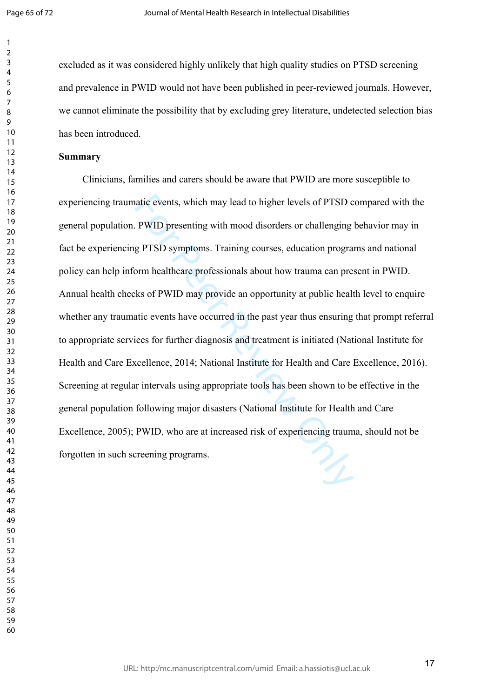$\mathbf{1}$  $\overline{2}$  $\overline{4}$  $\overline{7}$ 

excluded as it was considered highly unlikely that high quality studies on PTSD screening and prevalence in PWID would not have been published in peer-reviewed journals. However, we cannot eliminate the possibility that by excluding grey literature, undetected selection bias has been introduced.

# **Summary**

atic events, which may lead to higher levels of PTSD c<br>PWID presenting with mood disorders or challenging<br>g PTSD symptoms. Training courses, education progra<br>orm healthcare professionals about how trauma can pre-<br>ks of PWI Clinicians, families and carers should be aware that PWID are more susceptible to experiencing traumatic events, which may lead to higher levels of PTSD compared with the general population. PWID presenting with mood disorders or challenging behavior may in fact be experiencing PTSD symptoms. Training courses, education programs and national policy can help inform healthcare professionals about how trauma can present in PWID. Annual health checks of PWID may provide an opportunity at public health level to enquire whether any traumatic events have occurred in the past year thus ensuring that prompt referral to appropriate services for further diagnosis and treatment is initiated (National Institute for Health and Care Excellence, 2014; National Institute for Health and Care Excellence, 2016). Screening at regular intervals using appropriate tools has been shown to be effective in the general population following major disasters (National Institute for Health and Care Excellence, 2005); PWID, who are at increased risk of experiencing trauma, should not be forgotten in such screening programs.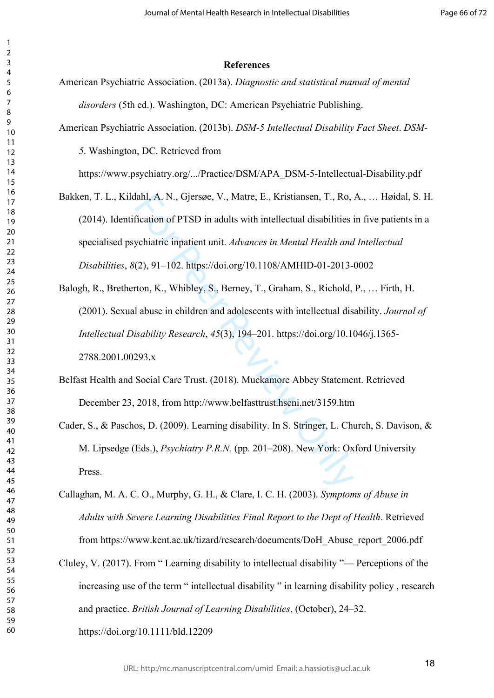#### **References**

- American Psychiatric Association. (2013a). *Diagnostic and statistical manual of mental disorders* (5th ed.). Washington, DC: American Psychiatric Publishing.
- American Psychiatric Association. (2013b). *DSM-5 Intellectual Disability Fact Sheet*. *DSM-*

. Washington, DC. Retrieved from

https://www.psychiatry.org/.../Practice/DSM/APA\_DSM-5-Intellectual-Disability.pdf

- Bakken, T. L., Kildahl, A. N., Gjersøe, V., Matre, E., Kristiansen, T., Ro, A., … Høidal, S. H. (2014). Identification of PTSD in adults with intellectual disabilities in five patients in a specialised psychiatric inpatient unit. *Advances in Mental Health and Intellectual Disabilities*, *8*(2), 91–102. https://doi.org/10.1108/AMHID-01-2013-0002
- lahl, A. N., Gjersøe, V., Matre, E., Kristiansen, T., Ro,<br>fication of PTSD in adults with intellectual disabilities is<br>ychiatric inpatient unit. *Advances in Mental Health and*<br>(2), 91–102. https://doi.org/10.1108/AMHID-0 Balogh, R., Bretherton, K., Whibley, S., Berney, T., Graham, S., Richold, P., … Firth, H. (2001). Sexual abuse in children and adolescents with intellectual disability. *Journal of Intellectual Disability Research*, *45*(3), 194–201. https://doi.org/10.1046/j.1365- 2788.2001.00293.x
- Belfast Health and Social Care Trust. (2018). Muckamore Abbey Statement. Retrieved December 23, 2018, from http://www.belfasttrust.hscni.net/3159.htm
- Cader, S., & Paschos, D. (2009). Learning disability. In S. Stringer, L. Church, S. Davison, & M. Lipsedge (Eds.), *Psychiatry P.R.N.* (pp. 201–208). New York: Oxford University Press.
- Callaghan, M. A. C. O., Murphy, G. H., & Clare, I. C. H. (2003). *Symptoms of Abuse in Adults with Severe Learning Disabilities Final Report to the Dept of Health*. Retrieved from https://www.kent.ac.uk/tizard/research/documents/DoH\_Abuse\_report\_2006.pdf
- Cluley, V. (2017). From " Learning disability to intellectual disability "— Perceptions of the increasing use of the term " intellectual disability " in learning disability policy , research and practice. *British Journal of Learning Disabilities*, (October), 24–32. https://doi.org/10.1111/bld.12209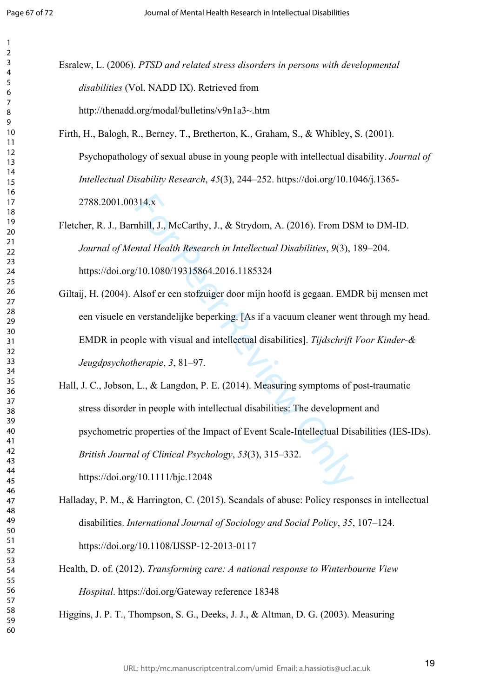$\mathbf{1}$  $\overline{2}$  $\overline{4}$  $\overline{7}$ 

Esralew, L. (2006). *PTSD and related stress disorders in persons with developmental disabilities* (Vol. NADD IX). Retrieved from http://thenadd.org/modal/bulletins/v9n1a3~.htm

Firth, H., Balogh, R., Berney, T., Bretherton, K., Graham, S., & Whibley, S. (2001). Psychopathology of sexual abuse in young people with intellectual disability. *Journal of Intellectual Disability Research*, *45*(3), 244–252. https://doi.org/10.1046/j.1365- 2788.2001.00314.x

Fletcher, R. J., Barnhill, J., McCarthy, J., & Strydom, A. (2016). From DSM to DM-ID. *Journal of Mental Health Research in Intellectual Disabilities*, *9*(3), 189–204. https://doi.org/10.1080/19315864.2016.1185324

Giltaij, H. (2004). Alsof er een stofzuiger door mijn hoofd is gegaan. EMDR bij mensen met een visuele en verstandelijke beperking. [As if a vacuum cleaner went through my head. EMDR in people with visual and intellectual disabilities]. *Tijdschrift Voor Kinder-& Jeugdpsychotherapie*, *3*, 81–97.

314.x<br>
hhill, J., McCarthy, J., & Strydom, A. (2016). From DS<br>
ntal Health Research in Intellectual Disabilities, 9(3),<br>
10.1080/19315864.2016.1185324<br>
Alsof er een stofzuiger door mijn hoofd is gegaan. EMI<br>
verstandelijk Hall, J. C., Jobson, L., & Langdon, P. E. (2014). Measuring symptoms of post-traumatic stress disorder in people with intellectual disabilities: The development and psychometric properties of the Impact of Event Scale-Intellectual Disabilities (IES-IDs). *British Journal of Clinical Psychology*, *53*(3), 315–332. https://doi.org/10.1111/bjc.12048

Halladay, P. M., & Harrington, C. (2015). Scandals of abuse: Policy responses in intellectual disabilities. *International Journal of Sociology and Social Policy*, *35*, 107–124. https://doi.org/10.1108/IJSSP-12-2013-0117

Health, D. of. (2012). *Transforming care: A national response to Winterbourne View Hospital*. https://doi.org/Gateway reference 18348

Higgins, J. P. T., Thompson, S. G., Deeks, J. J., & Altman, D. G. (2003). Measuring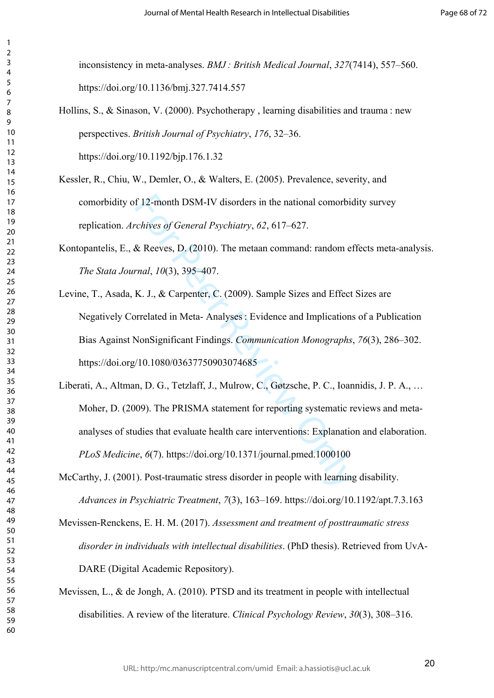inconsistency in meta-analyses. *BMJ : British Medical Journal*, *327*(7414), 557–560. https://doi.org/10.1136/bmj.327.7414.557

Hollins, S., & Sinason, V. (2000). Psychotherapy , learning disabilities and trauma : new perspectives. *British Journal of Psychiatry*, *176*, 32–36.

https://doi.org/10.1192/bjp.176.1.32

 $\mathbf{1}$  $\overline{2}$  $\overline{4}$  $\overline{7}$ 

- Kessler, R., Chiu, W., Demler, O., & Walters, E. (2005). Prevalence, severity, and comorbidity of 12-month DSM-IV disorders in the national comorbidity survey replication. *Archives of General Psychiatry*, *62*, 617–627.
- Kontopantelis, E., & Reeves, D. (2010). The metaan command: random effects meta-analysis. *The Stata Journal*, *10*(3), 395–407.
- f 12-month DSM-IV disorders in the national comorbic<br> *chives of General Psychiatry*, 62, 617–627.<br>
& Reeves, D. (2010). The metaan command: random et<br>
rnal, 10(3), 395–407.<br>
K. J., & Carpenter, C. (2009). Sample Sizes an Levine, T., Asada, K. J., & Carpenter, C. (2009). Sample Sizes and Effect Sizes are Negatively Correlated in Meta- Analyses : Evidence and Implications of a Publication Bias Against NonSignificant Findings. *Communication Monographs*, *76*(3), 286–302. https://doi.org/10.1080/03637750903074685
- Liberati, A., Altman, D. G., Tetzlaff, J., Mulrow, C., Gøtzsche, P. C., Ioannidis, J. P. A., … Moher, D. (2009). The PRISMA statement for reporting systematic reviews and metaanalyses of studies that evaluate health care interventions: Explanation and elaboration. *PLoS Medicine*, *6*(7). https://doi.org/10.1371/journal.pmed.1000100
- McCarthy, J. (2001). Post-traumatic stress disorder in people with learning disability. *Advances in Psychiatric Treatment*, *7*(3), 163–169. https://doi.org/10.1192/apt.7.3.163
- Mevissen-Renckens, E. H. M. (2017). *Assessment and treatment of posttraumatic stress disorder in individuals with intellectual disabilities*. (PhD thesis). Retrieved from UvA-DARE (Digital Academic Repository).
- Mevissen, L., & de Jongh, A. (2010). PTSD and its treatment in people with intellectual disabilities. A review of the literature. *Clinical Psychology Review*, *30*(3), 308–316.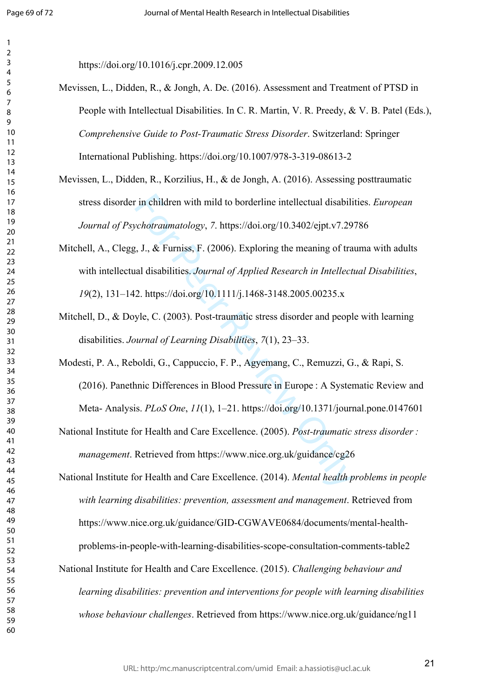$\mathbf{1}$ 

https://doi.org/10.1016/j.cpr.2009.12.005

- Mevissen, L., Didden, R., & Jongh, A. De. (2016). Assessment and Treatment of PTSD in People with Intellectual Disabilities. In C. R. Martin, V. R. Preedy, & V. B. Patel (Eds.), *Comprehensive Guide to Post-Traumatic Stress Disorder*. Switzerland: Springer International Publishing. https://doi.org/10.1007/978-3-319-08613-2
- Mevissen, L., Didden, R., Korzilius, H., & de Jongh, A. (2016). Assessing posttraumatic stress disorder in children with mild to borderline intellectual disabilities. *European Journal of Psychotraumatology*, *7*. https://doi.org/10.3402/ejpt.v7.29786
- in children with mild to borderline intellectual disabili<br> *cchotraumatology*, 7. https://doi.org/10.3402/ejpt.v7.29<br>
i, J., & Furniss, F. (2006). Exploring the meaning of tra<br>
all disabilities. *Journal of Applied Researc* Mitchell, A., Clegg, J., & Furniss, F. (2006). Exploring the meaning of trauma with adults with intellectual disabilities. *Journal of Applied Research in Intellectual Disabilities*, (2), 131–142. https://doi.org/10.1111/j.1468-3148.2005.00235.x
- Mitchell, D., & Doyle, C. (2003). Post-traumatic stress disorder and people with learning disabilities. *Journal of Learning Disabilities*, *7*(1), 23–33.
- Modesti, P. A., Reboldi, G., Cappuccio, F. P., Agyemang, C., Remuzzi, G., & Rapi, S. (2016). Panethnic Differences in Blood Pressure in Europe : A Systematic Review and Meta- Analysis. *PLoS One*, *11*(1), 1–21. https://doi.org/10.1371/journal.pone.0147601
- National Institute for Health and Care Excellence. (2005). *Post-traumatic stress disorder : management*. Retrieved from https://www.nice.org.uk/guidance/cg26
- National Institute for Health and Care Excellence. (2014). *Mental health problems in people with learning disabilities: prevention, assessment and management*. Retrieved from https://www.nice.org.uk/guidance/GID-CGWAVE0684/documents/mental-healthproblems-in-people-with-learning-disabilities-scope-consultation-comments-table2
- National Institute for Health and Care Excellence. (2015). *Challenging behaviour and learning disabilities: prevention and interventions for people with learning disabilities whose behaviour challenges*. Retrieved from https://www.nice.org.uk/guidance/ng11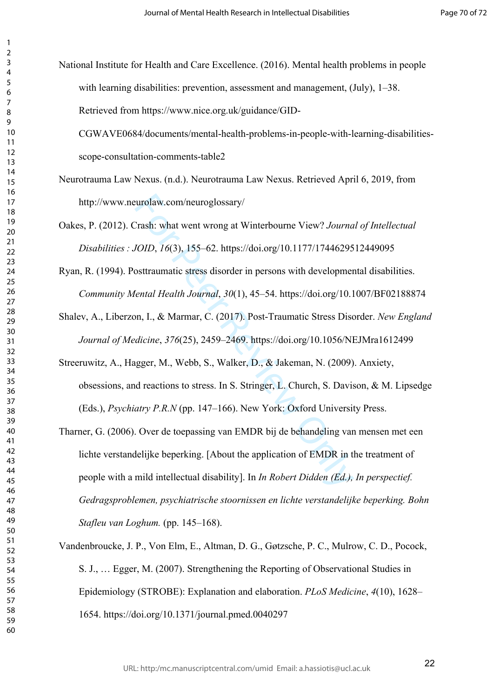$\mathbf{1}$  $\overline{2}$ 

National Institute for Health and Care Excellence. (2016). Mental health problems in people with learning disabilities: prevention, assessment and management, (July), 1–38. Retrieved from https://www.nice.org.uk/guidance/GID-

CGWAVE0684/documents/mental-health-problems-in-people-with-learning-disabilitiesscope-consultation-comments-table2

- Neurotrauma Law Nexus. (n.d.). Neurotrauma Law Nexus. Retrieved April 6, 2019, from http://www.neurolaw.com/neuroglossary/
- Oakes, P. (2012). Crash: what went wrong at Winterbourne View? *Journal of Intellectual Disabilities : JOID*, *16*(3), 155–62. https://doi.org/10.1177/1744629512449095
- Ryan, R. (1994). Posttraumatic stress disorder in persons with developmental disabilities. *Community Mental Health Journal*, *30*(1), 45–54. https://doi.org/10.1007/BF02188874
- Shalev, A., Liberzon, I., & Marmar, C. (2017). Post-Traumatic Stress Disorder. *New England Journal of Medicine*, *376*(25), 2459–2469. https://doi.org/10.1056/NEJMra1612499
- Streeruwitz, A., Hagger, M., Webb, S., Walker, D., & Jakeman, N. (2009). Anxiety, obsessions, and reactions to stress. In S. Stringer, L. Church, S. Davison, & M. Lipsedge (Eds.), *Psychiatry P.R.N* (pp. 147–166). New York: Oxford University Press.
- eurolaw.com/neuroglossary/<br>
Trash: what went wrong at Winterbourne View? Journa<br>
101D, 16(3), 155–62. https://doi.org/10.1177/17446295<br>
osttraumatic stress disorder in persons with developmer<br>
1011. At Marmar, C. (2017). P Tharner, G. (2006). Over de toepassing van EMDR bij de behandeling van mensen met een lichte verstandelijke beperking. [About the application of EMDR in the treatment of people with a mild intellectual disability]. In *In Robert Didden (Ed.), In perspectief. Gedragsproblemen, psychiatrische stoornissen en lichte verstandelijke beperking. Bohn Stafleu van Loghum.* (pp. 145–168).
- Vandenbroucke, J. P., Von Elm, E., Altman, D. G., Gøtzsche, P. C., Mulrow, C. D., Pocock, S. J., … Egger, M. (2007). Strengthening the Reporting of Observational Studies in Epidemiology (STROBE): Explanation and elaboration. *PLoS Medicine*, *4*(10), 1628– 1654. https://doi.org/10.1371/journal.pmed.0040297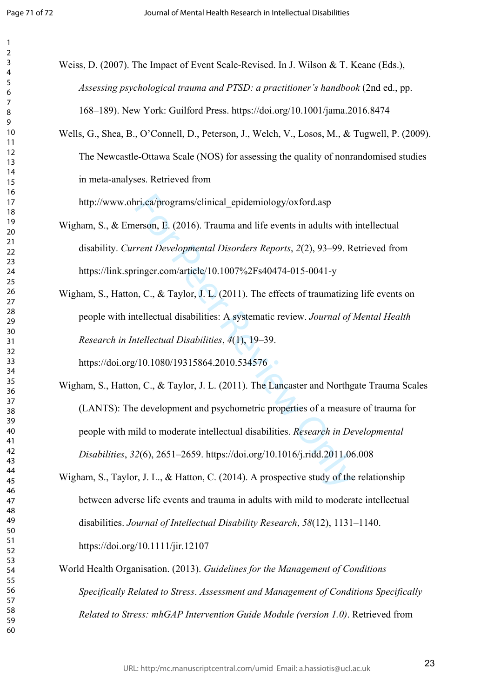$\mathbf{1}$  $\overline{2}$  $\overline{3}$  $\overline{4}$  $\overline{7}$ 

| Weiss, D. (2007). The Impact of Event Scale-Revised. In J. Wilson & T. Keane (Eds.). |
|--------------------------------------------------------------------------------------|
| Assessing psychological trauma and PTSD: a practitioner's handbook (2nd ed., pp.     |
| 168–189). New York: Guilford Press. https://doi.org/10.1001/jama.2016.8474           |

Wells, G., Shea, B., O'Connell, D., Peterson, J., Welch, V., Losos, M., & Tugwell, P. (2009). The Newcastle-Ottawa Scale (NOS) for assessing the quality of nonrandomised studies in meta-analyses. Retrieved from

http://www.ohri.ca/programs/clinical\_epidemiology/oxford.asp

Wigham, S., & Emerson, E. (2016). Trauma and life events in adults with intellectual disability. *Current Developmental Disorders Reports*, *2*(2), 93–99. Retrieved from https://link.springer.com/article/10.1007%2Fs40474-015-0041-y

Wigham, S., Hatton, C., & Taylor, J. L. (2011). The effects of traumatizing life events on people with intellectual disabilities: A systematic review. *Journal of Mental Health Research in Intellectual Disabilities*, *4*(1), 19–39. https://doi.org/10.1080/19315864.2010.534576

iri.ca/programs/clinical\_epidemiology/oxford.asp<br>erson, E. (2016). Trauma and life events in adults with<br>rent Developmental Disorders Reports, 2(2), 93–99. R<br>ringer.com/article/10.1007%2Fs40474-015-0041-y<br>n, C., & Taylor, Wigham, S., Hatton, C., & Taylor, J. L. (2011). The Lancaster and Northgate Trauma Scales (LANTS): The development and psychometric properties of a measure of trauma for people with mild to moderate intellectual disabilities. *Research in Developmental Disabilities*, *32*(6), 2651–2659. https://doi.org/10.1016/j.ridd.2011.06.008

- Wigham, S., Taylor, J. L., & Hatton, C. (2014). A prospective study of the relationship between adverse life events and trauma in adults with mild to moderate intellectual disabilities. *Journal of Intellectual Disability Research*, *58*(12), 1131–1140. https://doi.org/10.1111/jir.12107
- World Health Organisation. (2013). *Guidelines for the Management of Conditions Specifically Related to Stress*. *Assessment and Management of Conditions Specifically Related to Stress: mhGAP Intervention Guide Module (version 1.0)*. Retrieved from